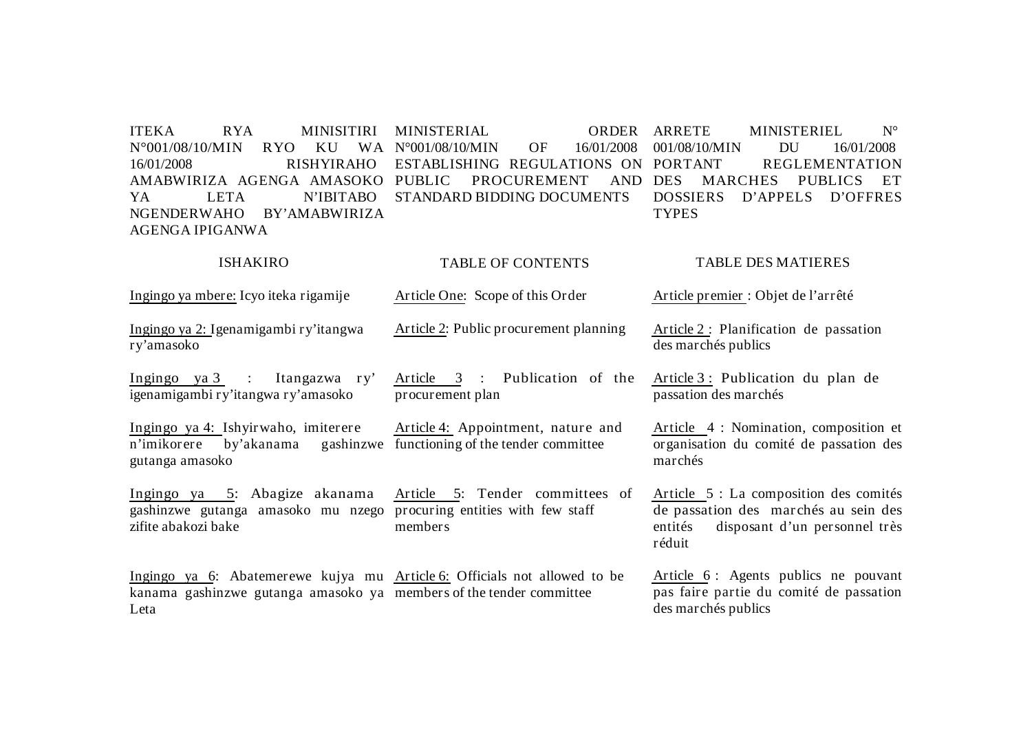ITEKA RYA MINISITIRI MINISTERIAL ORDER ARRETE MINISTERIEL N° N°001/08/10/MIN RYO KU WA N°001/08/10/MIN OF 16/01/2008 001/08/10/MIN DU 16/01/2008 16/01/2008 RISHYIRAHO ESTABLISHING REGULATIONS ON AMABWIRIZA AGENGA AMASOKO PUBLIC PROCUREMENT AND DES MARCHES PUBLICS ET YA LETA N'IBITABO STANDARD BIDDING DOCUMENTS DOSSIERS D'APPELS D'OFFRES NGENDERWAHO BY'AMABWIRIZA AGENGA IPIGANWA **REGLEMENTATION** TYPES

| <b>ISHAKIRO</b>                                                                                                                                          | <b>TABLE OF CONTENTS</b>                                                        | <b>TABLE DES MATIERES</b>                                                                                                            |
|----------------------------------------------------------------------------------------------------------------------------------------------------------|---------------------------------------------------------------------------------|--------------------------------------------------------------------------------------------------------------------------------------|
| Ingingo ya mbere: Icyo iteka rigamije                                                                                                                    | Article One: Scope of this Order                                                | Article premier : Objet de l'arrêté                                                                                                  |
| Ingingo ya 2: Igenamigambi ry'itangwa<br>ry'amasoko                                                                                                      | Article 2: Public procurement planning                                          | Article 2 : Planification de passation<br>des marchés publics                                                                        |
| Ingingo ya 3 : Itangazwa ry'<br>igenamigambi ry'itangwa ry'amasoko                                                                                       | Article 3 : Publication of the<br>procurement plan                              | Article 3 : Publication du plan de<br>passation des marchés                                                                          |
| Ingingo ya 4: Ishyirwaho, imiterere<br>n'imikorere by'akanama gashinzwe<br>gutanga amasoko                                                               | Article 4: Appointment, nature and<br>functioning of the tender committee       | Article 4 : Nomination, composition et<br>organisation du comité de passation des<br>marchés                                         |
| Ingingo ya 5: Abagize akanama<br>gashinzwe gutanga amasoko mu nzego<br>zifite abakozi bake                                                               | Article 5: Tender committees of<br>procuring entities with few staff<br>members | Article 5 : La composition des comités<br>de passation des marchés au sein des<br>disposant d'un personnel très<br>entités<br>réduit |
| Ingingo ya 6: Abatemerewe kujya mu Article 6: Officials not allowed to be<br>kanama gashinzwe gutanga amasoko ya members of the tender committee<br>Leta |                                                                                 | Article 6: Agents publics ne pouvant<br>pas faire partie du comité de passation<br>des marchés publics                               |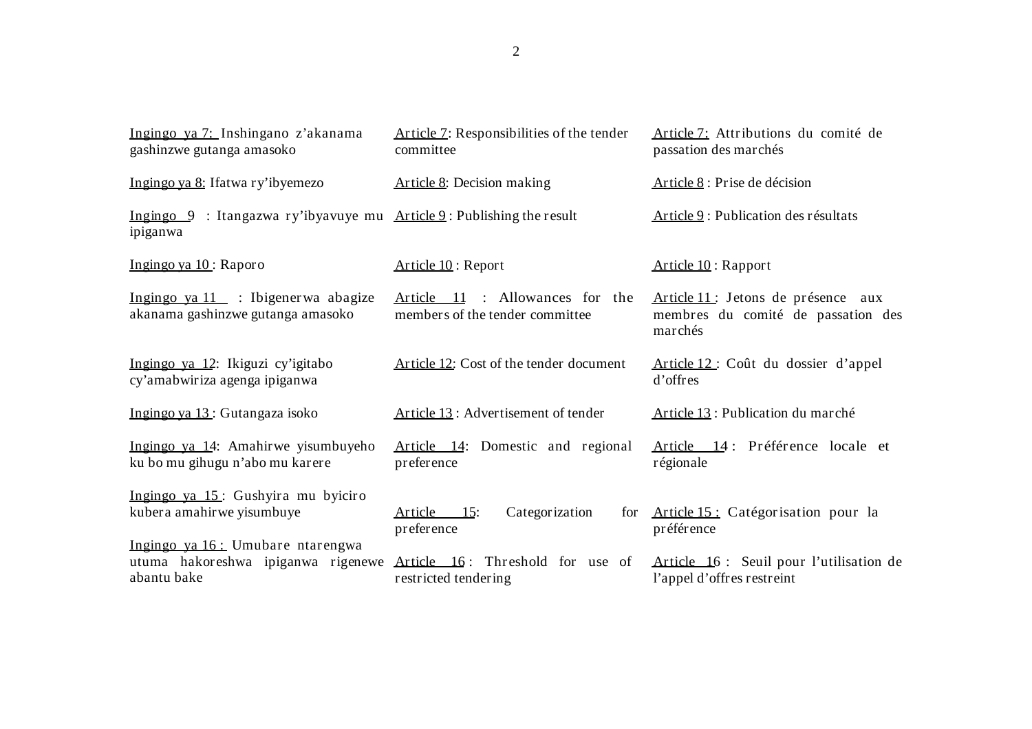| Ingingo ya 7: Inshingano z'akanama<br>gashinzwe gutanga amasoko                                     | Article 7: Responsibilities of the tender<br>committee                      | Article 7: Attributions du comité de<br>passation des marchés                        |
|-----------------------------------------------------------------------------------------------------|-----------------------------------------------------------------------------|--------------------------------------------------------------------------------------|
| Ingingo ya 8: Ifatwa ry'ibyemezo                                                                    | Article 8: Decision making                                                  | Article $8$ : Prise de décision                                                      |
| Ingingo $9$ : Itangazwa ry'ibyavuye mu Article 9: Publishing the result<br>ipiganwa                 |                                                                             | Article 9: Publication des résultats                                                 |
| Ingingo ya $10$ : Raporo                                                                            | Article $10$ : Report                                                       | Article 10: Rapport                                                                  |
| Ingingo ya 11 : Ibigenerwa abagize<br>akanama gashinzwe gutanga amasoko                             | : Allowances for the<br>Article<br>$-11$<br>members of the tender committee | Article 11 : Jetons de présence aux<br>membres du comité de passation des<br>marchés |
| Ingingo ya 12: Ikiguzi cy'igitabo<br>cy'amabwiriza agenga ipiganwa                                  | Article 12: Cost of the tender document                                     | Article 12: Coût du dossier d'appel<br>d'offres                                      |
| Ingingo ya 13: Gutangaza isoko                                                                      | Article 13: Advertisement of tender                                         | Article 13 : Publication du marché                                                   |
| Ingingo ya 14: Amahirwe yisumbuyeho<br>ku bo mu gihugu n'abo mu karere                              | Article 14: Domestic and regional<br>preference                             | Article 14: Préférence locale et<br>régionale                                        |
| Ingingo ya 15: Gushyira mu byiciro<br>kubera amahirwe yisumbuye<br>Ingingo ya 16: Umubare ntarengwa | Article 15:<br>Categorization<br>for<br>preference                          | Article 15 : Catégorisation pour la<br>préférence                                    |
| utuma hakoreshwa ipiganwa rigenewe<br>abantu bake                                                   | Article 16: Threshold for use of<br>restricted tendering                    | Article 16 : Seuil pour l'utilisation de<br>l'appel d'offres restreint               |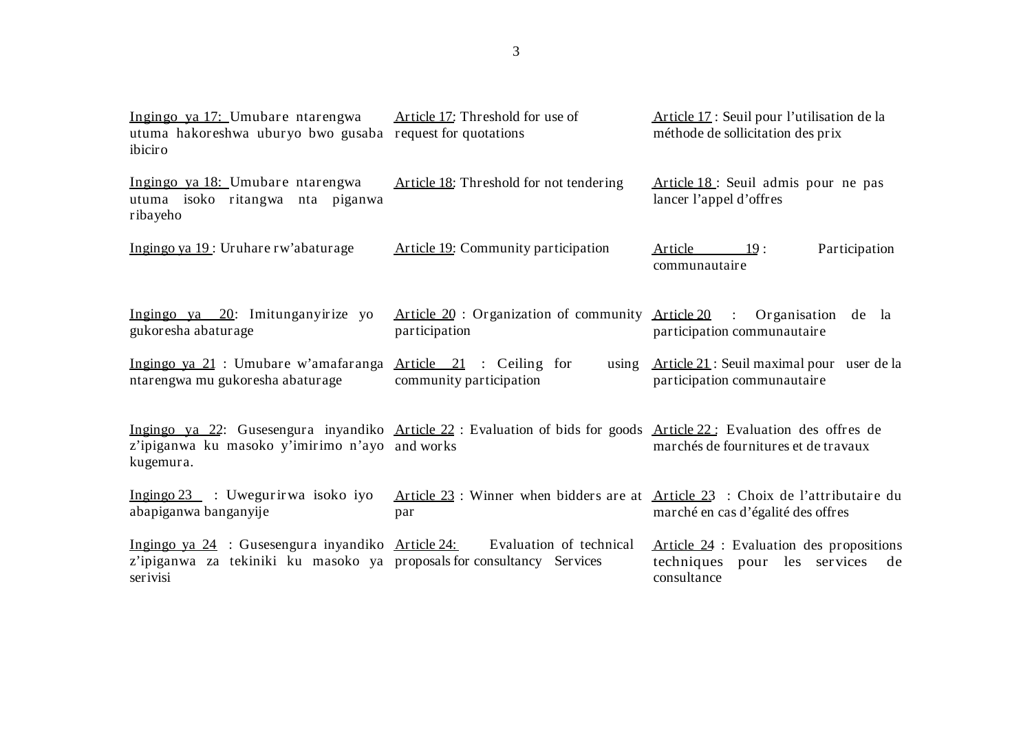| Ingingo ya 17: Umubare ntarengwa                          | Article 17: Threshold for use of | Article 17: Seuil pour l'utilisation de la |
|-----------------------------------------------------------|----------------------------------|--------------------------------------------|
| utuma hakoreshwa uburyo bwo gusaba request for quotations |                                  | méthode de sollicitation des prix          |
| ibiciro                                                   |                                  |                                            |

Ingingo ya 18: Umubare ntarengwa utuma isoko ritangwa nta piganwa ribayeho Article 18: Threshold for not tendering Article 18 : Seuil admis pour ne pas lancer l'appel d'offres

Ingingo ya 19 : Uruhare rw'abaturage Article 19: Community participation Article 19: Participation communautaire

Ingingo ya 20: Imitunganyirize yo gukoresha abaturage Article 20: Organization of community Article 20 participation : Organisation de la participation communautaire

Ingingo ya 21 : Umubare w'amafaranga ntarengwa mu gukoresha abaturage Article  $21$  : Ceiling for community participation Article 21 : Seuil maximal pour user de la participation communautaire

Ingingo ya 22: Gusesengura inyandiko Article 22 : Evaluation of bids for goods Article 22 : Evaluation des offres de z'ipiganwa ku masoko y'imirimo n'ayo and works kugemura. marchés de fournitures et de travaux

Ingingo 23 : Uwegurirwa isoko iyo abapiganwa banganyije Article 23 : Winner when bidders are at Article 23 : Choix de l'attributaire du par marché en cas d'égalité des offres

Ingingo ya 24 : Gusesengura inyandiko Article 24: z'ipiganwa za tekiniki ku masoko ya proposals for consultancy Services serivisi Evaluation of technical Article 24 : Evaluation des propositions techniques pour les services de consultance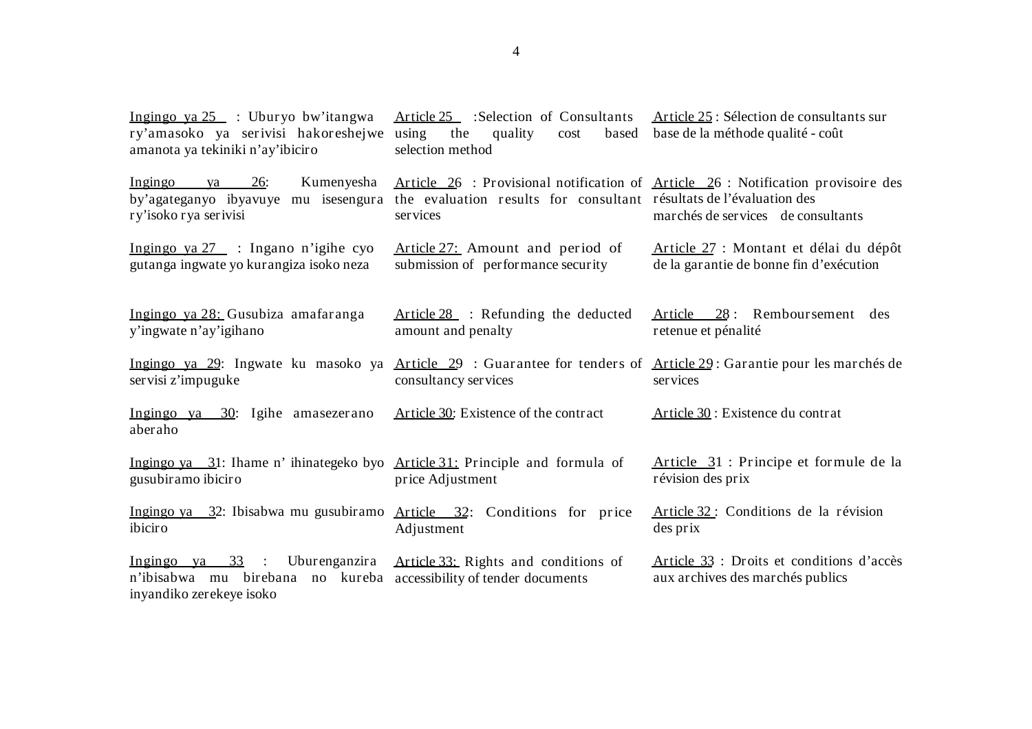Ingingo ya 25 : Ubur yo bw'itangwa ry'amasoko ya serivisi hakoreshejwe amanota ya tekiniki n'ay'ibiciro Article 25 : Selection of Consultants Article 25: Sélection de consultants sur the quality cost selection method based base de la méthode qualité - coût

Ingingo ya 26: Kumenyesha by'agateganyo ibyavuye mu isesengura the evaluation results for consultant résultats de l'évaluation des ry'isoko rya serivisi Article 26 : Provisional notification of Article 26 : Notification provisoire des services marchés de services de consultants

Ingingo ya 27 : Ingano n'igihe cyo gutanga ingwate yo kurangiza isoko neza Article 27: Amount and period of submission of performance security Article 27 : Montant et délai du dépôt de la garantie de bonne fin d'exécution

Ingingo ya 28: Gusubiza amafaranga y'ingwate n'ay'igihano Article 28 : Refunding the deducted amount and penalty Article 28 : Remboursement des retenue et pénalité

Ingingo ya 29: Ingwate ku masoko ya servisi z'impuguke Article 29 : Guarantee for tenders of Article 29: Garantie pour les marchés de consultancy services services

Ingingo ya 30: Igihe amasezerano aberaho Article 30: Existence of the contract Article 30 : Existence du contrat

Ingingo ya 31: Ihame n' ihinategeko byo Article 31: Principle and formula of gusubiramo ibiciro price Adjustment

Ingingo ya 32: Ibisabwa mu gusubiramo Article 32: Conditions for price ibiciro Adjustment

Ingingo ya  $33$  : n'ibisabwa mu birebana no kureba accessibility of tender documents inyandiko zerekeye isoko Uburenganzira Article 33: Rights and conditions of Article 33 : Droits et conditions d'accès aux archives des marchés publics

Article 31 : Principe et formule de la

Article 32 : Conditions de la révision

révision des prix

des prix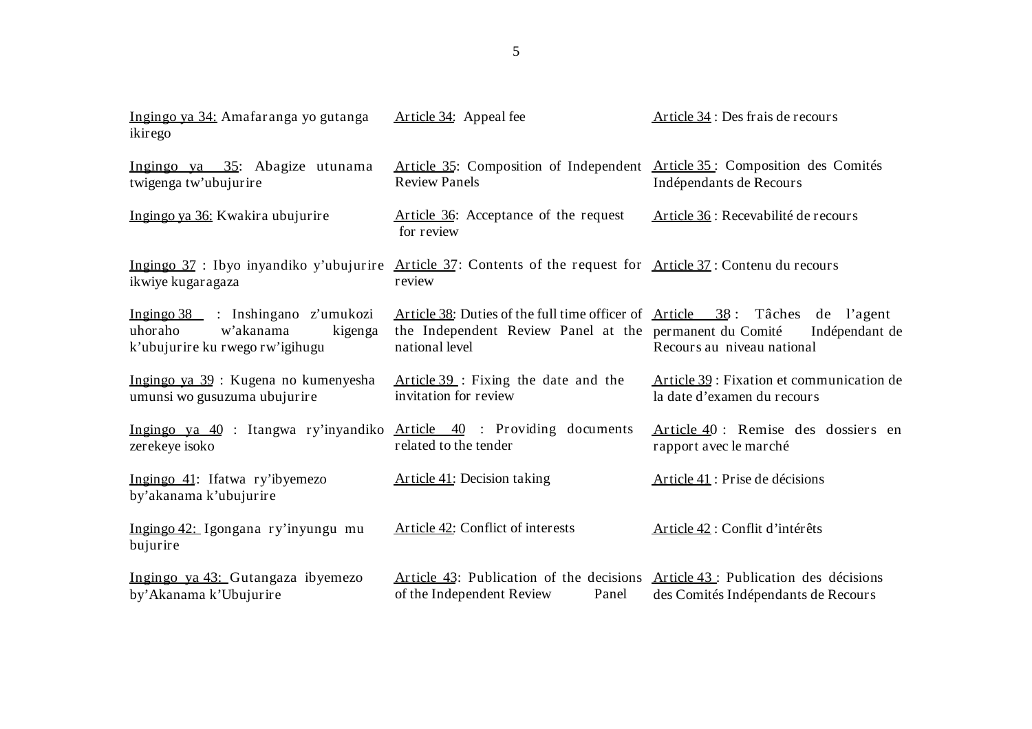| Ingingo ya 34: Amafaranga yo gutanga<br>ikirego                                                                                    | Article 34: Appeal fee                                                                                                                                    | Article 34 : Des frais de recours                                        |
|------------------------------------------------------------------------------------------------------------------------------------|-----------------------------------------------------------------------------------------------------------------------------------------------------------|--------------------------------------------------------------------------|
| Ingingo ya 35: Abagize utunama<br>twigenga tw'ubujurire                                                                            | Article 35: Composition of Independent Article 35: Composition des Comités<br><b>Review Panels</b>                                                        | Indépendants de Recours                                                  |
| Ingingo ya 36: Kwakira ubujurire                                                                                                   | Article 36: Acceptance of the request<br>for review                                                                                                       | Article 36 : Recevabilité de recours                                     |
| Ingingo 37: Ibyo inyandiko y'ubujurire Article 37: Contents of the request for Article 37: Contenu du recours<br>ikwiye kugaragaza | review                                                                                                                                                    |                                                                          |
| Ingingo 38 : Inshingano z'umukozi<br>uhoraho<br>w'akanama<br>kigenga<br>k'ubujurire ku rwego rw'igihugu                            | Article 38: Duties of the full time officer of Article 38: Tâches de l'agent<br>the Independent Review Panel at the permanent du Comité<br>national level | Indépendant de<br>Recours au niveau national                             |
| Ingingo ya 39 : Kugena no kumenyesha<br>umunsi wo gusuzuma ubujurire                                                               | $Article 39$ : Fixing the date and the<br>invitation for review                                                                                           | Article 39 : Fixation et communication de<br>la date d'examen du recours |
| Ingingo ya 40 : Itangwa ry'inyandiko Article 40 : Providing documents<br>zerekeye isoko                                            | related to the tender                                                                                                                                     | Article 40 : Remise des dossiers en<br>rapport avec le marché            |
| Ingingo 41: Ifatwa ry'ibyemezo<br>by'akanama k'ubujurire                                                                           | Article 41: Decision taking                                                                                                                               | Article 41 : Prise de décisions                                          |
| Ingingo 42: Igongana ry'inyungu mu<br>bujurire                                                                                     | Article 42: Conflict of interests                                                                                                                         | Article 42 : Conflit d'intérêts                                          |
| Ingingo ya 43: Gutangaza ibyemezo<br>by' Akanama k'Ubujurire                                                                       | Article $43$ : Publication of the decisions Article $43$ : Publication des décisions<br>of the Independent Review<br>Panel                                | des Comités Indépendants de Recours                                      |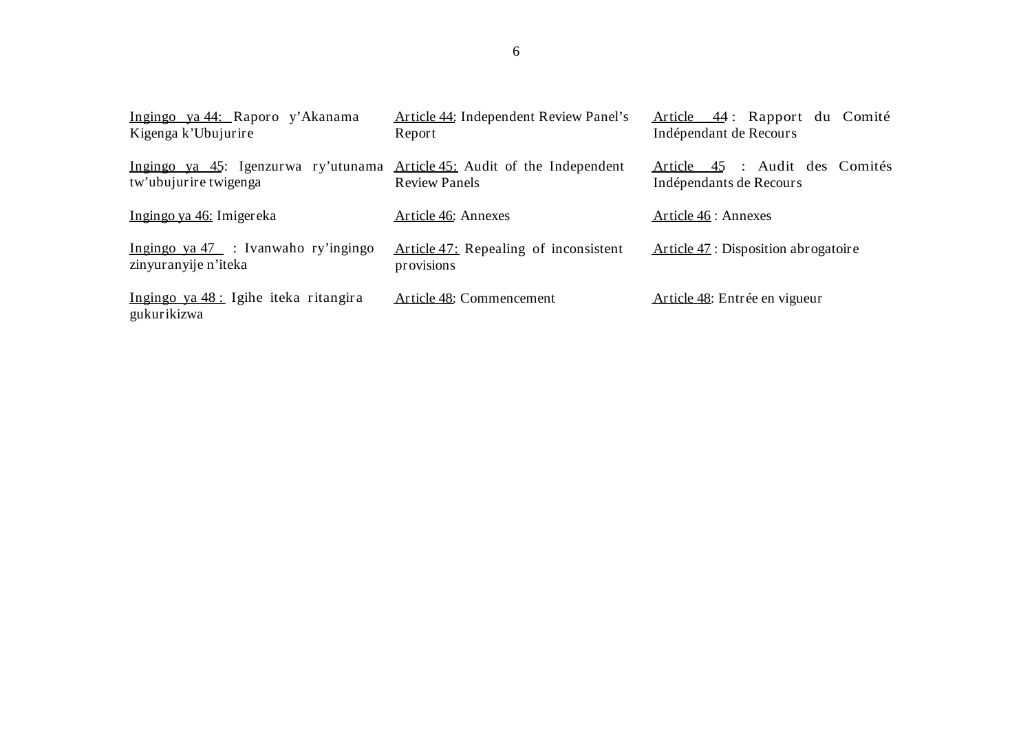| Ingingo ya 44: Raporo y'Akanama<br>Kigenga k'Ubujurire                                            | Article 44: Independent Review Panel's<br>Report    | Article 44: Rapport du Comité<br>Indépendant de Recours   |
|---------------------------------------------------------------------------------------------------|-----------------------------------------------------|-----------------------------------------------------------|
| Ingingo ya 45: Igenzurwa ry'utunama Article 45: Audit of the Independent<br>tw'ubujurire twigenga | <b>Review Panels</b>                                | Article 45 : Audit des Comités<br>Indépendants de Recours |
| Ingingo ya 46: Imigereka                                                                          | Article 46: Annexes                                 | Article 46 : Annexes                                      |
| Ingingo ya $47$ : Ivanwaho ry'ingingo<br>zinyuranyije n'iteka                                     | Article 47: Repealing of inconsistent<br>provisions | Article $47$ : Disposition abrogatoire                    |
| Ingingo ya 48 : Igihe iteka ritangira<br>gukurikizwa                                              | Article 48: Commencement                            | Article 48: Entrée en vigueur                             |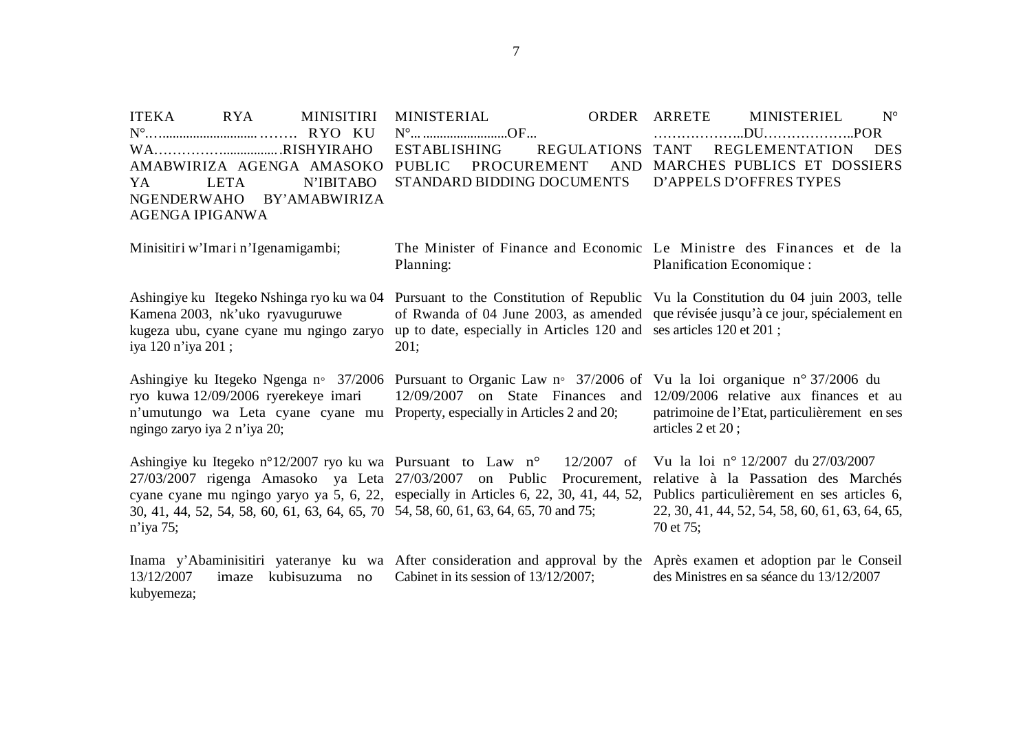| <b>MINISITIRI</b><br><b>ITEKA</b><br><b>RYA</b><br>WARISHYIRAHO<br>AMABWIRIZA AGENGA AMASOKO                                                                                                                                                                                                                                              | <b>MINISTERIAL</b><br>ORDER<br>$N^{\circ}$ OF<br><b>ESTABLISHING</b><br>REGULATIONS TANT<br><b>PUBLIC</b><br>PROCUREMENT<br><b>AND</b>                            | <b>MINISTERIEL</b><br>$N^{\circ}$<br><b>ARRETE</b><br><b>REGLEMENTATION</b><br><b>DES</b><br>MARCHES PUBLICS ET DOSSIERS                                                                 |
|-------------------------------------------------------------------------------------------------------------------------------------------------------------------------------------------------------------------------------------------------------------------------------------------------------------------------------------------|-------------------------------------------------------------------------------------------------------------------------------------------------------------------|------------------------------------------------------------------------------------------------------------------------------------------------------------------------------------------|
| <b>LETA</b><br>N'IBITABO<br>YA<br><b>NGENDERWAHO</b><br>BY'AMABWIRIZA<br><b>AGENGA IPIGANWA</b>                                                                                                                                                                                                                                           | STANDARD BIDDING DOCUMENTS                                                                                                                                        | D'APPELS D'OFFRES TYPES                                                                                                                                                                  |
| Minisitiri w'Imari n'Igenamigambi;                                                                                                                                                                                                                                                                                                        | Planning:                                                                                                                                                         | The Minister of Finance and Economic Le Ministre des Finances et de la<br>Planification Economique :                                                                                     |
| Ashingiye ku Itegeko Nshinga ryo ku wa 04<br>Kamena 2003, nk'uko ryavuguruwe<br>kugeza ubu, cyane cyane mu ngingo zaryo<br>iya 120 n'iya 201;                                                                                                                                                                                             | Pursuant to the Constitution of Republic Vu la Constitution du 04 juin 2003, telle<br>up to date, especially in Articles 120 and ses articles 120 et 201;<br>201; | of Rwanda of 04 June 2003, as amended que révisée jusqu'à ce jour, spécialement en                                                                                                       |
| Ashingiye ku Itegeko Ngenga n° 37/2006 Pursuant to Organic Law n° 37/2006 of Vu la loi organique n° 37/2006 du<br>ryo kuwa 12/09/2006 ryerekeye imari<br>n'umutungo wa Leta cyane cyane mu<br>ngingo zaryo iya 2 n'iya 20;                                                                                                                | Property, especially in Articles 2 and 20;                                                                                                                        | $12/09/2007$ on State Finances and $12/09/2006$ relative aux finances et au<br>patrimoine de l'Etat, particulièrement en ses<br>articles 2 et 20;                                        |
| Ashingiye ku Itegeko n°12/2007 ryo ku wa Pursuant to Law n° 12/2007 of<br>$27/03/2007$ rigenga Amasoko ya Leta $27/03/2007$ on Public<br>cyane cyane mu ngingo yaryo ya 5, 6, 22, especially in Articles 6, 22, 30, 41, 44, 52,<br>30, 41, 44, 52, 54, 58, 60, 61, 63, 64, 65, 70, 54, 58, 60, 61, 63, 64, 65, 70 and 75;<br>$n$ 'iya 75; | Procurement,                                                                                                                                                      | Vu la loi nº 12/2007 du 27/03/2007<br>relative à la Passation des Marchés<br>Publics particulièrement en ses articles 6,<br>22, 30, 41, 44, 52, 54, 58, 60, 61, 63, 64, 65,<br>70 et 75; |
| Inama y'Abaminisitiri yateranye ku wa After consideration and approval by the Après examen et adoption par le Conseil<br>13/12/2007<br>kubisuzuma no<br>imaze<br>kubyemeza;                                                                                                                                                               | Cabinet in its session of 13/12/2007;                                                                                                                             | des Ministres en sa séance du 13/12/2007                                                                                                                                                 |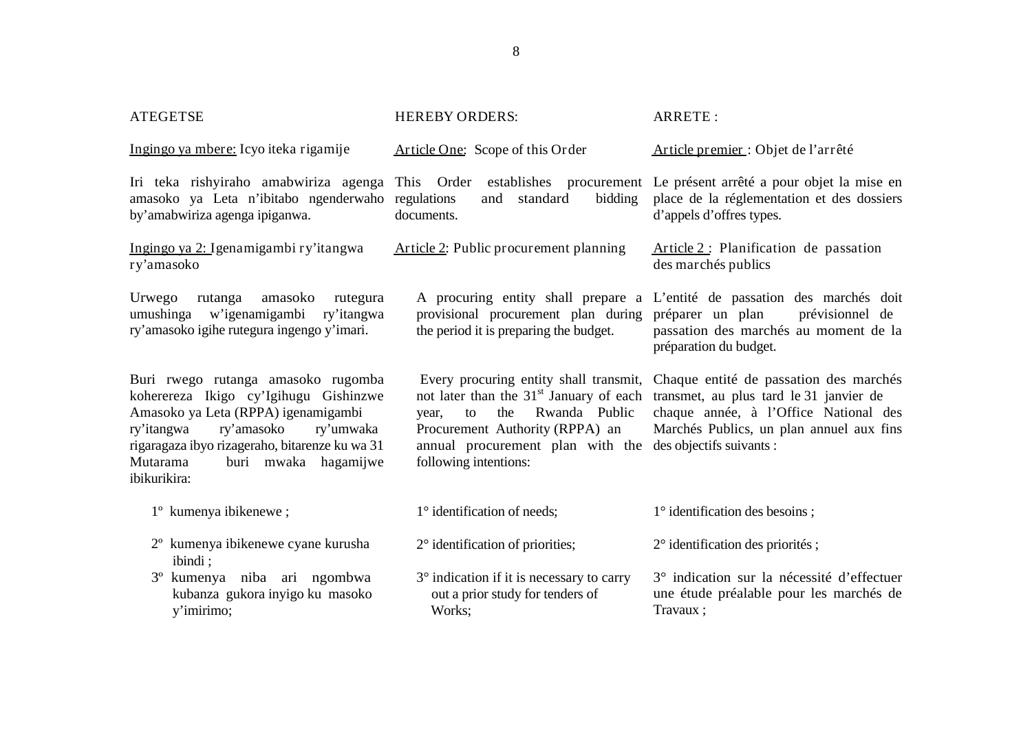| <b>ATEGETSE</b>                                                                                                                                                                                                                                                   | <b>HEREBY ORDERS:</b>                                                                                                                                                                                                      | ARRETE:                                                                                                                                                                                            |
|-------------------------------------------------------------------------------------------------------------------------------------------------------------------------------------------------------------------------------------------------------------------|----------------------------------------------------------------------------------------------------------------------------------------------------------------------------------------------------------------------------|----------------------------------------------------------------------------------------------------------------------------------------------------------------------------------------------------|
| Ingingo ya mbere: Icyo iteka rigamije                                                                                                                                                                                                                             | Article One: Scope of this Order                                                                                                                                                                                           | Article premier : Objet de l'arrêté                                                                                                                                                                |
| Iri teka rishyiraho amabwiriza agenga<br>amasoko ya Leta n'ibitabo ngenderwaho regulations<br>by'amabwiriza agenga ipiganwa.                                                                                                                                      | This Order establishes procurement Le présent arrêté a pour objet la mise en<br>standard<br>bidding<br>and<br>documents.                                                                                                   | place de la réglementation et des dossiers<br>d'appels d'offres types.                                                                                                                             |
| Ingingo ya 2: Igenamigambi ry'itangwa<br>ry'amasoko                                                                                                                                                                                                               | Article 2: Public procurement planning                                                                                                                                                                                     | Article 2 : Planification de passation<br>des marchés publics                                                                                                                                      |
| amasoko<br>Urwego<br>rutanga<br>rutegura<br>umushinga w'igenamigambi ry'itangwa<br>ry'amasoko igihe rutegura ingengo y'imari.                                                                                                                                     | provisional procurement plan during<br>the period it is preparing the budget.                                                                                                                                              | A procuring entity shall prepare a L'entité de passation des marchés doit<br>prévisionnel de<br>préparer un plan<br>passation des marchés au moment de la<br>préparation du budget.                |
| Buri rwego rutanga amasoko rugomba<br>koherereza Ikigo cy'Igihugu Gishinzwe<br>Amasoko ya Leta (RPPA) igenamigambi<br>ry'itangwa<br>ry'amasoko<br>ry'umwaka<br>rigaragaza ibyo rizageraho, bitarenze ku wa 31<br>Mutarama<br>buri mwaka hagamijwe<br>ibikurikira: | Every procuring entity shall transmit,<br>not later than the $31st$ January of each<br>Rwanda Public<br>the<br>to<br>year,<br>Procurement Authority (RPPA) an<br>annual procurement plan with the<br>following intentions: | Chaque entité de passation des marchés<br>transmet, au plus tard le 31 janvier de<br>chaque année, à l'Office National des<br>Marchés Publics, un plan annuel aux fins<br>des objectifs suivants : |
| 1° kumenya ibikenewe;                                                                                                                                                                                                                                             | 1° identification of needs;                                                                                                                                                                                                | $1^\circ$ identification des besoins;                                                                                                                                                              |
| 2 <sup>°</sup> kumenya ibikenewe cyane kurusha<br>ibindi;                                                                                                                                                                                                         | $2^{\circ}$ identification of priorities;                                                                                                                                                                                  | $2^{\circ}$ identification des priorités;                                                                                                                                                          |
| 3 <sup>°</sup> kumenya niba ari ngombwa<br>kubanza gukora inyigo ku masoko<br>y'imirimo;                                                                                                                                                                          | $3^\circ$ indication if it is necessary to carry<br>out a prior study for tenders of<br>Works;                                                                                                                             | 3° indication sur la nécessité d'effectuer<br>une étude préalable pour les marchés de<br>Travaux ;                                                                                                 |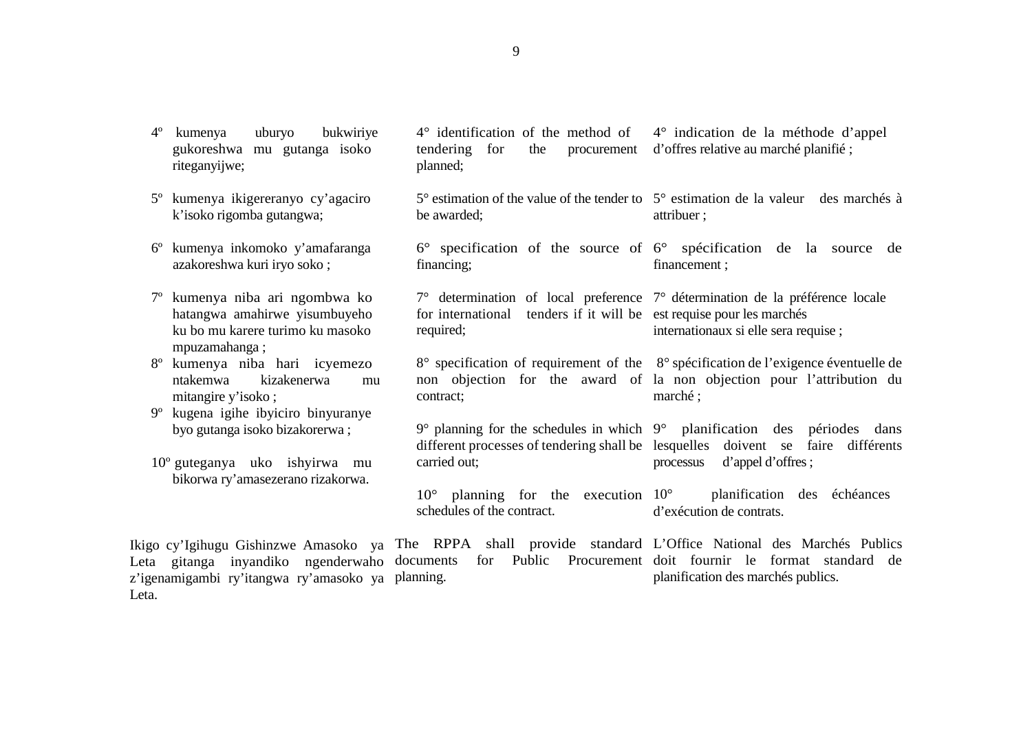| $4^{\circ}$                | uburyo<br>kumenya<br>bukwiriye<br>gukoreshwa mu gutanga isoko<br>riteganyijwe;                                        | $4^\circ$ identification of the method of<br>tendering for<br>the<br>procurement<br>planned; | 4° indication de la méthode d'appel<br>d'offres relative au marché planifié;                                                                                                                                      |
|----------------------------|-----------------------------------------------------------------------------------------------------------------------|----------------------------------------------------------------------------------------------|-------------------------------------------------------------------------------------------------------------------------------------------------------------------------------------------------------------------|
|                            | 5 <sup>°</sup> kumenya ikigereranyo cy'agaciro<br>k'isoko rigomba gutangwa;                                           | be awarded;                                                                                  | $5^{\circ}$ estimation of the value of the tender to $5^{\circ}$ estimation de la valeur des marchés à<br>attribuer;                                                                                              |
| $6^{\circ}$                | kumenya inkomoko y'amafaranga<br>azakoreshwa kuri iryo soko;                                                          | financing;                                                                                   | $6^{\circ}$ specification of the source of $6^{\circ}$ spécification de la source de<br>financement;                                                                                                              |
|                            | 7° kumenya niba ari ngombwa ko<br>hatangwa amahirwe yisumbuyeho<br>ku bo mu karere turimo ku masoko<br>mpuzamahanga;  | for international tenders if it will be est requise pour les marchés<br>required;            | $7^{\circ}$ determination of local preference $7^{\circ}$ determination de la préférence locale<br>internationaux si elle sera requise;                                                                           |
| $8^{\circ}$<br>$9^{\circ}$ | kumenya niba hari icyemezo<br>kizakenerwa<br>ntakemwa<br>mu<br>mitangire y'isoko;<br>kugena igihe ibyiciro binyuranye | contract;                                                                                    | 8° specification of requirement of the 8° spécification de l'exigence éventuelle de<br>non objection for the award of la non objection pour l'attribution du<br>marché;                                           |
|                            | byo gutanga isoko bizakorerwa;<br>10° guteganya uko ishyirwa mu<br>bikorwa ry'amasezerano rizakorwa.                  | carried out;                                                                                 | $9^{\circ}$ planning for the schedules in which $9^{\circ}$ planification des périodes dans<br>different processes of tendering shall be lesquelles doivent se faire différents<br>d'appel d'offres;<br>processus |
|                            |                                                                                                                       | schedules of the contract.                                                                   | $10^{\circ}$ planning for the execution $10^{\circ}$ planification des échéances<br>d'exécution de contrats.                                                                                                      |
|                            | Leta gitanga inyandiko ngenderwaho documents<br>z'igenamigambi ry'itangwa ry'amasoko ya planning.                     | for Public                                                                                   | Ikigo cy'Igihugu Gishinzwe Amasoko ya The RPPA shall provide standard L'Office National des Marchés Publics<br>Procurement doit fournir le<br>format standard de<br>planification des marchés publics.            |

Leta.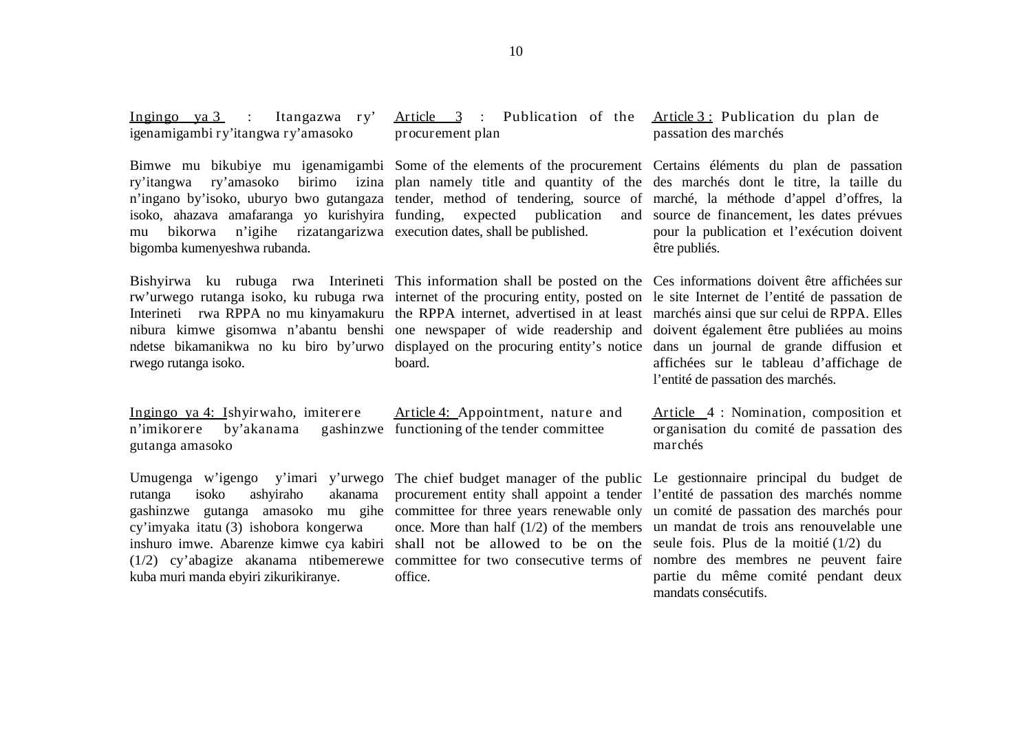## Ingingo ya 3 : Itangazwa ry' igenamigambi ry'itangwa ry'amasoko Article 3 : Publication of the Article 3: Publication du plan de procurement plan

ry'itangwa ry'amasoko birimo izina plan namely title and quantity of the des marchés dont le titre, la taille du n'ingano by'isoko, uburyo bwo gutangaza tender, method of tendering, source of marché, la méthode d'appel d'offres, la isoko, ahazava amafaranga yo kurishyira funding, expected publication and source de financement, les dates prévues mu bikorwa n'igihe rizatangarizwa execution dates, shall be published. bigomba kumenyeshwa rubanda.

rwego rutanga isoko.

Ingingo ya 4: Ishyirwaho, imiterere n'imikorere by'akanama gutanga amasoko

rutanga isoko ashyiraho akanama cy'imyaka itatu (3) ishobora kongerwa kuba muri manda ebyiri zikurikiranye.

rw'urwego rutanga isoko, ku rubuga rwa internet of the procuring entity, posted on le site Internet de l'entité de passation de Interineti rwa RPPA no mu kinyamakuru the RPPA internet, advertised in at least marchés ainsi que sur celui de RPPA. Elles nibura kimwe gisomwa n'abantu benshi one newspaper of wide readership and doivent également être publiées au moins ndetse bikamanikwa no ku biro by'urwo displayed on the procuring entity's notice dans un journal de grande diffusion et board.

> Article 4: Appointment, nature and gashinzwe functioning of the tender committee

gashinzwe gutanga amasoko mu gihe committee for three years renewable only un comité de passation des marchés pour inshuro imwe. Abarenze kimwe cya kabiri shall not be allowed to be on the seule fois. Plus de la moitié (1/2) du (1/2) cy'abagize akanama ntibemerewe committee for two consecutive terms of nombre des membres ne peuvent faire procurement entity shall appoint a tender l'entité de passation des marchés nomme once. More than half (1/2) of the members un mandat de trois ans renouvelable une office.

passation des marchés

Bimwe mu bikubiye mu igenamigambi Some of the elements of the procurement Certains éléments du plan de passation pour la publication et l'exécution doivent être publiés.

Bishyirwa ku rubuga rwa Interineti This information shall be posted on the Ces informations doivent être affichées sur affichées sur le tableau d'affichage de l'entité de passation des marchés.

> Article 4 : Nomination, composition et organisation du comité de passation des marchés

Umugenga w'igengo y'imari y'urwego The chief budget manager of the public Le gestionnaire principal du budget de partie du même comité pendant deux mandats consécutifs.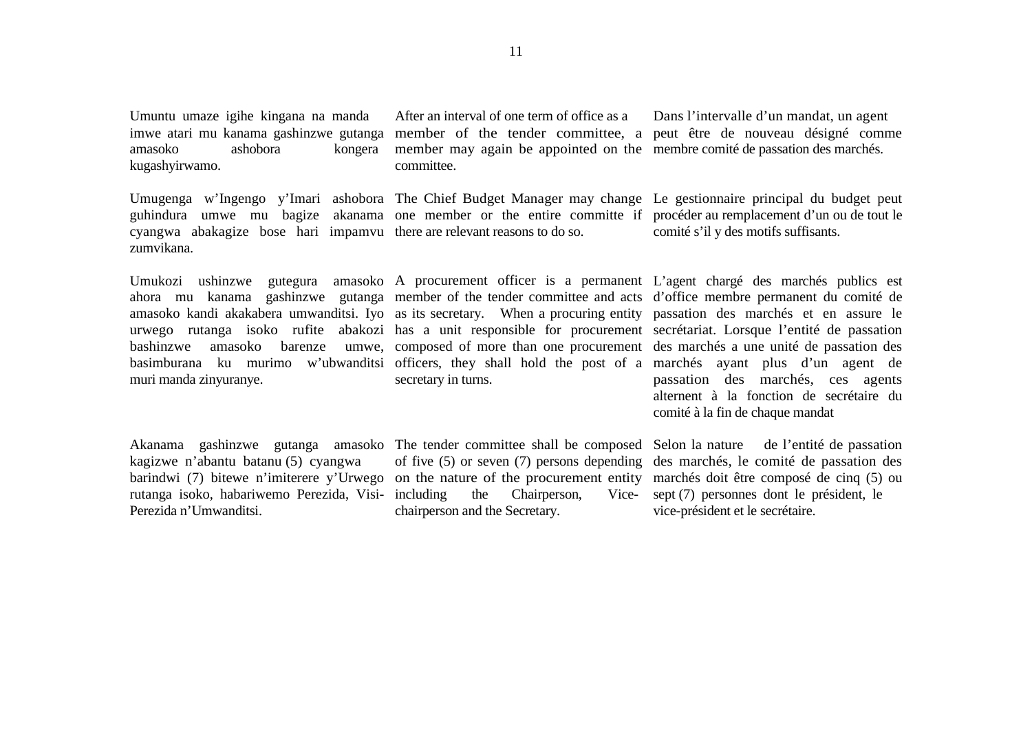Umuntu umaze igihe kingana na manda amasoko ashobora kongera kugashyirwamo.

cyangwa abakagize bose hari impamvu there are relevant reasons to do so. zumvikana.

muri manda zinyuranye.

Akanama gashinzwe gutanga amasoko The tender committee shall be composed Selon la nature de l'entité de passation kagizwe n'abantu batanu (5) cyangwa rutanga isoko, habariwemo Perezida, Visi-Perezida n'Umwanditsi.

imwe atari mu kanama gashinzwe gutanga member of the tender committee, a peut être de nouveau désigné comme After an interval of one term of office as a Dans l'intervalle d'un mandat, un agent member may again be appointed on the membre comité de passation des marchés. committee.

guhindura umwe mu bagize akanama one member or the entire committe if procéder au remplacement d'un ou de tout le

ahora mu kanama gashinzwe gutanga member of the tender committee and acts d'office membre permanent du comité de amasoko kandi akakabera umwanditsi. Iyo as its secretary. When a procuring entity passation des marchés et en assure le urwego rutanga isoko rufite abakozi has a unit responsible for procurement secrétariat. Lorsque l'entité de passation bashinzwe amasoko barenze umwe, composed of more than one procurement des marchés a une unité de passation des basimburana ku murimo w'ubwanditsi officers, they shall hold the post of a marchés ayant plus d'un agent de secretary in turns.

Umugenga w'Ingengo y'Imari ashobora The Chief Budget Manager may change Le gestionnaire principal du budget peut comité s'il y des motifs suffisants.

Umukozi ushinzwe gutegura amasoko A procurement officer is a permanent L'agent chargé des marchés publics est passation des marchés, ces agents alternent à la fonction de secrétaire du comité à la fin de chaque mandat

barindwi (7) bitewe n'imiterere y'Urwego on the nature of the procurement entity marchés doit être composé de cinq (5) ou of five (5) or seven (7) persons depending des marchés, le comité de passation des the Chairperson, chairperson and the Secretary.

Vice- sept (7) personnes dont le président, le vice-président et le secrétaire.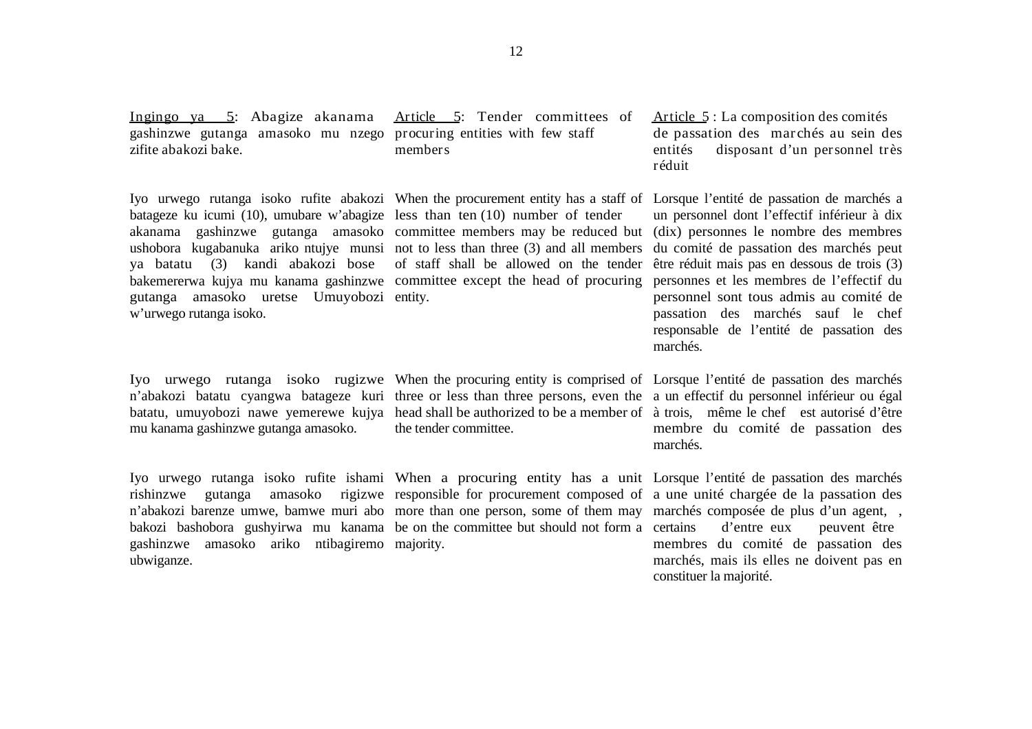|                      |  | Ingingo ya $5$ : Abagize akanama Article 5: Tender committees of Article $5$ : La composition des comités |                                          |
|----------------------|--|-----------------------------------------------------------------------------------------------------------|------------------------------------------|
|                      |  | gashinzwe gutanga amasoko mu nzego procuring entities with few staff                                      | de passation des marchés au sein des     |
| zifite abakozi bake. |  | members                                                                                                   | disposant d'un personnel très<br>entités |
|                      |  |                                                                                                           | rádnit                                   |

batageze ku icumi (10), umubare w'abagize less than ten (10) number of tender akanama gashinzwe gutanga amasoko committee members may be reduced but (dix) personnes le nombre des membres ushobora kugabanuka ariko ntujye munsi not to less than three (3) and all members du comité de passation des marchés peut ya batatu (3) kandi abakozi bose of staff shall be allowed on the tender être réduit mais pas en dessous de trois (3) bakemererwa kujya mu kanama gashinzwe committee except the head of procuring personnes et les membres de l'effectif du gutanga amasoko uretse Umuyobozi entity. w'urwego rutanga isoko.

mu kanama gashinzwe gutanga amasoko.

gashinzwe amasoko ariko ntibagiremo majority. ubwiganze.

Iyo urwego rutanga isoko rugizwe When the procuring entity is comprised of Lorsque l'entité de passation des marchés n'abakozi batatu cyangwa batageze kuri three or less than three persons, even the a un effectif du personnel inférieur ou égal batatu, umuyobozi nawe yemerewe kujya head shall be authorized to be a member of à trois, même le chef est autorisé d'être the tender committee.

rishinzwe gutanga amasoko rigizwe responsible for procurement composed of a une unité chargée de la passation des n'abakozi barenze umwe, bamwe muri abo more than one person, some of them may marchés composée de plus d'un agent, , bakozi bashobora gushyirwa mu kanama be on the committee but should not form a

Iyo urwego rutanga isoko rufite abakozi When the procurement entity has a staff of Lorsque l'entité de passation de marchés a réduit un personnel dont l'effectif inférieur à dix personnel sont tous admis au comité de passation des marchés sauf le chef responsable de l'entité de passation des

> membre du comité de passation des marchés.

marchés.

Iyo urwego rutanga isoko rufite ishami When a procuring entity has a unit Lorsque l'entité de passation des marchés d'entre eux peuvent être membres du comité de passation des marchés, mais ils elles ne doivent pas en constituer la majorité.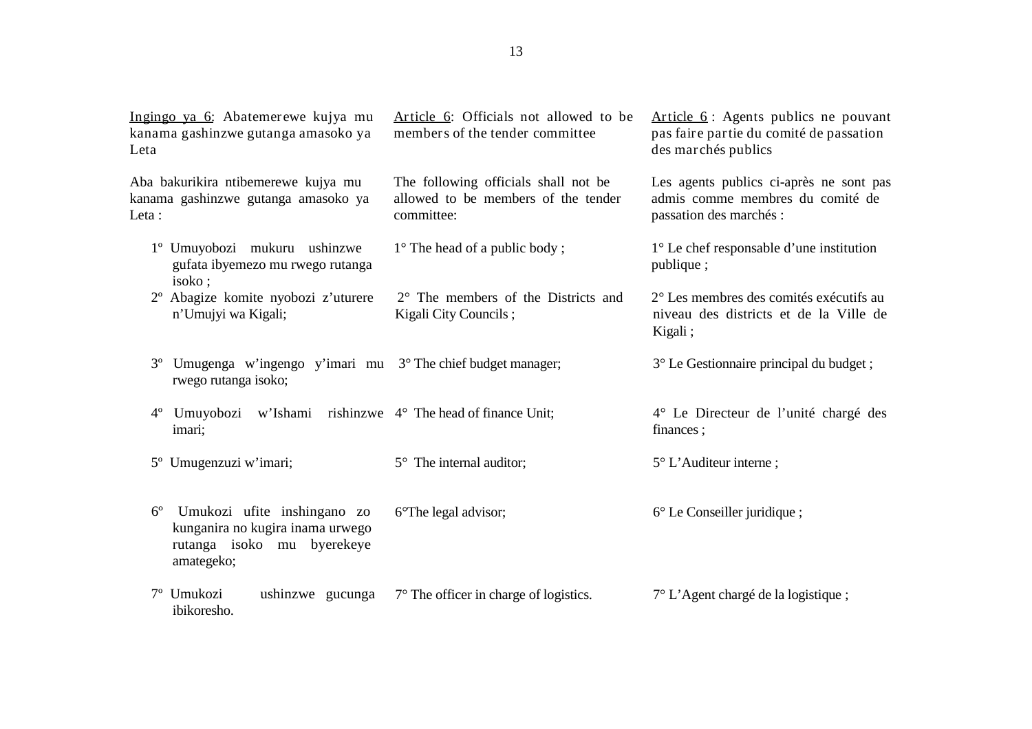| Ingingo ya 6: Abatemerewe kujya mu<br>kanama gashinzwe gutanga amasoko ya<br>Leta                                          | Article 6: Officials not allowed to be<br>members of the tender committee<br>The following officials shall not be<br>allowed to be members of the tender<br>committee: | Article 6: Agents publics ne pouvant<br>pas faire partie du comité de passation<br>des marchés publics<br>Les agents publics ci-après ne sont pas<br>admis comme membres du comité de<br>passation des marchés : |
|----------------------------------------------------------------------------------------------------------------------------|------------------------------------------------------------------------------------------------------------------------------------------------------------------------|------------------------------------------------------------------------------------------------------------------------------------------------------------------------------------------------------------------|
| Aba bakurikira ntibemerewe kujya mu<br>kanama gashinzwe gutanga amasoko ya<br>Leta :                                       |                                                                                                                                                                        |                                                                                                                                                                                                                  |
| 1º Umuyobozi mukuru ushinzwe<br>gufata ibyemezo mu rwego rutanga<br>isoko;                                                 | $1^\circ$ The head of a public body;                                                                                                                                   | $1^\circ$ Le chef responsable d'une institution<br>publique;                                                                                                                                                     |
| 2º Abagize komite nyobozi z'uturere<br>n'Umujyi wa Kigali;                                                                 | $2^{\circ}$ The members of the Districts and<br>Kigali City Councils;                                                                                                  | 2° Les membres des comités exécutifs au<br>niveau des districts et de la Ville de<br>Kigali;                                                                                                                     |
| Umugenga w'ingengo y'imari mu 3° The chief budget manager;<br>$3^{\circ}$<br>rwego rutanga isoko;                          |                                                                                                                                                                        | 3° Le Gestionnaire principal du budget;                                                                                                                                                                          |
| Umuyobozi w'Ishami rishinzwe $4^{\circ}$ The head of finance Unit;<br>$4^{\circ}$<br>imari;                                |                                                                                                                                                                        | 4° Le Directeur de l'unité chargé des<br>finances;                                                                                                                                                               |
| 5° Umugenzuzi w'imari;                                                                                                     | $5^\circ$ The internal auditor;                                                                                                                                        | 5° L'Auditeur interne;                                                                                                                                                                                           |
| $6^{\circ}$<br>Umukozi ufite inshingano zo<br>kunganira no kugira inama urwego<br>rutanga isoko mu byerekeye<br>amategeko; | 6°The legal advisor;                                                                                                                                                   | $6^{\circ}$ Le Conseiller juridique;                                                                                                                                                                             |
| 7º Umukozi<br>ushinzwe gucunga<br>ibikoresho.                                                                              | $7^\circ$ The officer in charge of logistics.                                                                                                                          | 7° L'Agent chargé de la logistique ;                                                                                                                                                                             |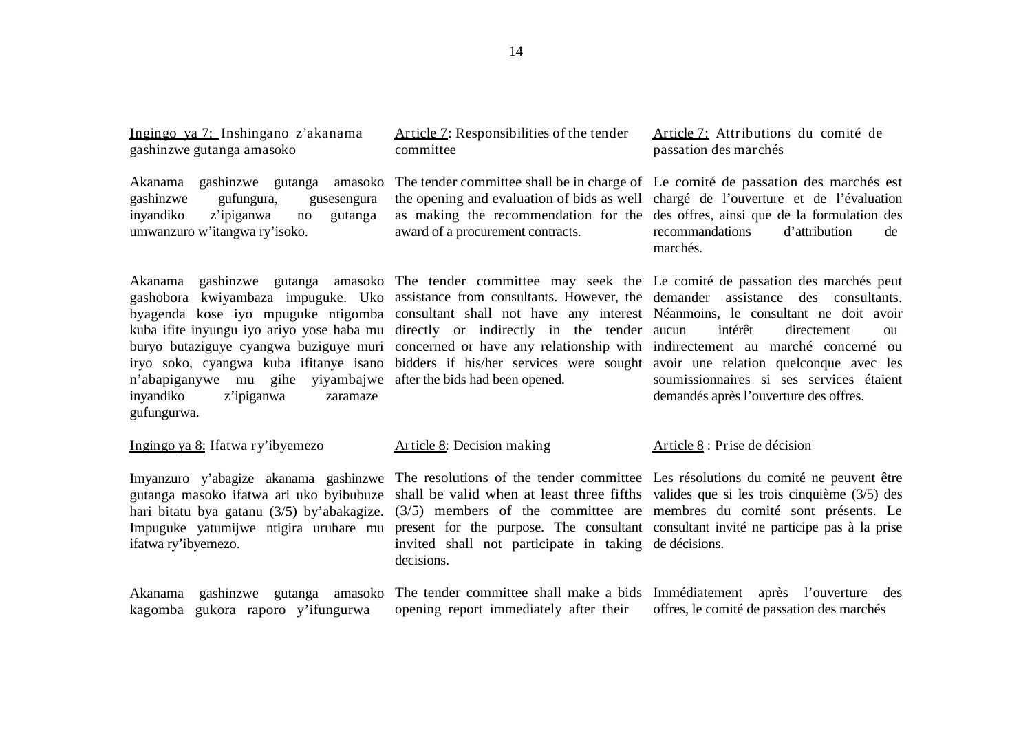Ingingo ya 7: Inshingano z'akanama gashinzwe gutanga amasoko

Akanama gashinzwe gutanga amasoko gashinzwe gufungura, gusesengura inyandiko z'ipiganwa no gutanga umwanzuro w'itangwa ry'isoko.

kuba ifite inyungu iyo ariyo yose haba mu directly or indirectly in the tender n'abapiganywe mu gihe yiyambajwe after the bids had been opened. inyandiko z'ipiganwa zaramaze gufungurwa.

Ingingo ya 8: Ifatwa ry'ibyemezo

Imyanzuro y'abagize akanama gashinzwe The resolutions of the tender committee Les résolutions du comité ne peuvent être gutanga masoko ifatwa ari uko byibubuze shall be valid when at least three fifths valides que si les trois cinquième (3/5) des hari bitatu bya gatanu (3/5) by'abakagize. (3/5) members of the committee are membres du comité sont présents. Le Impuguke yatumijwe ntigira uruhare mu present for the purpose. The consultant consultant invité ne participe pas à la prise ifatwa ry'ibyemezo.

kagomba gukora raporo y'ifungurwa

Article 7: Responsibilities of the tender committee

the opening and evaluation of bids as well chargé de l'ouverture et de l'évaluation as making the recommendation for the des offres, ainsi que de la formulation des award of a procurement contracts.

gashobora kwiyambaza impuguke. Uko assistance from consultants. However, the demander assistance des consultants. byagenda kose iyo mpuguke ntigomba consultant shall not have any interest Néanmoins, le consultant ne doit avoir buryo butaziguye cyangwa buziguye muri concerned or have any relationship with indirectement au marché concerné ou iryo soko, cyangwa kuba ifitanye isano bidders if his/her services were sought avoir une relation quelconque avec les

Article 7: Attributions du comité de passation des marchés

The tender committee shall be in charge of Le comité de passation des marchés est recommandations d'attribution de marchés.

Akanama gashinzwe gutanga amasoko The tender committee may seek the Le comité de passation des marchés peut intérêt directement ou soumissionnaires si ses services étaient demandés après l'ouverture des offres.

## Article 8: Decision making

## Article 8 : Prise de décision

invited shall not participate in taking de décisions. decisions.

Akanama gashinzwe gutanga amasoko The tender committee shall make a bids Immédiatement après l'ouverture des opening report immediately after their offres, le comité de passation des marchés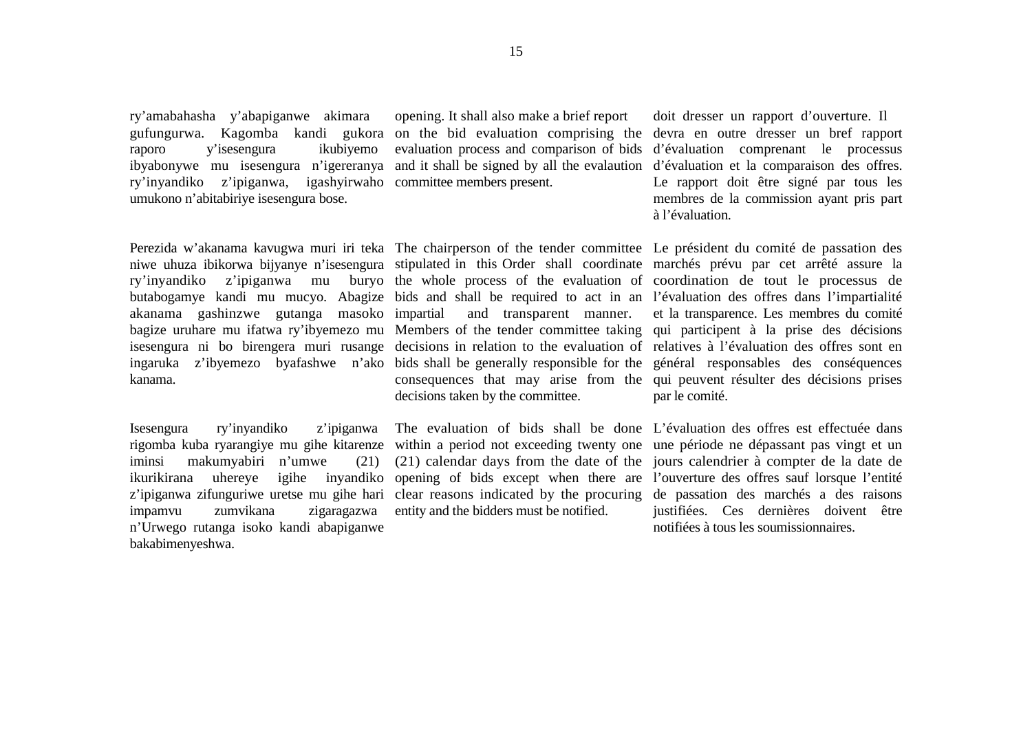ry'amabahasha y'abapiganwe akimara gufungurwa. Kagomba kandi gukora on the bid evaluation comprising the devra en outre dresser un bref rapport raporo y'isesengura ikubiyemo ibyabonywe mu isesengura n'igereranya and it shall be signed by all the evalaution d'évaluation et la comparaison des offres. ry'inyandiko z'ipiganwa, igashyirwaho committee members present. umukono n'abitabiriye isesengura bose.

opening. It shall also make a brief report

niwe uhuza ibikorwa bijyanye n'isesengura stipulated in this Order shall coordinate marchés prévu par cet arrêté assure la ry'inyandiko z'ipiganwa mu buryo the whole process of the evaluation of coordination de tout le processus de butabogamye kandi mu mucyo. Abagize bids and shall be required to act in an l'évaluation des offres dans l'impartialité akanama gashinzwe gutanga masoko bagize uruhare mu ifatwa ry'ibyemezo mu Members of the tender committee taking qui participent à la prise des décisions isesengura ni bo birengera muri rusange decisions in relation to the evaluation of relatives à l'évaluation des offres sont en ingaruka z'ibyemezo byafashwe n'ako bids shall be generally responsible for the général responsables des conséquences kanama.

Isesengura ry'inyandiko z'ipiganwa rigomba kuba ryarangiye mu gihe kitarenze within a period not exceeding twenty one une période ne dépassant pas vingt et un iminsi makumyabiri n'umwe (21) ikurikirana uhereye igihe z'ipiganwa zifunguriwe uretse mu gihe hari clear reasons indicated by the procuring de passation des marchés a des raisons impamvu zumvikana zigaragazwa n'Urwego rutanga isoko kandi abapiganwe bakabimenyeshwa.

and transparent manner. consequences that may arise from the qui peuvent résulter des décisions prises decisions taken by the committee.

(21) calendar days from the date of the jours calendrier à compter de la date de opening of bids except when there are l'ouverture des offres sauf lorsque l'entité entity and the bidders must be notified.

evaluation process and comparison of bids d'évaluation comprenant le processus doit dresser un rapport d'ouverture. Il Le rapport doit être signé par tous les membres de la commission ayant pris part à l'évaluation.

Perezida w'akanama kavugwa muri iri teka The chairperson of the tender committee Le président du comité de passation des et la transparence. Les membres du comité par le comité.

> The evaluation of bids shall be done L'évaluation des offres est effectuée dans justifiées. Ces dernières doivent être notifiées à tous les soumissionnaires.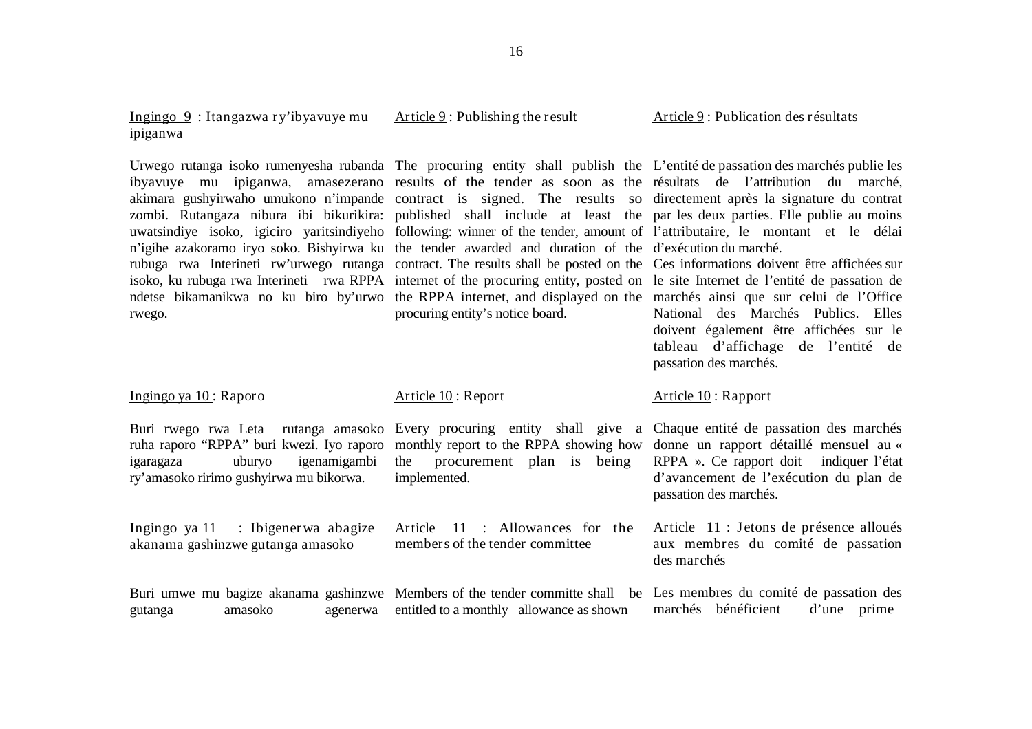| Ingingo 9: Itangazwa ry'ibyavuye mu<br>ipiganwa                                                                                                                                                                                                                                                                                                                                                                                                                                                                                                                                                                                                                                                                                                                                                                                                                                                                                                                                                                                                                                                                                                    | Article $9$ : Publishing the result                                | Article 9 : Publication des résultats                                                                                                                 |
|----------------------------------------------------------------------------------------------------------------------------------------------------------------------------------------------------------------------------------------------------------------------------------------------------------------------------------------------------------------------------------------------------------------------------------------------------------------------------------------------------------------------------------------------------------------------------------------------------------------------------------------------------------------------------------------------------------------------------------------------------------------------------------------------------------------------------------------------------------------------------------------------------------------------------------------------------------------------------------------------------------------------------------------------------------------------------------------------------------------------------------------------------|--------------------------------------------------------------------|-------------------------------------------------------------------------------------------------------------------------------------------------------|
| Urwego rutanga isoko rumenyesha rubanda The procuring entity shall publish the L'entité de passation des marchés publie les<br>ibyavuye mu ipiganwa, amasezerano results of the tender as soon as the résultats de l'attribution du marché,<br>akimara gushyirwaho umukono n'impande contract is signed. The results so directement après la signature du contrat<br>zombi. Rutangaza nibura ibi bikurikira: published shall include at least the par les deux parties. Elle publie au moins<br>uwatsindiye isoko, igiciro yaritsindiyeho following: winner of the tender, amount of l'attributaire, le montant et le délai<br>n'igihe azakoramo iryo soko. Bishyirwa ku the tender awarded and duration of the d'exécution du marché.<br>rubuga rwa Interineti rw'urwego rutanga contract. The results shall be posted on the Ces informations doivent être affichées sur<br>isoko, ku rubuga rwa Interineti rwa RPPA internet of the procuring entity, posted on le site Internet de l'entité de passation de<br>ndetse bikamanikwa no ku biro by'urwo the RPPA internet, and displayed on the marchés ainsi que sur celui de l'Office<br>rwego. | procuring entity's notice board.                                   | National des Marchés Publics. Elles<br>doivent également être affichées sur le<br>tableau d'affichage de l'entité de<br>passation des marchés.        |
| Ingingo ya $10:$ Raporo                                                                                                                                                                                                                                                                                                                                                                                                                                                                                                                                                                                                                                                                                                                                                                                                                                                                                                                                                                                                                                                                                                                            | Article $10$ : Report                                              | Article 10: Rapport                                                                                                                                   |
|                                                                                                                                                                                                                                                                                                                                                                                                                                                                                                                                                                                                                                                                                                                                                                                                                                                                                                                                                                                                                                                                                                                                                    |                                                                    |                                                                                                                                                       |
| Buri rwego rwa Leta rutanga amasoko Every procuring entity shall give a Chaque entité de passation des marchés<br>ruha raporo "RPPA" buri kwezi. Iyo raporo monthly report to the RPPA showing how<br>uburyo<br>igenamigambi<br>igaragaza<br>ry'amasoko ririmo gushyirwa mu bikorwa.                                                                                                                                                                                                                                                                                                                                                                                                                                                                                                                                                                                                                                                                                                                                                                                                                                                               | procurement plan is being<br>the<br>implemented.                   | donne un rapport détaillé mensuel au «<br>RPPA ». Ce rapport doit indiquer l'état<br>d'avancement de l'exécution du plan de<br>passation des marchés. |
| Ingingo ya 11 : Ibigener wa abagize<br>akanama gashinzwe gutanga amasoko                                                                                                                                                                                                                                                                                                                                                                                                                                                                                                                                                                                                                                                                                                                                                                                                                                                                                                                                                                                                                                                                           | Article 11 : Allowances for the<br>members of the tender committee | Article 11 : Jetons de présence alloués<br>aux membres du comité de passation<br>des marchés                                                          |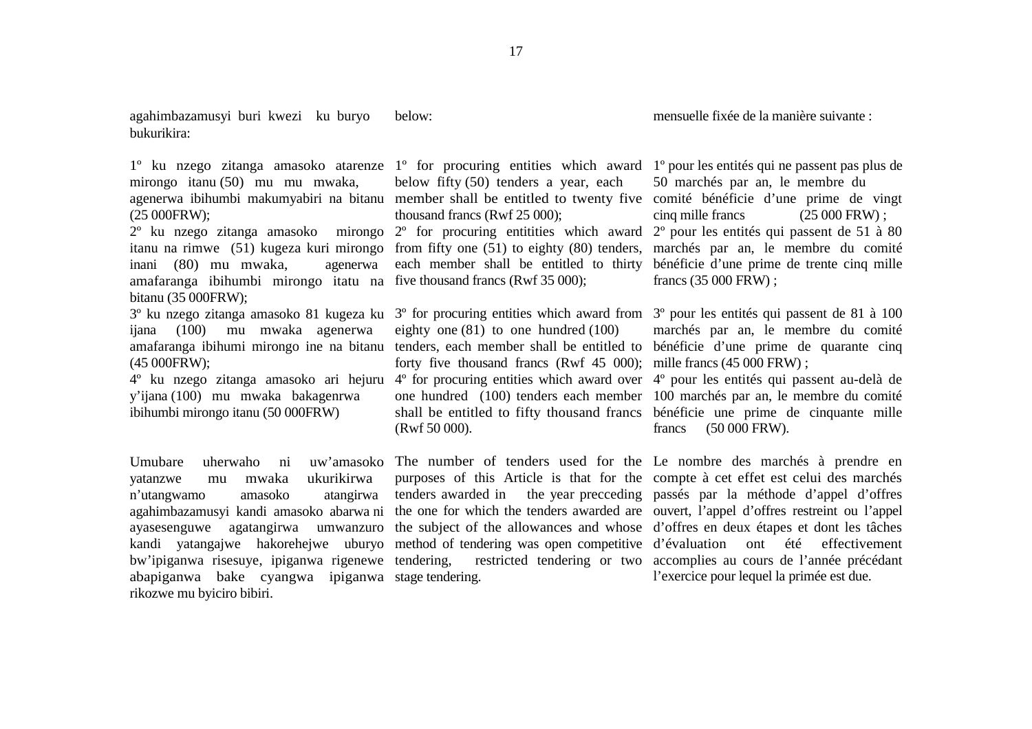agahimbazamusyi buri kwezi ku buryo bukurikira: below:

mirongo itanu (50) mu mu mwaka, agenerwa ibihumbi makumyabiri na bitanu member shall be entitled to twenty five comité bénéficie d'une prime de vingt (25 000FRW);

2º ku nzego zitanga amasoko mirongo 2º for procuring entitities which award 2º pour les entités qui passent de 51 à 80 itanu na rimwe (51) kugeza kuri mirongo from fifty one (51) to eighty (80) tenders, marchés par an, le membre du comité inani (80) mu mwaka, agenerwa amafaranga ibihumbi mirongo itatu na five thousand francs (Rwf 35 000); bitanu (35 000FRW);

ijana (100) mu mwaka agenerwa (45 000FRW);

4º ku nzego zitanga amasoko ari hejuru y'ijana (100) mu mwaka bakagenrwa ibihumbi mirongo itanu (50 000FRW)

Umubare uherwaho ni yatanzwe mu mwaka ukurikirwa n'utangwamo amasoko ayasesenguwe agatangirwa umwanzuro abapiganwa bake cyangwa ipiganwa stage tendering. rikozwe mu byiciro bibiri.

below fifty (50) tenders a year, each thousand francs (Rwf 25 000);

eighty one (81) to one hundred (100) forty five thousand francs (Rwf 45 000); mille francs (45 000 FRW) ; 4º for procuring entities which award over 4º pour les entités qui passent au-delà de one hundred (100) tenders each member 100 marchés par an, le membre du comité shall be entitled to fifty thousand francs bénéficie une prime de cinquante mille (Rwf 50 000).

agahimbazamusyi kandi amasoko abarwa ni the one for which the tenders awarded are ouvert, l'appel d'offres restreint ou l'appel kandi yatangajwe hakorehejwe uburyo method of tendering was open competitive d'évaluation ont été effectivement bw'ipiganwa risesuye, ipiganwa rigenewe tendering, restricted tendering or two accomplies au cours de l'année précédant purposes of this Article is that for the compte à cet effet est celui des marchés tenders awarded in the year precceding passés par la méthode d'appel d'offres the subject of the allowances and whose d'offres en deux étapes et dont les tâches

mensuelle fixée de la manière suivante :

1º ku nzego zitanga amasoko atarenze 1º for procuring entities which award 1º pour les entités qui ne passent pas plus de each member shall be entitled to thirty bénéficie d'une prime de trente cinq mille 50 marchés par an, le membre du cinq mille francs (25 000 FRW) ; francs (35 000 FRW) ;

3º ku nzego zitanga amasoko 81 kugeza ku 3º for procuring entities which award from 3º pour les entités qui passent de 81 à 100 amafaranga ibihumi mirongo ine na bitanu tenders, each member shall be entitled to bénéficie d'une prime de quarante cinq marchés par an, le membre du comité

francs (50 000 FRW).

The number of tenders used for the Le nombre des marchés à prendre en l'exercice pour lequel la primée est due.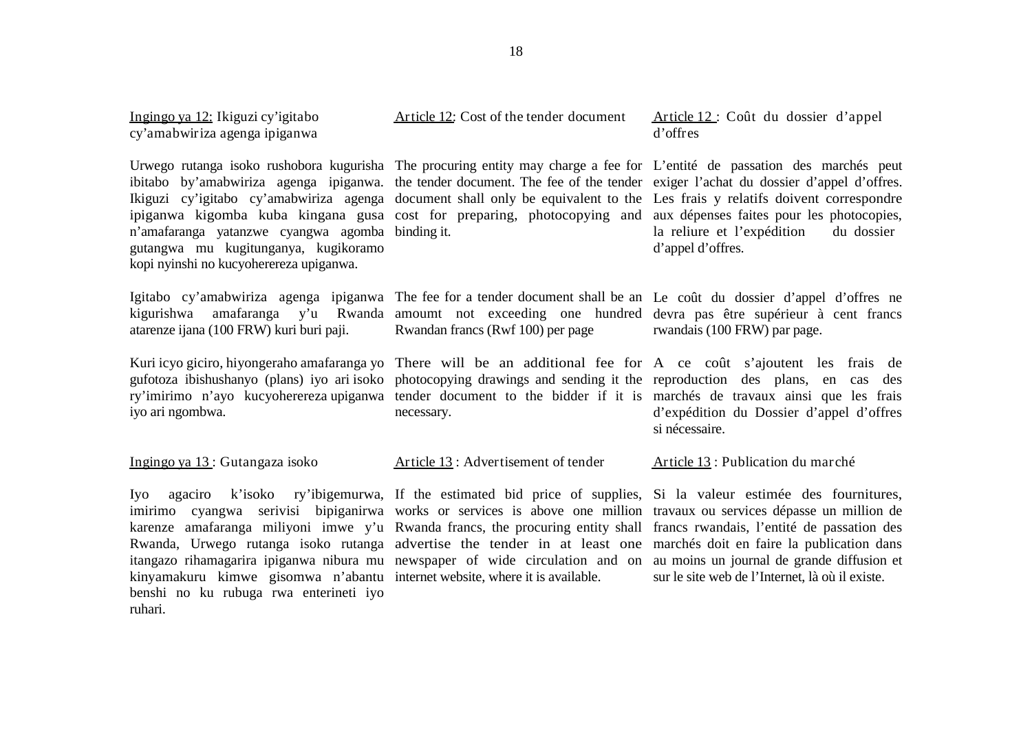| Ingingo ya 12: Ikiguzi cy'igitabo<br>cy'amabwiriza agenga ipiganwa                                                                                                                                                                                                                                                                                                                                                                                                                                                                                                                                                                                   | Article 12: Cost of the tender document                                                                      | Article 12 : Coût du dossier d'appel<br>d'offres                                                                                                                                        |
|------------------------------------------------------------------------------------------------------------------------------------------------------------------------------------------------------------------------------------------------------------------------------------------------------------------------------------------------------------------------------------------------------------------------------------------------------------------------------------------------------------------------------------------------------------------------------------------------------------------------------------------------------|--------------------------------------------------------------------------------------------------------------|-----------------------------------------------------------------------------------------------------------------------------------------------------------------------------------------|
| Urwego rutanga isoko rushobora kugurisha The procuring entity may charge a fee for L'entité de passation des marchés peut<br>ibitabo by'amabwiriza agenga ipiganwa. the tender document. The fee of the tender exiger l'achat du dossier d'appel d'offres.<br>Ikiguzi cy'igitabo cy'amabwiriza agenga document shall only be equivalent to the Les frais y relatifs doivent correspondre<br>ipiganwa kigomba kuba kingana gusa cost for preparing, photocopying and aux dépenses faites pour les photocopies,<br>n'amafaranga yatanzwe cyangwa agomba binding it.<br>gutangwa mu kugitunganya, kugikoramo<br>kopi nyinshi no kucyoherereza upiganwa. |                                                                                                              | la reliure et l'expédition<br>du dossier<br>d'appel d'offres.                                                                                                                           |
| Igitabo cy'amabwiriza agenga ipiganwa The fee for a tender document shall be an Le coût du dossier d'appel d'offres ne<br>kigurishwa amafaranga y'u Rwanda amoumt not exceeding one hundred devra pas être supérieur à cent francs<br>atarenze ijana (100 FRW) kuri buri paji.                                                                                                                                                                                                                                                                                                                                                                       | Rwandan francs (Rwf 100) per page                                                                            | rwandais (100 FRW) par page.                                                                                                                                                            |
| Kuri icyo giciro, hiyongeraho amafaranga yo There will be an additional fee for A ce coût s'ajoutent les frais de<br>gufotoza ibishushanyo (plans) iyo ari isoko photocopying drawings and sending it the reproduction des plans, en cas<br>ry'imirimo n'ayo kucyoherereza upiganwa tender document to the bidder if it is marchés de travaux ainsi que les frais<br>iyo ari ngombwa.                                                                                                                                                                                                                                                                | necessary.                                                                                                   | des<br>d'expédition du Dossier d'appel d'offres<br>si nécessaire.                                                                                                                       |
| Ingingo ya 13: Gutangaza isoko                                                                                                                                                                                                                                                                                                                                                                                                                                                                                                                                                                                                                       | Article 13 : Advertisement of tender                                                                         | Article 13 : Publication du marché                                                                                                                                                      |
| Iyo<br>imirimo cyangwa serivisi bipiganirwa works or services is above one million<br>karenze amafaranga miliyoni imwe y'u Rwanda francs, the procuring entity shall<br>Rwanda, Urwego rutanga isoko rutanga advertise the tender in at least one<br>itangazo rihamagarira ipiganwa nibura mu newspaper of wide circulation and on au moins un journal de grande diffusion et<br>kinyamakuru kimwe gisomwa n'abantu internet website, where it is available.<br>benshi no ku rubuga rwa enterineti iyo<br>ruhari.                                                                                                                                    | agaciro k'isoko ry'ibigemurwa, If the estimated bid price of supplies, Si la valeur estimée des fournitures, | travaux ou services dépasse un million de<br>francs rwandais, l'entité de passation des<br>marchés doit en faire la publication dans<br>sur le site web de l'Internet, là où il existe. |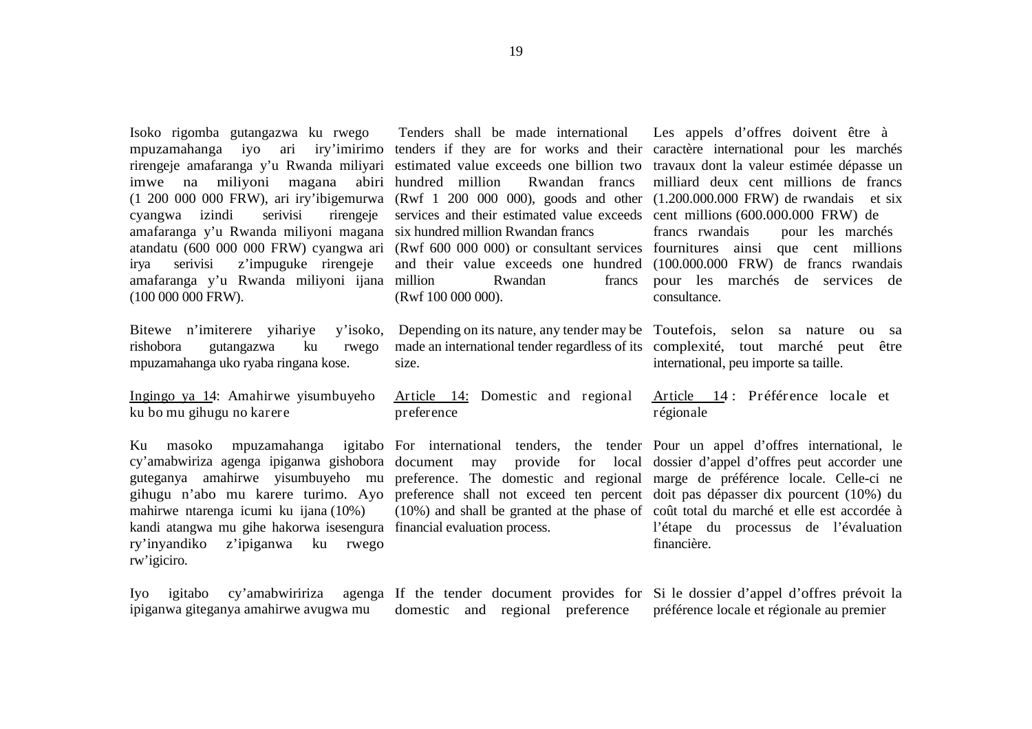| Isoko rigomba gutangazwa ku rwego Tenders shall be made international<br>mpuzamahanga iyo ari iry'imirimo<br>rirengeje amafaranga y'u Rwanda miliyari estimated value exceeds one billion two<br>abiri<br>na miliyoni magana<br>imwe<br>(1 200 000 000 FRW), ari iry'ibigemurwa<br>serivisi<br>rirengeje<br>cyangwa izindi<br>amafaranga y'u Rwanda miliyoni magana<br>atandatu (600 000 000 FRW) cyangwa ari<br>z'impuguke rirengeje<br>serivisi<br>irya<br>amafaranga y'u Rwanda miliyoni ijana<br>(100 000 000 FRW).                                                              | tenders if they are for works and their<br>hundred million<br>Rwandan francs<br>(Rwf 1 200 000 000), goods and other<br>services and their estimated value exceeds<br>six hundred million Rwandan francs<br>(Rwf 600 000 000) or consultant services<br>and their value exceeds one hundred<br>million<br>Rwandan<br>francs<br>(Rwf 100 000 000). | Les appels d'offres doivent être à<br>caractère international pour les marchés<br>travaux dont la valeur estimée dépasse un<br>milliard deux cent millions de francs<br>$(1.200.000.000$ FRW) de rwandais et six<br>cent millions (600.000.000 FRW) de<br>francs rwandais<br>pour les marchés<br>fournitures ainsi que cent millions<br>$(100.000.000$ FRW) de francs rwandais<br>pour les marchés de services de<br>consultance. |
|--------------------------------------------------------------------------------------------------------------------------------------------------------------------------------------------------------------------------------------------------------------------------------------------------------------------------------------------------------------------------------------------------------------------------------------------------------------------------------------------------------------------------------------------------------------------------------------|---------------------------------------------------------------------------------------------------------------------------------------------------------------------------------------------------------------------------------------------------------------------------------------------------------------------------------------------------|-----------------------------------------------------------------------------------------------------------------------------------------------------------------------------------------------------------------------------------------------------------------------------------------------------------------------------------------------------------------------------------------------------------------------------------|
| Bitewe n'imiterere yihariye y'isoko, Depending on its nature, any tender may be Toutefois, selon sa nature ou sa<br>rishobora<br>ku<br>gutangazwa<br>rwego<br>mpuzamahanga uko ryaba ringana kose.                                                                                                                                                                                                                                                                                                                                                                                   | size.                                                                                                                                                                                                                                                                                                                                             | made an international tender regardless of its complexité, tout marché peut être<br>international, peu importe sa taille.                                                                                                                                                                                                                                                                                                         |
| Ingingo ya 14: Amahirwe yisumbuyeho<br>ku bo mu gihugu no karere                                                                                                                                                                                                                                                                                                                                                                                                                                                                                                                     | Article 14: Domestic and regional<br>preference                                                                                                                                                                                                                                                                                                   | Article 14: Préférence locale et<br>régionale                                                                                                                                                                                                                                                                                                                                                                                     |
| Ku masoko mpuzamahanga igitabo For international tenders, the tender Pour un appel d'offres international, le<br>cy'amabwiriza agenga ipiganwa gishobora document may<br>guteganya amahirwe yisumbuyeho mu preference. The domestic and regional marge de préférence locale. Celle-ci ne<br>gihugu n'abo mu karere turimo. Ayo preference shall not exceed ten percent doit pas dépasser dix pourcent (10%) du<br>mahirwe ntarenga icumi ku ijana (10%)<br>kandi atangwa mu gihe hakorwa isesengura financial evaluation process.<br>ry'inyandiko z'ipiganwa ku rwego<br>rw'igiciro. |                                                                                                                                                                                                                                                                                                                                                   | provide for local dossier d'appel d'offres peut accorder une<br>$(10%)$ and shall be granted at the phase of coût total du marché et elle est accordée à<br>l'étape du processus de l'évaluation<br>financière.                                                                                                                                                                                                                   |

Iyo igitabo cy'amabwiririza agenga ipiganwa giteganya amahirwe avugwa mu If the tender document provides for domestic and regional preference Si le dossier d'appel d'offres prévoit la préférence locale et régionale au premier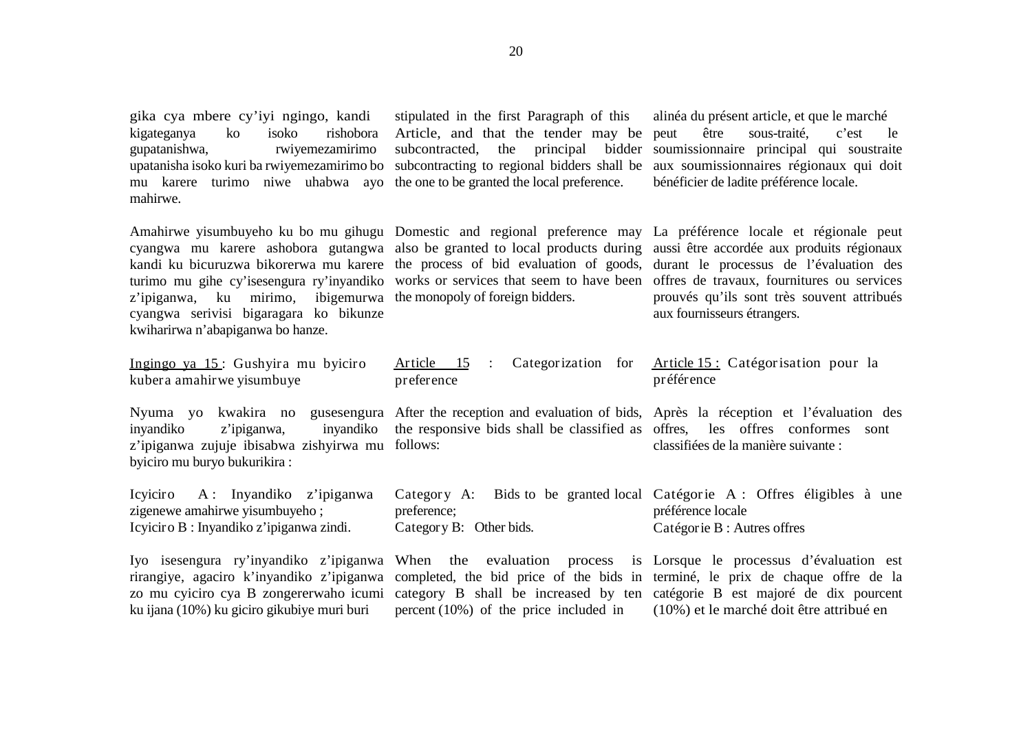| gika cya mbere cy'iyi ngingo, kandi<br>ko<br>isoko<br>rishobora<br>kigateganya<br>rwiyemezamirimo<br>gupatanishwa,<br>upatanisha isoko kuri ba rwiyemezamirimo bo<br>mu karere turimo niwe uhabwa ayo<br>mahirwe.                                                                                                                                                                                                                                                                                                                                                                                                                                           | stipulated in the first Paragraph of this<br>Article, and that the tender may be<br>the principal<br>bidder<br>subcontracted,<br>subcontracting to regional bidders shall be<br>the one to be granted the local preference. | alinéa du présent article, et que le marché<br>être<br>sous-traité,<br>peut<br>c'est<br>le<br>soumissionnaire principal qui soustraite<br>aux soumissionnaires régionaux qui doit<br>bénéficier de ladite préférence locale. |
|-------------------------------------------------------------------------------------------------------------------------------------------------------------------------------------------------------------------------------------------------------------------------------------------------------------------------------------------------------------------------------------------------------------------------------------------------------------------------------------------------------------------------------------------------------------------------------------------------------------------------------------------------------------|-----------------------------------------------------------------------------------------------------------------------------------------------------------------------------------------------------------------------------|------------------------------------------------------------------------------------------------------------------------------------------------------------------------------------------------------------------------------|
| Amahirwe yisumbuyeho ku bo mu gihugu Domestic and regional preference may La préférence locale et régionale peut<br>cyangwa mu karere ashobora gutangwa also be granted to local products during aussi être accordée aux produits régionaux<br>kandi ku bicuruzwa bikorerwa mu karere the process of bid evaluation of goods, durant le processus de l'évaluation des<br>turimo mu gihe cy'isesengura ry'inyandiko works or services that seem to have been offres de travaux, fournitures ou services<br>z'ipiganwa, ku mirimo, ibigemurwa the monopoly of foreign bidders.<br>cyangwa serivisi bigaragara ko bikunze<br>kwiharirwa n'abapiganwa bo hanze. |                                                                                                                                                                                                                             | prouvés qu'ils sont très souvent attribués<br>aux fournisseurs étrangers.                                                                                                                                                    |
| Ingingo ya 15: Gushyira mu byiciro<br>kubera amahirwe yisumbuye                                                                                                                                                                                                                                                                                                                                                                                                                                                                                                                                                                                             | Categorization for<br>Article 15<br>$\langle \cdot \rangle$<br>preference                                                                                                                                                   | Article 15 : Catégorisation pour la<br>préférence                                                                                                                                                                            |
| Nyuma yo kwakira no gusesengura After the reception and evaluation of bids, Après la réception et l'évaluation des<br>inyandiko<br>inyandiko<br>z'ipiganwa,<br>z'ipiganwa zujuje ibisabwa zishyirwa mu<br>byiciro mu buryo bukurikira:                                                                                                                                                                                                                                                                                                                                                                                                                      | the responsive bids shall be classified as offres, les offres conformes<br>follows:                                                                                                                                         | sont<br>classifiées de la manière suivante :                                                                                                                                                                                 |
| A: Inyandiko z'ipiganwa<br>Icyiciro<br>zigenewe amahirwe yisumbuyeho;<br>Icyiciro B : Inyandiko z'ipiganwa zindi.                                                                                                                                                                                                                                                                                                                                                                                                                                                                                                                                           | preference;<br>Category B: Other bids.                                                                                                                                                                                      | Category A: Bids to be granted local Catégorie A: Offres éligibles à une<br>préférence locale<br>Catégorie B : Autres offres                                                                                                 |
| Iyo isesengura ry'inyandiko z'ipiganwa When the evaluation process is Lorsque le processus d'évaluation est<br>rirangiye, agaciro k'inyandiko z'ipiganwa<br>zo mu cyiciro cya B zongererwaho icumi category B shall be increased by ten catégorie B est majoré de dix pourcent<br>ku ijana (10%) ku giciro gikubiye muri buri                                                                                                                                                                                                                                                                                                                               | percent $(10\%)$ of the price included in                                                                                                                                                                                   | completed, the bid price of the bids in terminé, le prix de chaque offre de la<br>(10%) et le marché doit être attribué en                                                                                                   |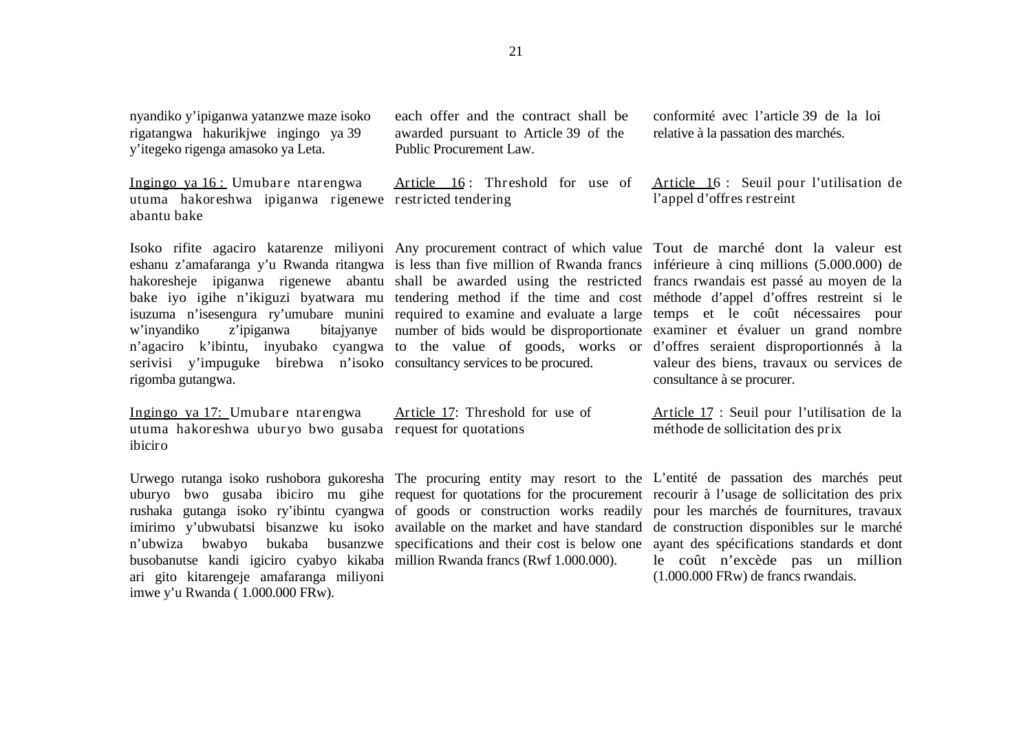nyandiko y'ipiganwa yatanzwe maze isoko rigatangwa hakurikjwe ingingo ya 39 y'itegeko rigenga amasoko ya Leta.

Ingingo ya 16 : Umubare ntarengwa utuma hakoreshwa ipiganwa rigenewe restricted tendering abantu bake

w'inyandiko z'ipiganwa serivisi y'impuguke birebwa n'isoko consultancy services to be procured. rigomba gutangwa.

Ingingo ya 17: Umubare ntarengwa utuma hakoreshwa uburyo bwo gusaba request for quotations ibiciro

uburyo bwo gusaba ibiciro mu gihe request for quotations for the procurement recourir à l'usage de sollicitation des prix rushaka gutanga isoko ry'ibintu cyangwa of goods or construction works readily pour les marchés de fournitures, travaux imirimo y'ubwubatsi bisanzwe ku isoko available on the market and have standard de construction disponibles sur le marché n'ubwiza bwabyo bukaba busanzwe specifications and their cost is below one ayant des spécifications standards et dont busobanutse kandi igiciro cyabyo kikaba million Rwanda francs (Rwf 1.000.000). ari gito kitarengeje amafaranga miliyoni imwe y'u Rwanda ( 1.000.000 FRw).

each offer and the contract shall be awarded pursuant to Article 39 of the Public Procurement Law.

eshanu z'amafaranga y'u Rwanda ritangwa is less than five million of Rwanda francs inférieure à cinq millions (5.000.000) de hakoresheje ipiganwa rigenewe abantu shall be awarded using the restricted francs rwandais est passé au moyen de la bake iyo igihe n'ikiguzi byatwara mu tendering method if the time and cost méthode d'appel d'offres restreint si le isuzuma n'isesengura ry'umubare munini required to examine and evaluate a large temps et le coût nécessaires pour n'agaciro k'ibintu, inyubako cyangwa to the value of goods, works or d'offres seraient disproportionnés à la number of bids would be disproportionate examiner et évaluer un grand nombre

Article 17: Threshold for use of

conformité avec l'article 39 de la loi relative à la passation des marchés.

Article 16: Threshold for use of Article 16: Seuil pour l'utilisation de l'appel d'offres restreint

Isoko rifite agaciro katarenze miliyoni Any procurement contract of which value Tout de marché dont la valeur est valeur des biens, travaux ou services de consultance à se procurer.

> Article 17 : Seuil pour l'utilisation de la méthode de sollicitation des prix

Urwego rutanga isoko rushobora gukoresha The procuring entity may resort to the L'entité de passation des marchés peut le coût n'excède pas un million (1.000.000 FRw) de francs rwandais.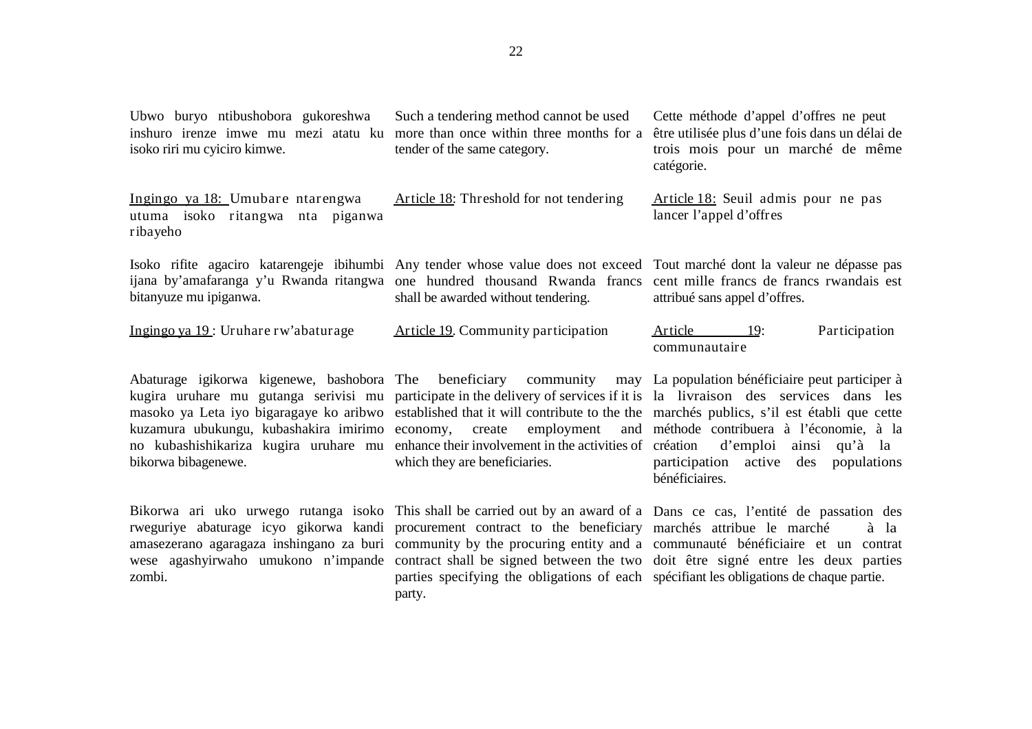| Ubwo buryo ntibushobora gukoreshwa<br>inshuro irenze imwe mu mezi atatu ku<br>isoko riri mu cyiciro kimwe.                                                                                                                                                                  | Such a tendering method cannot be used<br>more than once within three months for a<br>tender of the same category. | Cette méthode d'appel d'offres ne peut<br>être utilisée plus d'une fois dans un délai de<br>trois mois pour un marché de même<br>catégorie. |
|-----------------------------------------------------------------------------------------------------------------------------------------------------------------------------------------------------------------------------------------------------------------------------|--------------------------------------------------------------------------------------------------------------------|---------------------------------------------------------------------------------------------------------------------------------------------|
| Ingingo ya 18: Umubare ntarengwa<br>utuma isoko ritangwa nta piganwa<br>ribayeho                                                                                                                                                                                            | Article 18: Threshold for not tendering                                                                            | Article 18: Seuil admis pour ne pas<br>lancer l'appel d'offres                                                                              |
| Isoko rifite agaciro katarengeje ibihumbi Any tender whose value does not exceed Tout marché dont la valeur ne dépasse pas<br>ijana by'amafaranga y'u Rwanda ritangwa one hundred thousand Rwanda francs cent mille francs de francs rwandais est<br>bitanyuze mu ipiganwa. | shall be awarded without tendering.                                                                                | attribué sans appel d'offres.                                                                                                               |
| Ingingo ya 19: Uruhare rw'abaturage                                                                                                                                                                                                                                         | Article 19. Community participation                                                                                | Participation<br>Article 19:<br>communautaire                                                                                               |
| Abaturage igikorwa kigenewe, bashobora The                                                                                                                                                                                                                                  | beneficiary<br>community                                                                                           | may La population bénéficiaire peut participer à                                                                                            |

no kubashishikariza kugira uruhare mu enhance their involvement in the activities of bikorwa bibagenewe.

Bikorwa ari uko urwego rutanga isoko This shall be carried out by an award of a Dans ce cas, l'entité de passation des rweguriye abaturage icyo gikorwa kandi procurement contract to the beneficiary marchés attribue le marché à la amasezerano agaragaza inshingano za buri community by the procuring entity and a communauté bénéficiaire et un contrat wese agashyirwaho umukono n'impande contract shall be signed between the two doit être signé entre les deux parties zombi.

kugira uruhare mu gutanga serivisi mu participate in the delivery of services if it is la livraison des services dans les masoko ya Leta iyo bigaragaye ko aribwo established that it will contribute to the the marchés publics, s'il est établi que cette kuzamura ubukungu, kubashakira imirimo economy, create employment and méthode contribuera à l'économie, à la which they are beneficiaries.

party.

d'emploi ainsi qu'à la participation active des populations bénéficiaires.

parties specifying the obligations of each spécifiant les obligations de chaque partie.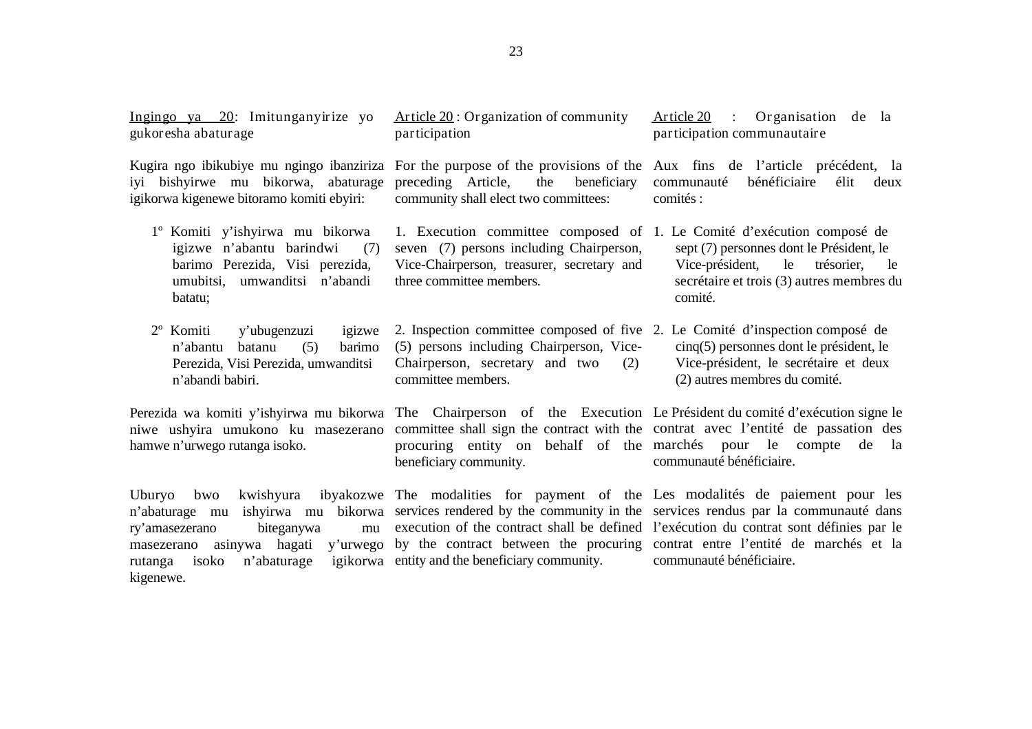| Ingingo ya 20: Imitunganyirize yo<br>gukoresha abaturage                                                                                                                                                   | Article $20$ : Organization of community<br>participation                                                                                                                                    | : Organisation<br>Article 20<br>de la<br>participation communautaire                                                                                   |
|------------------------------------------------------------------------------------------------------------------------------------------------------------------------------------------------------------|----------------------------------------------------------------------------------------------------------------------------------------------------------------------------------------------|--------------------------------------------------------------------------------------------------------------------------------------------------------|
| Kugira ngo ibikubiye mu ngingo ibanziriza For the purpose of the provisions of the Aux fins de l'article précédent, la<br>iyi bishyirwe mu bikorwa, abaturage<br>igikorwa kigenewe bitoramo komiti ebyiri: | preceding Article, the beneficiary<br>community shall elect two committees:                                                                                                                  | bénéficiaire<br>communauté<br>élit<br>deux<br>comités :                                                                                                |
| 1° Komiti y'ishyirwa mu bikorwa<br>igizwe n'abantu barindwi<br>(7)<br>barimo Perezida, Visi perezida,<br>umubitsi, umwanditsi n'abandi<br>batatu;                                                          | 1. Execution committee composed of 1. Le Comité d'exécution composé de<br>seven (7) persons including Chairperson,<br>Vice-Chairperson, treasurer, secretary and<br>three committee members. | sept (7) personnes dont le Président, le<br>Vice-président, le trésorier, le<br>secrétaire et trois (3) autres membres du<br>comité.                   |
| 2 <sup>°</sup> Komiti<br>y'ubugenzuzi<br>igizwe<br>n'abantu<br>(5)<br>barimo<br>batanu<br>Perezida, Visi Perezida, umwanditsi<br>n'abandi babiri.                                                          | 2. Inspection committee composed of five 2.<br>(5) persons including Chairperson, Vice-<br>Chairperson, secretary and two<br>(2)<br>committee members.                                       | Le Comité d'inspection composé de<br>cinq(5) personnes dont le président, le<br>Vice-président, le secrétaire et deux<br>(2) autres membres du comité. |
| Perezida wa komiti y'ishyirwa mu bikorwa The Chairperson of the Execution Le Président du comité d'exécution signe le<br>niwe ushyira umukono ku masezerano<br>hamwe n'urwego rutanga isoko.               | procuring entity on behalf of the marchés pour le<br>beneficiary community.                                                                                                                  | committee shall sign the contract with the contrat avec l'entité de passation des<br>compte<br>de la<br>communauté bénéficiaire.                       |

ry'amasezerano biteganywa rutanga isoko n'abaturage igikorwa entity and the beneficiary community. kigenewe.

Uburyo bwo kwishyura ibyakozwe The modalities for payment of the Les modalités de paiement pour les n'abaturage mu ishyirwa mu bikorwa services rendered by the community in the services rendus par la communauté dans masezerano asinywa hagati y'urwego by the contract between the procuring contrat entre l'entité de marchés et la execution of the contract shall be defined l'exécution du contrat sont définies par le

communauté bénéficiaire.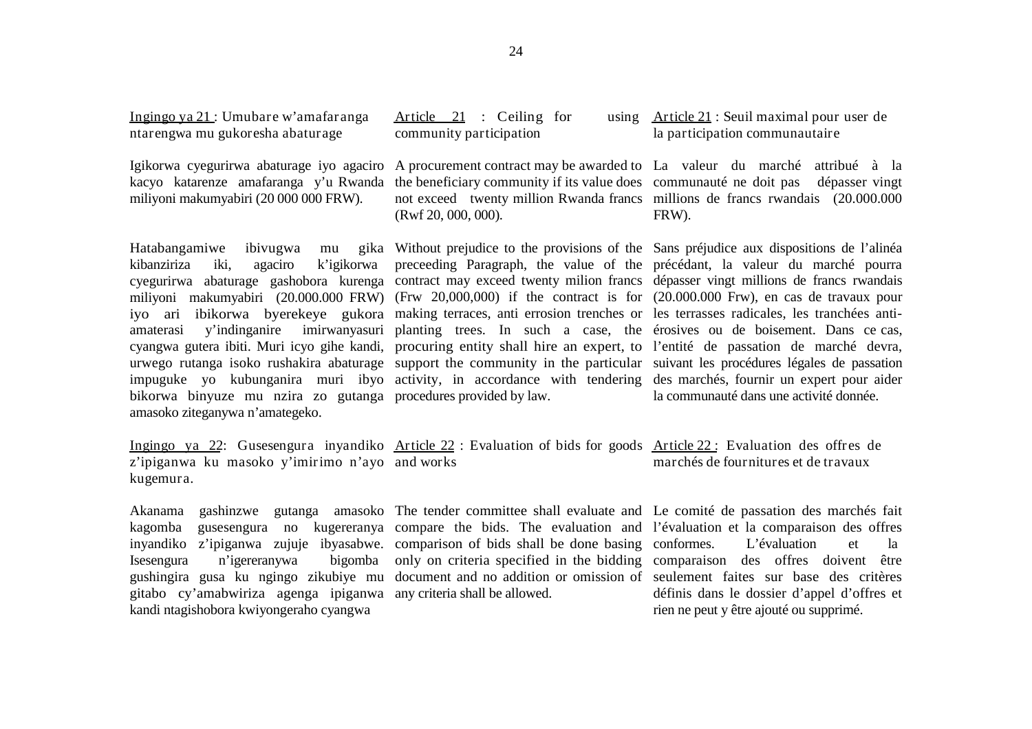Ingingo ya 21 : Umubare w'amafaranga ntarengwa mu gukoresha abaturage

Igikorwa cyegurirwa abaturage iyo agaciro A procurement contract may be awarded to La valeur du marché attribué à la kacyo katarenze amafaranga y'u Rwanda the beneficiary community if its value does communauté ne doit pas dépasser vingt miliyoni makumyabiri (20 000 000 FRW).

Hatabangamiwe ibivugwa mu<br>kibanziriza iki, agaciro k'igi kibanziriza iki, agaciro k'igikorwa preceeding Paragraph, the value of the précédant, la valeur du marché pourra cyegurirwa abaturage gashobora kurenga contract may exceed twenty milion francs dépasser vingt millions de francs rwandais miliyoni makumyabiri (20.000.000 FRW) (Frw 20,000,000) if the contract is for (20.000.000 Frw), en cas de travaux pour iyo ari ibikorwa byerekeye gukora making terraces, anti errosion trenches or les terrasses radicales, les tranchées antiamaterasi y'indinganire imirwanyasuri planting trees. In such a case, the érosives ou de boisement. Dans ce cas, cyangwa gutera ibiti. Muri icyo gihe kandi, procuring entity shall hire an expert, to l'entité de passation de marché devra, urwego rutanga isoko rushakira abaturage support the community in the particular suivant les procédures légales de passation impuguke yo kubunganira muri ibyo activity, in accordance with tendering des marchés, fournir un expert pour aider bikorwa binyuze mu nzira zo gutanga procedures provided by law. amasoko ziteganywa n'amategeko.

Article  $21$  : Ceiling for community participation

using Article 21 : Seuil maximal pour user de la participation communautaire

(Rwf 20, 000, 000).

not exceed twenty million Rwanda francs millions de francs rwandais (20.000.000 FRW).

Without prejudice to the provisions of the Sans préjudice aux dispositions de l'alinéa la communauté dans une activité donnée.

Ingingo ya 22: Gusesengura inyandiko Article 22 : Evaluation of bids for goods Article 22 : Evaluation des offres de z'ipiganwa ku masoko y'imirimo n'ayo and works kugemura. marchés de fournitures et de travaux

Isesengura n'igereranywa gitabo cy'amabwiriza agenga ipiganwa any criteria shall be allowed. kandi ntagishobora kwiyongeraho cyangwa

kagomba gusesengura no kugereranya compare the bids. The evaluation and l'évaluation et la comparaison des offres inyandiko z'ipiganwa zujuje ibyasabwe. comparison of bids shall be done basing conformes. L'évaluation et la gushingira gusa ku ngingo zikubiye mu document and no addition or omission of seulement faites sur base des critères only on criteria specified in the bidding comparaison des offres doivent être

Akanama gashinzwe gutanga amasoko The tender committee shall evaluate and Le comité de passation des marchés fait définis dans le dossier d'appel d'offres et rien ne peut y être ajouté ou supprimé.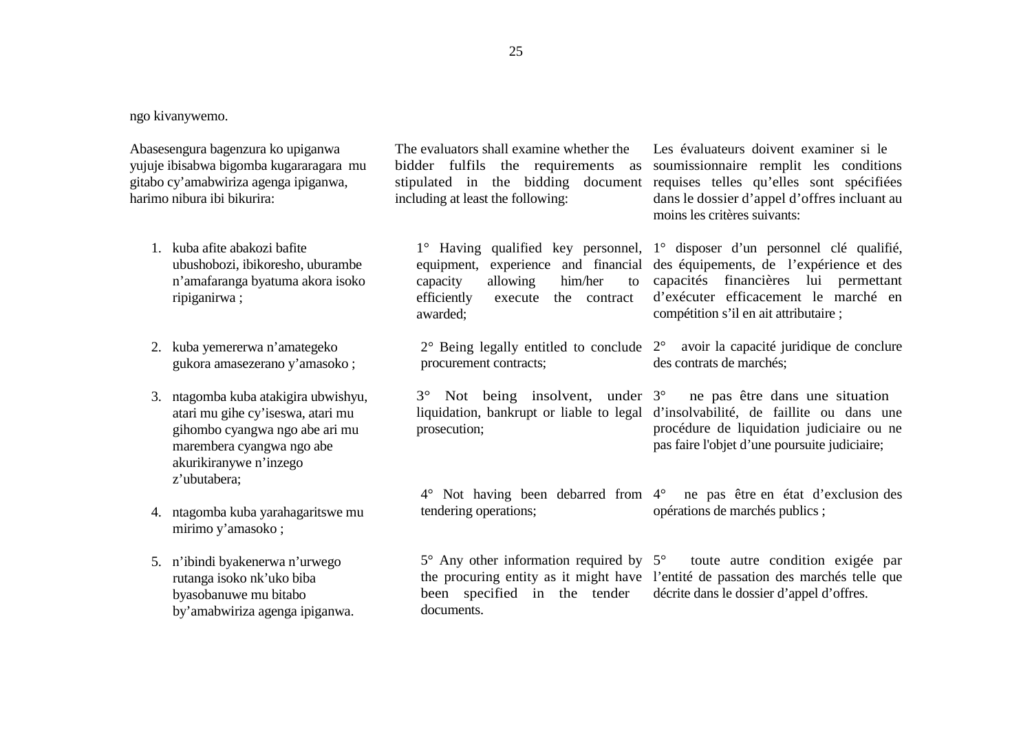ngo kivanywemo.

| Abasesengura bagenzura ko upiganwa                                                                                         | The evaluators shall examine whether the<br>bidder fulfils the requirements as<br>stipulated in the bidding document<br>including at least the following:                                                                                                                                                         | Les évaluateurs doivent examiner si le<br>soumissionnaire remplit les conditions<br>requises telles qu'elles sont spécifiées<br>dans le dossier d'appel d'offres incluant au<br>moins les critères suivants:                                                                         |
|----------------------------------------------------------------------------------------------------------------------------|-------------------------------------------------------------------------------------------------------------------------------------------------------------------------------------------------------------------------------------------------------------------------------------------------------------------|--------------------------------------------------------------------------------------------------------------------------------------------------------------------------------------------------------------------------------------------------------------------------------------|
| ubushobozi, ibikoresho, uburambe<br>n'amafaranga byatuma akora isoko<br>ripiganirwa;                                       | capacity<br>allowing<br>him/her<br>to<br>efficiently<br>execute<br>the contract<br>awarded;                                                                                                                                                                                                                       | 1° Having qualified key personnel, 1° disposer d'un personnel clé qualifié,<br>equipment, experience and financial des équipements, de l'expérience et des<br>capacités financières lui permettant<br>d'exécuter efficacement le marché en<br>compétition s'il en ait attributaire ; |
| gukora amasezerano y'amasoko;                                                                                              | $2^{\circ}$ Being legally entitled to conclude $2^{\circ}$<br>procurement contracts;                                                                                                                                                                                                                              | avoir la capacité juridique de conclure<br>des contrats de marchés;                                                                                                                                                                                                                  |
| atari mu gihe cy'iseswa, atari mu<br>gihombo cyangwa ngo abe ari mu<br>marembera cyangwa ngo abe<br>akurikiranywe n'inzego | prosecution;                                                                                                                                                                                                                                                                                                      | $3^{\circ}$ Not being insolvent, under $3^{\circ}$ ne pas être dans une situation<br>liquidation, bankrupt or liable to legal d'insolvabilité, de faillite ou dans une<br>procédure de liquidation judiciaire ou ne<br>pas faire l'objet d'une poursuite judiciaire;                 |
| mirimo y'amasoko;                                                                                                          | tendering operations;                                                                                                                                                                                                                                                                                             | 4° Not having been debarred from 4° ne pas être en état d'exclusion des<br>opérations de marchés publics;                                                                                                                                                                            |
| rutanga isoko nk'uko biba<br>byasobanuwe mu bitabo<br>by'amabwiriza agenga ipiganwa.                                       | been specified in the tender<br>documents.                                                                                                                                                                                                                                                                        | $5^{\circ}$ Any other information required by $5^{\circ}$ toute autre condition exigée par<br>the procuring entity as it might have l'entité de passation des marchés telle que<br>décrite dans le dossier d'appel d'offres.                                                         |
|                                                                                                                            | yujuje ibisabwa bigomba kugararagara mu<br>gitabo cy'amabwiriza agenga ipiganwa,<br>harimo nibura ibi bikurira:<br>1. kuba afite abakozi bafite<br>2. kuba yemererwa n'amategeko<br>3. ntagomba kuba atakigira ubwishyu,<br>z'ubutabera;<br>4. ntagomba kuba yarahagaritswe mu<br>5. n'ibindi byakenerwa n'urwego |                                                                                                                                                                                                                                                                                      |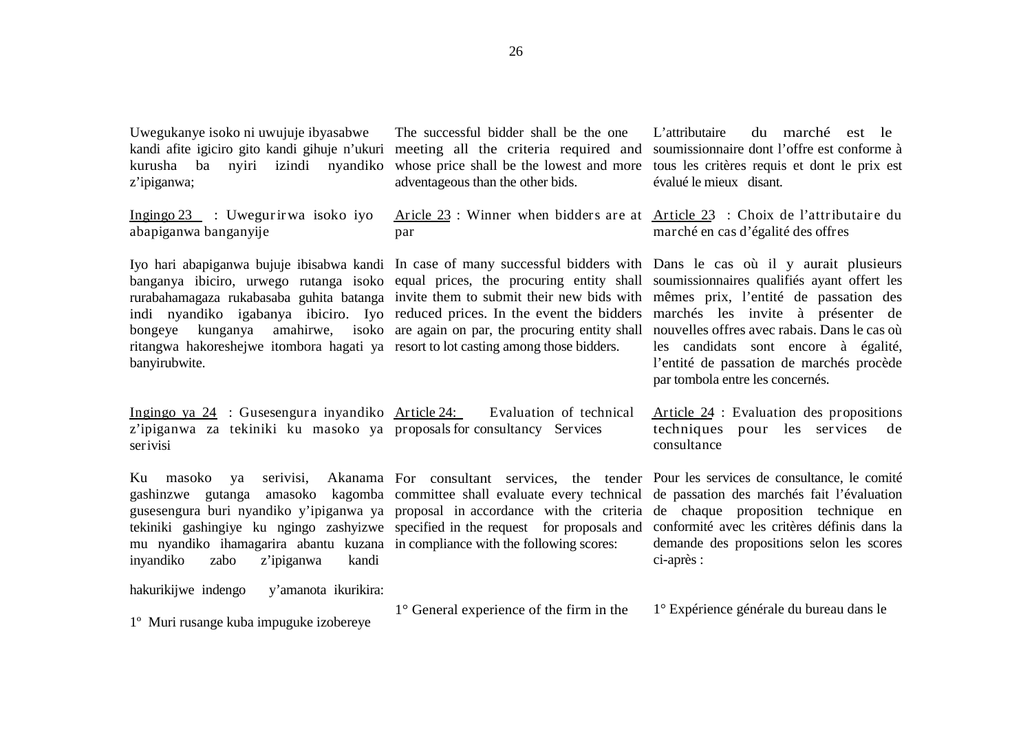Uwegukanye isoko ni uwujuje ibyasabwe kandi afite igiciro gito kandi gihuje n'ukuri meeting all the criteria required and soumissionnaire dont l'offre est conforme à kurusha ba nyiri izindi nyandiko z'ipiganwa;

Ingingo 23 : Uwegurirwa isoko iyo abapiganwa banganyije

The successful bidder shall be the one adventageous than the other bids.

Aricle 23 : Winner when bidders are at Article 23 : Choix de l'attributaire du par

Iyo hari abapiganwa bujuje ibisabwa kandi In case of many successful bidders with Dans le cas où il y aurait plusieurs banganya ibiciro, urwego rutanga isoko equal prices, the procuring entity shall soumissionnaires qualifiés ayant offert les ritangwa hakoreshejwe itombora hagati ya resort to lot casting among those bidders. banyirubwite.

rurabahamagaza rukabasaba guhita batanga invite them to submit their new bids with mêmes prix, l'entité de passation des indi nyandiko igabanya ibiciro. Iyo reduced prices. In the event the bidders marchés les invite à présenter de bongeye kunganya amahirwe, isoko are again on par, the procuring entity shall nouvelles offres avec rabais. Dans le cas où

whose price shall be the lowest and more tous les critères requis et dont le prix est L'attributaire du marché est le évalué le mieux disant.

marché en cas d'égalité des offres

les candidats sont encore à égalité, l'entité de passation de marchés procède par tombola entre les concernés.

Ingingo ya 24 : Gusesengura inyandiko z'ipiganwa za tekiniki ku masoko ya proposals for consultancy Services serivisi Evaluation of technical

mu nyandiko ihamagarira abantu kuzana in compliance with the following scores: inyandiko zabo z'ipiganwa kandi

hakurikijwe indengo y'amanota ikurikira:

Ku masoko ya serivisi, Akanama For consultant services, the tender Pour les services de consultance, le comité gashinzwe gutanga amasoko kagomba committee shall evaluate every technical de passation des marchés fait l'évaluation gusesengura buri nyandiko y'ipiganwa ya proposal in accordance with the criteria de chaque proposition technique en tekiniki gashingiye ku ngingo zashyizwe specified in the request for proposals and conformité avec les critères définis dans la

1° General experience of the firm in the

Article 24 : Evaluation des propositions techniques pour les services de consultance

demande des propositions selon les scores ci-après :

1° Expérience générale du bureau dans le

1º Muri rusange kuba impuguke izobereye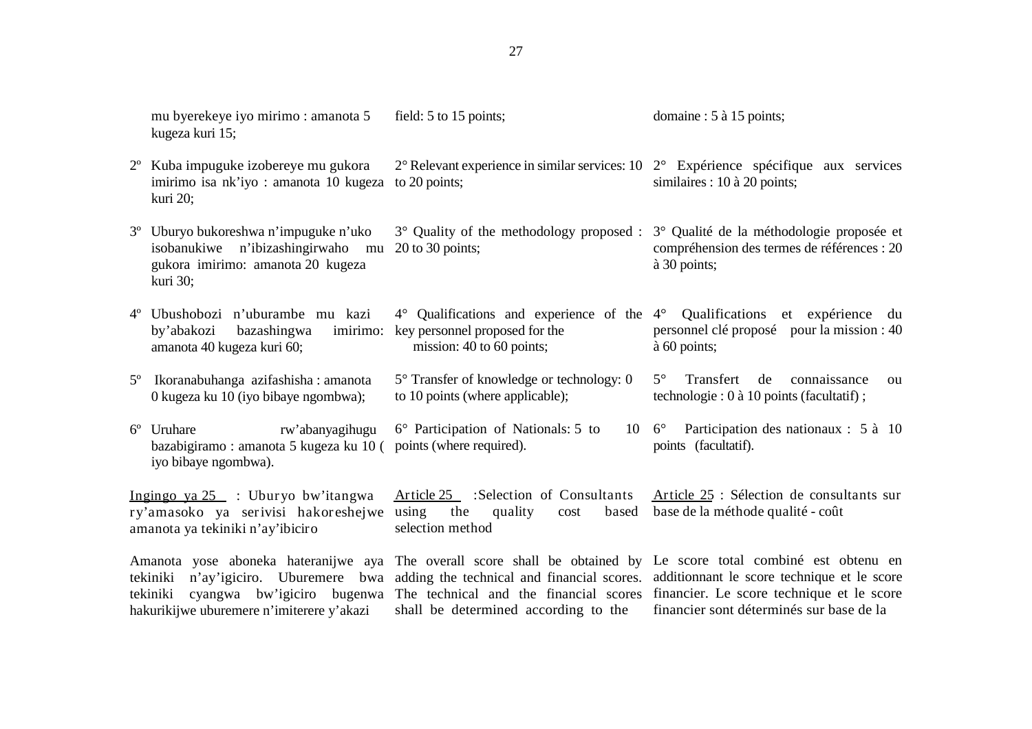- mu byerekeye iyo mirimo : amanota 5 kugeza kuri 15; field: 5 to 15 points; domaine : 5 à 15 points;
- 2º Kuba impuguke izobereye mu gukora imirimo isa nk'iyo : amanota 10 kugeza to 20 points; kuri 20; 2° Relevant experience in similar services: 10 2° Expérience spécifique aux services similaires : 10 à 20 points;
- 3º Uburyo bukoreshwa n'impuguke n'uko isobanukiwe n'ibizashingirwaho mu 20 to 30 points; gukora imirimo: amanota 20 kugeza kuri 30; 3° Quality of the methodology proposed : 3° Qualité de la méthodologie proposée et compréhension des termes de références : 20 à 30 points;
- 4º Ubushobozi n'uburambe mu kazi by'abakozi bazashingwa amanota 40 kugeza kuri 60; 4° Qualifications and experience of the imirimo: key personnel proposed for the mission: 40 to 60 points; 4° Qualifications et expérience du personnel clé proposé pour la mission : 40 à 60 points;
- 5º Ikoranabuhanga azifashisha : amanota 0 kugeza ku 10 (iyo bibaye ngombwa); 5° Transfer of knowledge or technology: 0 to 10 points (where applicable); 5° Transfert de connaissance ou technologie : 0 à 10 points (facultatif) ;
- 6º Uruhare rw'abanyagihugu bazabigiramo : amanota 5 kugeza ku 10 ( points (where required). iyo bibaye ngombwa).  $6^\circ$  Participation of Nationals: 5 to 10  $6^\circ$ Participation des nationaux : 5 à 10 points (facultatif).

Ingingo ya 25 : Ubur yo bw'itangwa ry'amasoko ya serivisi hakoreshejwe amanota ya tekiniki n'ay'ibiciro Article 25 : Selection of Consultants Article 25 : Sélection de consultants sur the quality cost selection method based base de la méthode qualité - coût

|  |                                                                                                                         | Amanota yose aboneka hateranijwe aya The overall score shall be obtained by Le score total combiné est obtenu en            |
|--|-------------------------------------------------------------------------------------------------------------------------|-----------------------------------------------------------------------------------------------------------------------------|
|  |                                                                                                                         | tekiniki n'ay'igiciro. Uburemere bwa adding the technical and financial scores. additionnant le score technique et le score |
|  |                                                                                                                         | tekiniki cyangwa bw'igiciro bugenwa The technical and the financial scores financier. Le score technique et le score        |
|  | hakurikijwe uburemere n'imiterere y'akazi shall be determined according to the financier sont déterminés sur base de la |                                                                                                                             |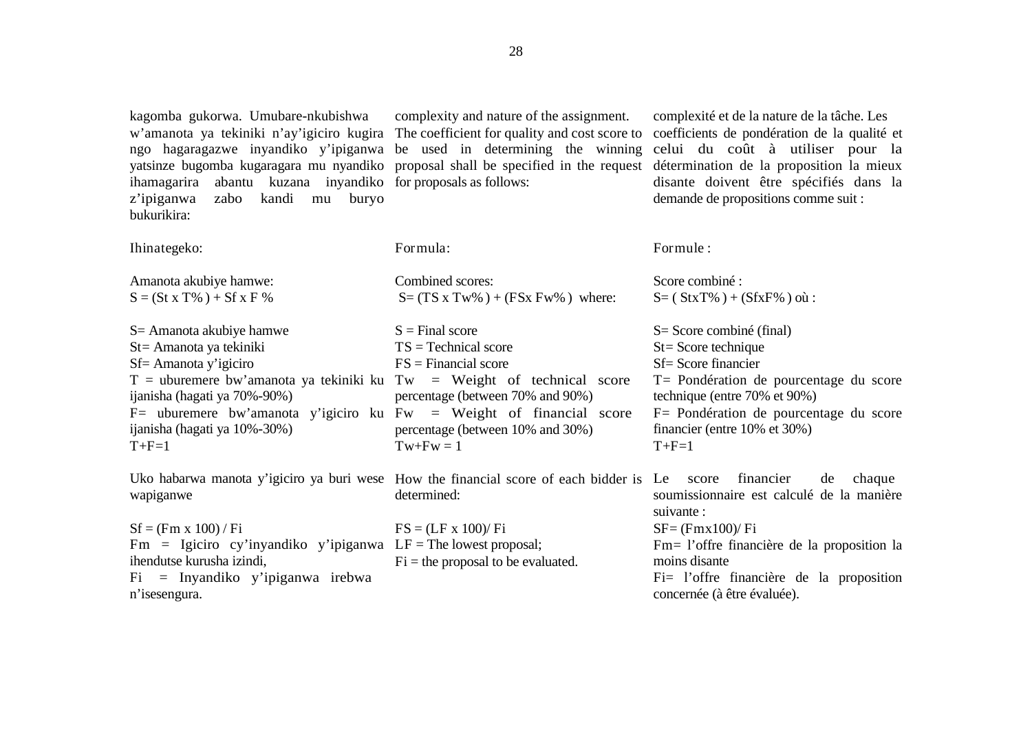| kagomba gukorwa. Umubare-nkubishwa<br>w'amanota ya tekiniki n'ay'igiciro kugira The coefficient for quality and cost score to<br>ngo hagaragazwe inyandiko y'ipiganwa be used in determining the winning<br>yatsinze bugomba kugaragara mu nyandiko proposal shall be specified in the request<br>ihamagarira abantu kuzana inyandiko for proposals as follows:<br>z'ipiganwa<br>kandi<br>buryo<br>zabo<br>mu<br>bukurikira: | complexity and nature of the assignment.                                                                                                                   | complexité et de la nature de la tâche. Les<br>coefficients de pondération de la qualité et<br>celui du coût à utiliser pour la<br>détermination de la proposition la mieux<br>disante doivent être spécifiés dans la<br>demande de propositions comme suit : |
|------------------------------------------------------------------------------------------------------------------------------------------------------------------------------------------------------------------------------------------------------------------------------------------------------------------------------------------------------------------------------------------------------------------------------|------------------------------------------------------------------------------------------------------------------------------------------------------------|---------------------------------------------------------------------------------------------------------------------------------------------------------------------------------------------------------------------------------------------------------------|
| Ihinategeko:                                                                                                                                                                                                                                                                                                                                                                                                                 | Formula:                                                                                                                                                   | Formule:                                                                                                                                                                                                                                                      |
| Amanota akubiye hamwe:                                                                                                                                                                                                                                                                                                                                                                                                       | Combined scores:                                                                                                                                           | Score combiné :                                                                                                                                                                                                                                               |
| $S = (St x T\%) + Sfx F\%$                                                                                                                                                                                                                                                                                                                                                                                                   | $S = (TS \times Tw\%) + (FS \times Fw\%)$ where:                                                                                                           | $S = (StxT\%) + (SfxF\%)$ où :                                                                                                                                                                                                                                |
| S = Amanota akubiye hamwe<br>St = Amanota ya tekiniki<br>Sf= Amanota y'igiciro<br>$T =$ uburemere bw'amanota ya tekiniki ku $Tw =$ Weight of technical score<br>ijanisha (hagati ya 70%-90%)<br>$F=$ uburemere bw'amanota y'igiciro ku $Fw =$ Weight of financial score<br>ijanisha (hagati ya 10%-30%)<br>$T+F=1$                                                                                                           | $S =$ Final score<br>$TS = Technical score$<br>$FS = Financial score$<br>percentage (between 70% and 90%)<br>percentage (between 10% and 30%)<br>$Tw+Fw=1$ | S = Score combiné (final)<br>$St = Score$ technique<br>Sf= Score financier<br>T= Pondération de pourcentage du score<br>technique (entre 70% et 90%)<br>F= Pondération de pourcentage du score<br>financier (entre 10% et 30%)<br>$T+F=1$                     |
| Uko habarwa manota y'igiciro ya buri wese How the financial score of each bidder is Le score<br>wapiganwe                                                                                                                                                                                                                                                                                                                    | determined:                                                                                                                                                | financier<br>chaque<br>de<br>soumissionnaire est calculé de la manière<br>suivante :                                                                                                                                                                          |
| $Sf = (Fm \times 100) / Fi$<br>$Fm = I$ giciro cy'inyandiko y'ipiganwa LF = The lowest proposal;<br>ihendutse kurusha izindi,<br>Fi = Inyandiko y'ipiganwa irebwa<br>n'isesengura.                                                                                                                                                                                                                                           | $FS = (LF x 100)/Fi$<br>$Fi = the proposal to be evaluated.$                                                                                               | $SF = (Fmx100)/Fi$<br>Fm= l'offre financière de la proposition la<br>moins disante<br>Fi= l'offre financière de la proposition<br>concernée (à être évaluée).                                                                                                 |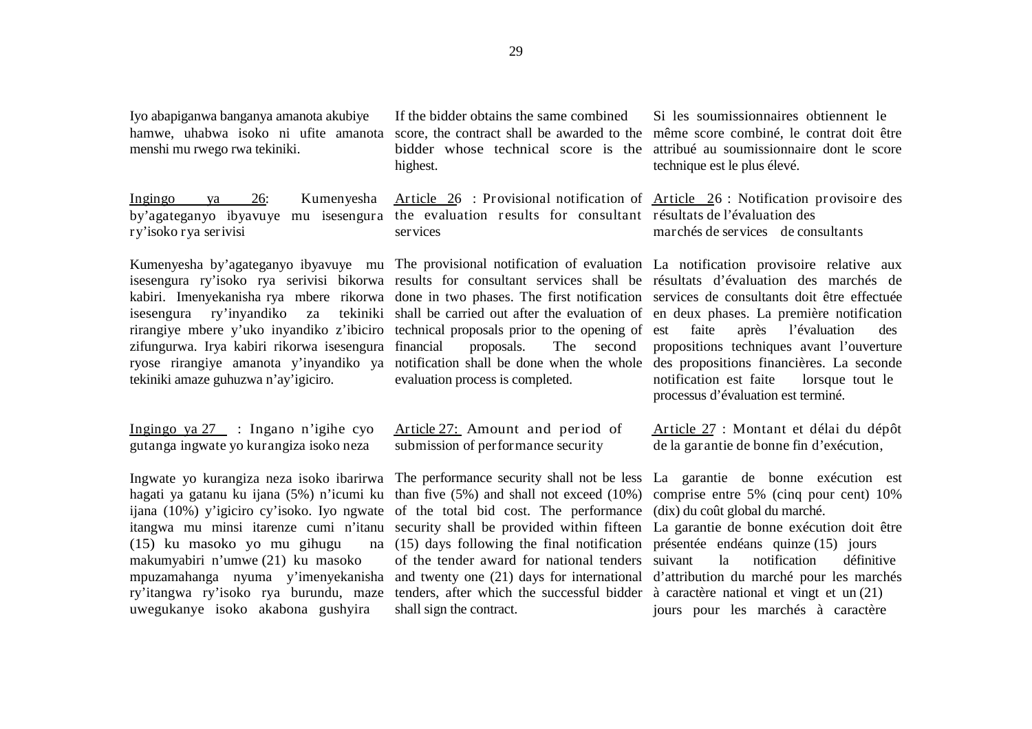Iyo abapiganwa banganya amanota akubiye menshi mu rwego rwa tekiniki.

Ingingo ya 26: Kumenyesha ry'isoko rya serivisi

isesengura ry'inyandiko za rirangiye mbere y'uko inyandiko z'ibiciro technical proposals prior to the opening of zifungurwa. Irya kabiri rikorwa isesengura tekiniki amaze guhuzwa n'ay'igiciro.

Ingingo ya 27 : Ingano n'igihe cyo gutanga ingwate yo kurangiza isoko neza

 $(15)$  ku masoko yo mu gihugu makumyabiri n'umwe (21) ku masoko uwegukanye isoko akabona gushyira

hamwe, uhabwa isoko ni ufite amanota score, the contract shall be awarded to the même score combiné, le contrat doit être If the bidder obtains the same combined bidder whose technical score is the attribué au soumissionnaire dont le score highest.

by'agateganyo ibyavuye mu isesengura the evaluation results for consultant résultats de l'évaluation des services

isesengura ry'isoko rya serivisi bikorwa results for consultant services shall be résultats d'évaluation des marchés de kabiri. Imenyekanisha rya mbere rikorwa done in two phases. The first notification services de consultants doit être effectuée ryose rirangiye amanota y'inyandiko ya notification shall be done when the whole des propositions financières. La seconde shall be carried out after the evaluation of en deux phases. La première notification financial proposals. The second propositions techniques avant l'ouverture evaluation process is completed.

> Article 27: Amount and period of submission of performance security

Ingwate yo kurangiza neza isoko ibarirwa The performance security shall not be less La garantie de bonne exécution est hagati ya gatanu ku ijana (5%) n'icumi ku than five (5%) and shall not exceed (10%) comprise entre 5% (cinq pour cent) 10% ijana (10%) y'igiciro cy'isoko. Iyo ngwate of the total bid cost. The performance (dix) du coût global du marché. itangwa mu minsi itarenze cumi n'itanu security shall be provided within fifteen La garantie de bonne exécution doit être mpuzamahanga nyuma y'imenyekanisha and twenty one (21) days for international d'attribution du marché pour les marchés ry'itangwa ry'isoko rya burundu, maze tenders, after which the successful bidder à caractère national et vingt et un (21) (15) days following the final notification présentée endéans quinze (15) jours of the tender award for national tenders shall sign the contract.

Si les soumissionnaires obtiennent le technique est le plus élevé.

Article 26 : Provisional notification of Article 26 : Notification provisoire des marchés de services de consultants

Kumenyesha by'agateganyo ibyavuye mu The provisional notification of evaluation La notification provisoire relative aux après l'évaluation des notification est faite lorsque tout le processus d'évaluation est terminé.

> Article 27 : Montant et délai du dépôt de la garantie de bonne fin d'exécution,

> la notification définitive jours pour les marchés à caractère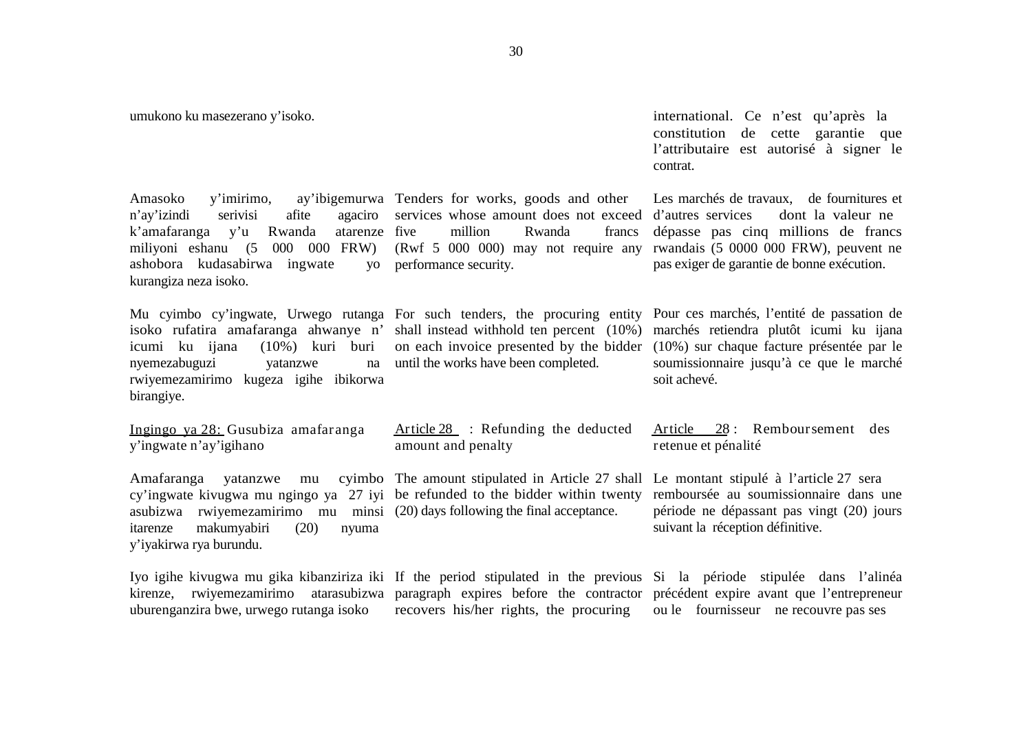umukono ku masezerano y'isoko.

Amasoko y'imirimo, ay'ibigemurwa Tenders for works, goods and other n'ay'izindi serivisi afite k'amafaranga y'u Rwanda atarenze miliyoni eshanu (5 000 000 FRW) ashobora kudasabirwa ingwate kurangiza neza isoko.

icumi ku ijana (10%) kuri buri nyemezabuguzi yatanzwe na rwiyemezamirimo kugeza igihe ibikorwa birangiye.

services whose amount does not exceed d'autres services dont la valeur ne million Rwanda (Rwf 5 000 000) may not require any rwandais (5 0000 000 FRW), peuvent ne yo performance security.

until the works have been completed.

international. Ce n'est qu'après la constitution de cette garantie que l'attributaire est autorisé à signer le contrat.

Les marchés de travaux, de fournitures et dépasse pas cinq millions de francs pas exiger de garantie de bonne exécution.

Mu cyimbo cy'ingwate, Urwego rutanga For such tenders, the procuring entity Pour ces marchés, l'entité de passation de isoko rufatira amafaranga ahwanye n' shall instead withhold ten percent (10%) marchés retiendra plutôt icumi ku ijana on each invoice presented by the bidder (10%) sur chaque facture présentée par le soumissionnaire jusqu'à ce que le marché soit achevé.

période ne dépassant pas vingt (20) jours

suivant la réception définitive.

Ingingo ya 28: Gusubiza amafaranga y'ingwate n'ay'igihano Amafaranga yatanzwe mu Article 28 : Refunding the deducted amount and penalty The amount stipulated in Article 27 shall Le montant stipulé à l'article 27 sera Article 28: Remboursement des retenue et pénalité

cy'ingwate kivugwa mu ngingo ya 27 iyi be refunded to the bidder within twenty remboursée au soumissionnaire dans une asubizwa rwiyemezamirimo mu minsi (20) days following the final acceptance. itarenze makumyabiri (20) nyuma y'iyakirwa rya burundu.

Iyo igihe kivugwa mu gika kibanziriza iki If the period stipulated in the previous Si la période stipulée dans l'alinéa kirenze, rwiyemezamirimo atarasubizwa paragraph expires before the contractor précédent expire avant que l'entrepreneur uburenganzira bwe, urwego rutanga isoko recovers his/her rights, the procuring ou le fournisseur ne recouvre pas ses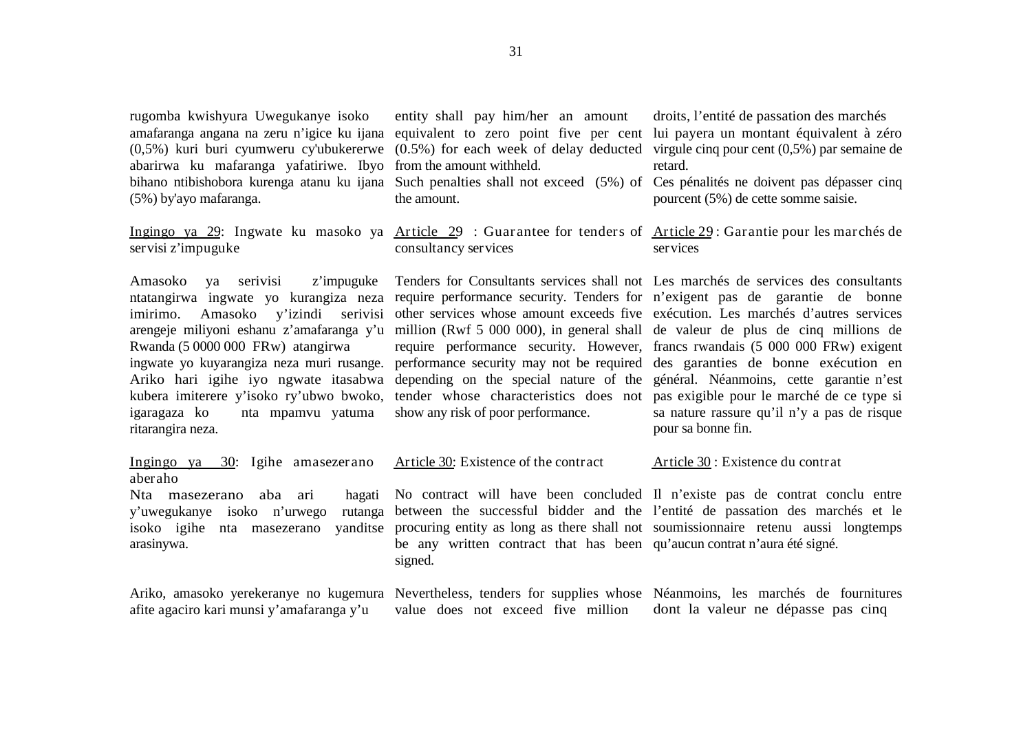| rugomba kwishyura Uwegukanye isoko<br>amafaranga angana na zeru n'igice ku ijana<br>(0,5%) kuri buri cyumweru cy'ubukererwe<br>abarirwa ku mafaranga yafatiriwe. Ibyo<br>bihano ntibishobora kurenga atanu ku ijana<br>(5%) by'ayo mafaranga.                                                                                                                                                                                                                    | entity shall pay him/her an amount<br>equivalent to zero point five per cent<br>$(0.5\%)$ for each week of delay deducted<br>from the amount withheld.<br>the amount.                                                                                                                                                                                                                                                                                                                 | droits, l'entité de passation des marchés<br>lui payera un montant équivalent à zéro<br>virgule cinq pour cent $(0,5\%)$ par semaine de<br>retard.<br>Such penalties shall not exceed (5%) of Ces pénalités ne doivent pas dépasser cinq<br>pourcent (5%) de cette somme saisie. |
|------------------------------------------------------------------------------------------------------------------------------------------------------------------------------------------------------------------------------------------------------------------------------------------------------------------------------------------------------------------------------------------------------------------------------------------------------------------|---------------------------------------------------------------------------------------------------------------------------------------------------------------------------------------------------------------------------------------------------------------------------------------------------------------------------------------------------------------------------------------------------------------------------------------------------------------------------------------|----------------------------------------------------------------------------------------------------------------------------------------------------------------------------------------------------------------------------------------------------------------------------------|
| Ingingo ya 29: Ingwate ku masoko ya Article 29: Guarantee for tenders of Article 29: Garantie pour les marchés de<br>servisi z'impuguke                                                                                                                                                                                                                                                                                                                          | consultancy services                                                                                                                                                                                                                                                                                                                                                                                                                                                                  | services                                                                                                                                                                                                                                                                         |
| z'impuguke<br>Amasoko<br>serivisi<br>ya<br>ntatangirwa ingwate yo kurangiza neza require performance security. Tenders for n'exigent pas de garantie de bonne<br>imirimo.<br>Amasoko<br>arengeje miliyoni eshanu z'amafaranga y'u<br>Rwanda (5 0000 000 FRw) atangirwa<br>ingwate yo kuyarangiza neza muri rusange.<br>Ariko hari igihe iyo ngwate itasabwa<br>kubera imiterere y'isoko ry'ubwo bwoko,<br>igaragaza ko<br>nta mpamvu yatuma<br>ritarangira neza. | Tenders for Consultants services shall not Les marchés de services des consultants<br>y'izindi serivisi other services whose amount exceeds five exécution. Les marchés d'autres services<br>million (Rwf 5 000 000), in general shall de valeur de plus de cinq millions de<br>performance security may not be required des garanties de bonne exécution en<br>tender whose characteristics does not pas exigible pour le marché de ce type si<br>show any risk of poor performance. | require performance security. However, francs rwandais (5 000 000 FRw) exigent<br>depending on the special nature of the général. Néanmoins, cette garantie n'est<br>sa nature rassure qu'il n'y a pas de risque<br>pour sa bonne fin.                                           |
| Ingingo ya 30: Igihe amasezerano<br>aberaho                                                                                                                                                                                                                                                                                                                                                                                                                      | Article 30: Existence of the contract                                                                                                                                                                                                                                                                                                                                                                                                                                                 | Article 30 : Existence du contrat                                                                                                                                                                                                                                                |
| Nta masezerano<br>aba ari<br>y'uwegukanye isoko n'urwego<br>rutanga<br>isoko igihe nta masezerano<br>arasinywa.                                                                                                                                                                                                                                                                                                                                                  | hagati No contract will have been concluded Il n'existe pas de contrat conclu entre<br>between the successful bidder and the l'entité de passation des marchés et le<br>yanditse procuring entity as long as there shall not soumissionnaire retenu aussi longtemps<br>be any written contract that has been qu'aucun contrat n'aura été signé.<br>signed.                                                                                                                            |                                                                                                                                                                                                                                                                                  |
| Ariko, amasoko yerekeranye no kugemura Nevertheless, tenders for supplies whose Néanmoins, les marchés de fournitures                                                                                                                                                                                                                                                                                                                                            |                                                                                                                                                                                                                                                                                                                                                                                                                                                                                       |                                                                                                                                                                                                                                                                                  |

value does not exceed five million dont la valeur ne dépasse pas cinq

afite agaciro kari munsi y'amafaranga y'u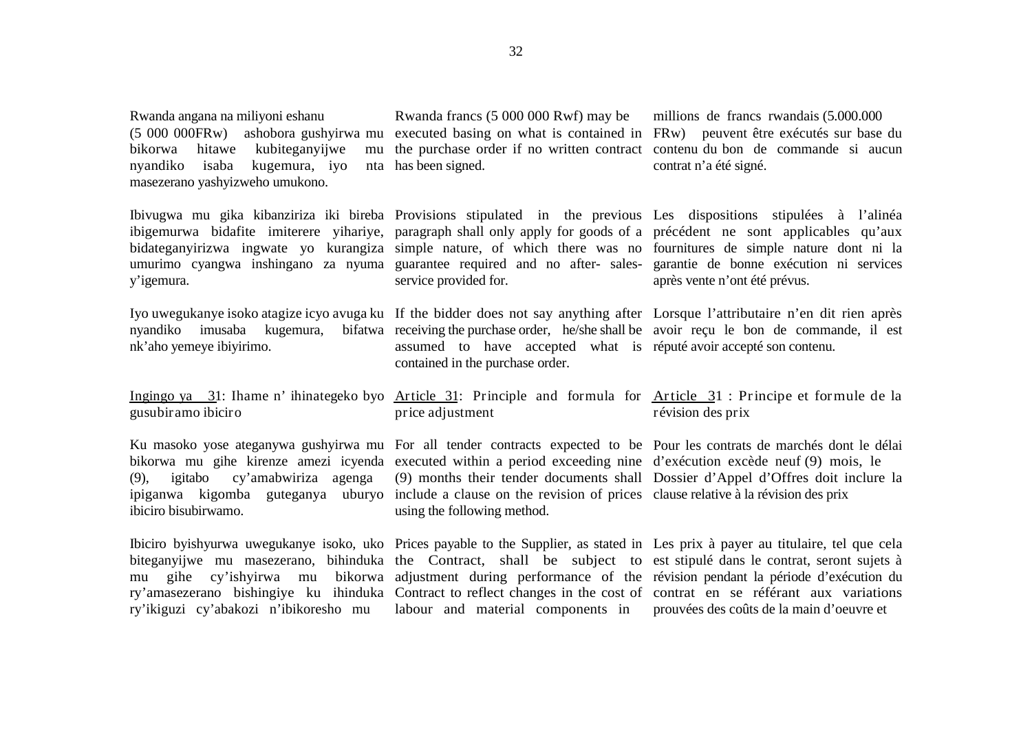nyandiko isaba kugemura, iyo masezerano yashyizweho umukono. Ibivugwa mu gika kibanziriza iki bireba Provisions stipulated in the previous Les dispositions stipulées à l'alinéa ibigemurwa bidafite imiterere yihariye, paragraph shall only apply for goods of a précédent ne sont applicables qu'aux bidateganyirizwa ingwate yo kurangiza simple nature, of which there was no fournitures de simple nature dont ni la umurimo cyangwa inshingano za nyuma guarantee required and no after- sales- garantie de bonne exécution ni services y'igemura. Iyo uwegukanye isoko atagize icyo avuga ku If the bidder does not say anything after Lorsque l'attributaire n'en dit rien après nyandiko imusaba kugemura, bifatwa receiving the purchase order, he/she shall be avoir reçu le bon de commande, il est nk'aho yemeye ibiyirimo. Ingingo ya 31: Ihame n' ihinategeko byo Article 31: Principle and formula for Article 31 : Principe et formule de la gusubiramo ibiciro Ku masoko yose ateganywa gushyirwa mu For all tender contracts expected to be Pour les contrats de marchés dont le délai bikorwa mu gihe kirenze amezi icyenda executed within a period exceeding nine d'exécution excède neuf (9) mois, le (9), igitabo cy'amabwiriza agenga ipiganwa kigomba guteganya uburyo include a clause on the revision of prices clause relative à la révision des prix ibiciro bisubirwamo. Ibiciro byishyurwa uwegukanye isoko, uko Prices payable to the Supplier, as stated in Les prix à payer au titulaire, tel que cela biteganyijwe mu masezerano, bihinduka the Contract, shall be subject to est stipulé dans le contrat, seront sujets à mu gihe cy'ishyirwa mu bikorwa adjustment during performance of the révision pendant la période d'exécution du the purchase order if no written contract contenu du bon de commande si aucun nta has been signed. service provided for. assumed to have accepted what is réputé avoir accepté son contenu. contained in the purchase order. price adjustment (9) months their tender documents shall Dossier d'Appel d'Offres doit inclure la using the following method. contrat n'a été signé. après vente n'ont été prévus. révision des prix

ry'amasezerano bishingiye ku ihinduka Contract to reflect changes in the cost of contrat en se référant aux variations ry'ikiguzi cy'abakozi n'ibikoresho mu labour and material components in prouvées des coûts de la main d'oeuvre et

32

(5 000 000FRw) ashobora gushyirwa mu executed basing on what is contained in FRw) peuvent être exécutés sur base du

Rwanda francs (5 000 000 Rwf) may be

millions de francs rwandais (5.000.000

Rwanda angana na miliyoni eshanu

bikorwa hitawe kubiteganyijwe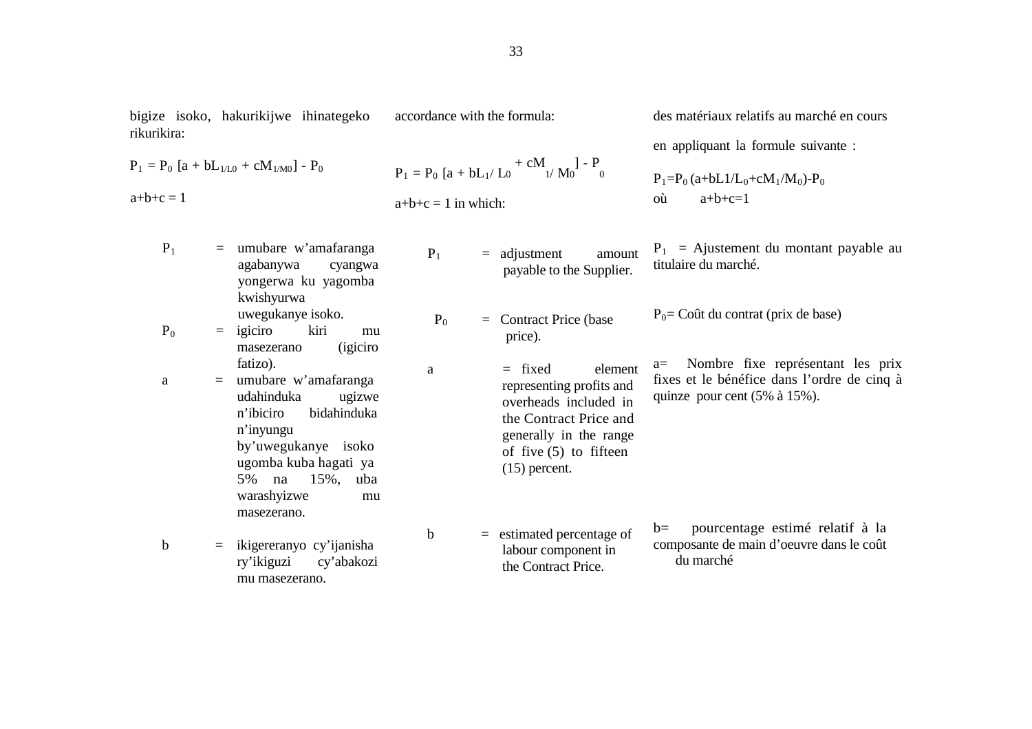| rikurikira: |                                                                                                                                                                                                            |                                                                                                                                                                                   | en appliquant la formule suivante :                                                                                                   |
|-------------|------------------------------------------------------------------------------------------------------------------------------------------------------------------------------------------------------------|-----------------------------------------------------------------------------------------------------------------------------------------------------------------------------------|---------------------------------------------------------------------------------------------------------------------------------------|
| $a+b+c=1$   | $P_1 = P_0$ [a + bL <sub>1/L0</sub> + cM <sub>1/M0</sub> ] - P <sub>0</sub>                                                                                                                                | $P_1 = P_0 [a + bL_1/L_0 + cM_1/M_0] - P_0$<br>$a+b+c=1$ in which:                                                                                                                | $P_1 = P_0 (a + bL1/L_0 + cM_1/M_0) - P_0$<br>$a+b+c=1$<br>où                                                                         |
| $P_1$       | umubare w'amafaranga<br>$=$<br>agabanywa<br>cyangwa<br>yongerwa ku yagomba                                                                                                                                 | $P_1$<br>adjustment<br>amount<br>$=$<br>payable to the Supplier.                                                                                                                  | $P_1$ = Ajustement du montant payable au<br>titulaire du marché.                                                                      |
| $P_0$       | kwishyurwa<br>uwegukanye isoko.<br>kiri<br>igiciro<br>$=$<br>mu<br><i>(igiciro)</i><br>masezerano                                                                                                          | $=$ Contract Price (base<br>$P_0$<br>price).                                                                                                                                      | $P_0$ = Coût du contrat (prix de base)                                                                                                |
| a           | fatizo).<br>umubare w'amafaranga<br>$\equiv$<br>udahinduka<br>ugizwe<br>n'ibiciro<br>bidahinduka<br>n'inyungu<br>by'uwegukanye isoko<br>ugomba kuba hagati ya<br>15%,<br>5% na<br>uba<br>warashyizwe<br>mu | $=$ fixed<br>element<br>a<br>representing profits and<br>overheads included in<br>the Contract Price and<br>generally in the range<br>of five $(5)$ to fifteen<br>$(15)$ percent. | Nombre fixe représentant les prix<br>$a=$<br>fixes et le bénéfice dans l'ordre de cinq à<br>quinze pour cent $(5\% \text{ à } 15\%).$ |
| $\mathbf b$ | masezerano.<br>ikigereranyo cy'ijanisha<br>$\equiv$<br>ry'ikiguzi<br>cy'abakozi<br>mu masezerano.                                                                                                          | $=$ estimated percentage of<br>$\mathbf b$<br>labour component in<br>the Contract Price.                                                                                          | pourcentage estimé relatif à la<br>$b=$<br>composante de main d'oeuvre dans le coût<br>du marché                                      |

bigize isoko, hakurikijwe ihinategeko accordance with the formula: rik

des matériaux relatifs au marché en cours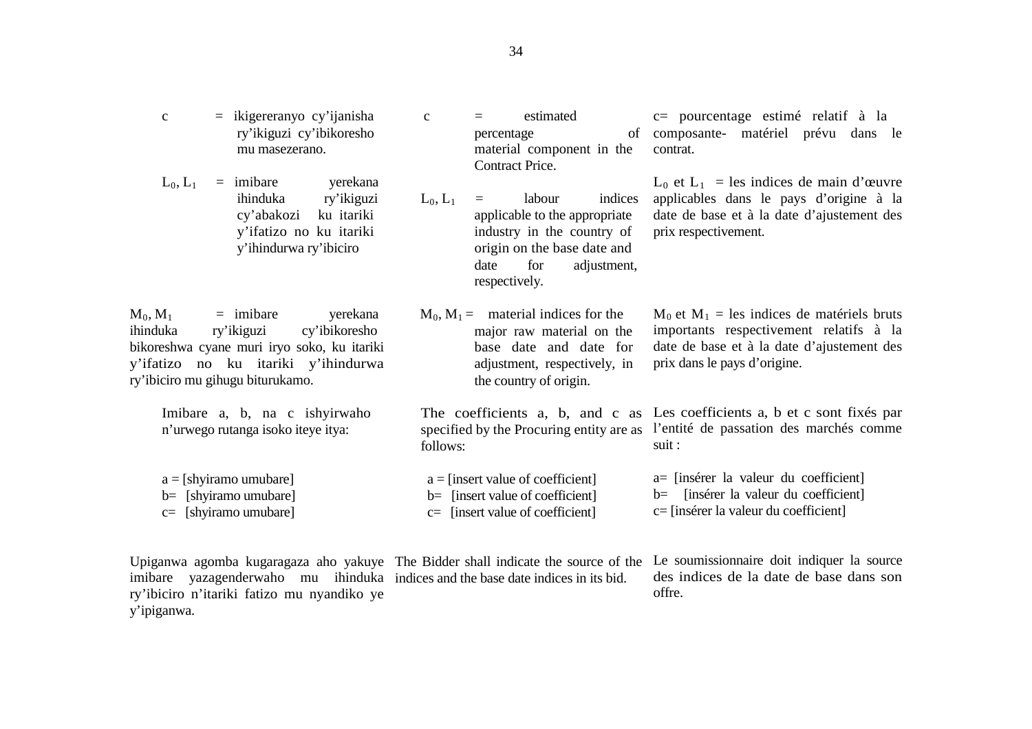| $=$ ikigereranyo cy'ijanisha<br>$\mathbf{C}$<br>ry'ikiguzi cy'ibikoresho<br>mu masezerano.                                                                                                                 | $\mathbf{C}$ | estimated<br>$=$<br>percentage<br>of<br>material component in the<br>Contract Price.                                                                                  | c= pourcentage estimé relatif à la<br>composante- matériel prévu dans le<br>contrat.                                                                                     |
|------------------------------------------------------------------------------------------------------------------------------------------------------------------------------------------------------------|--------------|-----------------------------------------------------------------------------------------------------------------------------------------------------------------------|--------------------------------------------------------------------------------------------------------------------------------------------------------------------------|
| $=$ imibare<br>$L_0, L_1$<br>yerekana<br>ihinduka<br>ry'ikiguzi<br>cy'abakozi<br>ku itariki<br>y'ifatizo no ku itariki<br>y'ihindurwa ry'ibiciro                                                           | $L_0, L_1$   | indices<br>labour<br>$=$<br>applicable to the appropriate<br>industry in the country of<br>origin on the base date and<br>for<br>date<br>adjustment,<br>respectively. | $L_0$ et $L_1$ = les indices de main d'œuvre<br>applicables dans le pays d'origine à la<br>date de base et à la date d'ajustement des<br>prix respectivement.            |
| $M_0, M_1$<br>$=$ imibare<br>yerekana<br>ry'ikiguzi<br>ihinduka<br>cy'ibikoresho<br>bikoreshwa cyane muri iryo soko, ku itariki<br>y'ifatizo no ku itariki y'ihindurwa<br>ry'ibiciro mu gihugu biturukamo. |              | $M_0$ , $M_1$ = material indices for the<br>major raw material on the<br>base date and date for<br>adjustment, respectively, in<br>the country of origin.             | $M_0$ et $M_1$ = les indices de matériels bruts<br>importants respectivement relatifs à la<br>date de base et à la date d'ajustement des<br>prix dans le pays d'origine. |
| Imibare a, b, na c ishyirwaho<br>n'urwego rutanga isoko iteye itya:                                                                                                                                        | follows:     |                                                                                                                                                                       | The coefficients a, b, and c as Les coefficients a, b et c sont fixés par<br>specified by the Procuring entity are as l'entité de passation des marchés comme<br>suit :  |
| $a = [shyiramo umubare]$<br>$b=$ [shyiramo umubare]<br>[shyiramo umubare]<br>$c=$                                                                                                                          |              | $a =$ [insert value of coefficient]<br>$b =$ [insert value of coefficient]<br>$c =$ [insert value of coefficient]                                                     | a = [insérer la valeur du coefficient]<br>b= [insérer la valeur du coefficient]<br>c= [insérer la valeur du coefficient]                                                 |

Upiganwa agomba kugaragaza aho yakuye The Bidder shall indicate the source of the Le soumissionnaire doit indiquer la source imibare yazagenderwaho mu ihinduka indices and the base date indices in its bid. ry'ibiciro n'itariki fatizo mu nyandiko ye y'ipiganwa. des indices de la date de base dans son offre.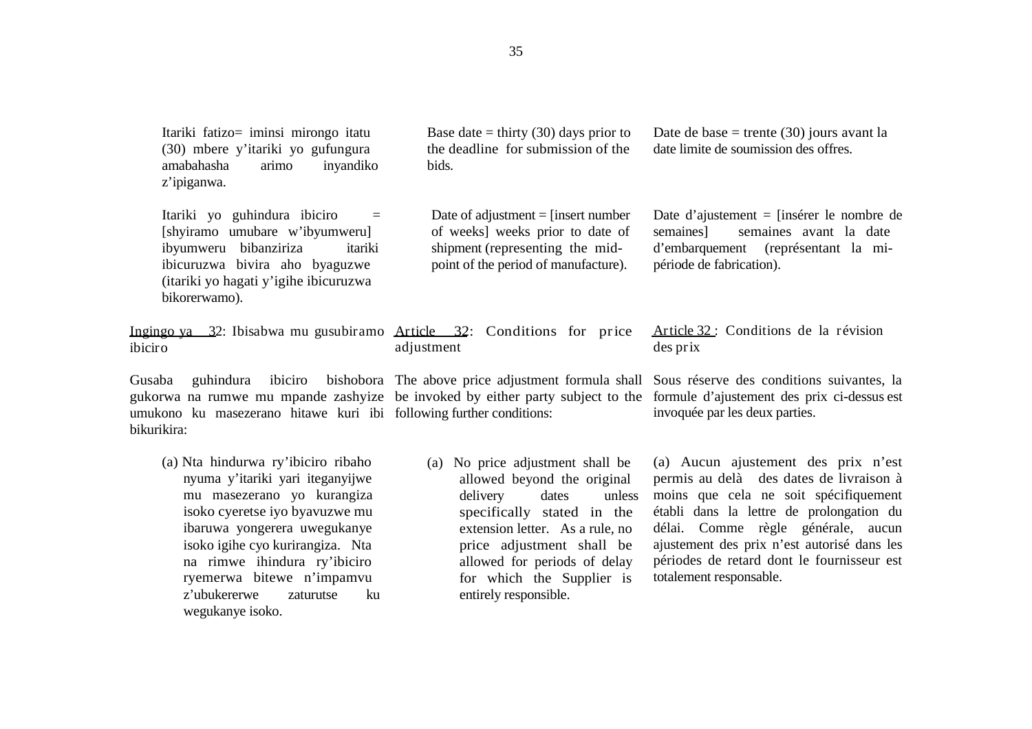| Itariki fatizo= iminsi mirongo itatu<br>(30) mbere y'itariki yo gufungura<br>amabahasha<br>inyandiko<br>arimo<br>z'ipiganwa.                                                                                                                                                                               | Base date = thirty (30) days prior to<br>the deadline for submission of the<br>bids.                                                                                                                                                                                               | Date de base = trente $(30)$ jours avant la<br>date limite de soumission des offres.                                                                                                                                                                                                                                              |
|------------------------------------------------------------------------------------------------------------------------------------------------------------------------------------------------------------------------------------------------------------------------------------------------------------|------------------------------------------------------------------------------------------------------------------------------------------------------------------------------------------------------------------------------------------------------------------------------------|-----------------------------------------------------------------------------------------------------------------------------------------------------------------------------------------------------------------------------------------------------------------------------------------------------------------------------------|
| Itariki yo guhindura ibiciro<br>$\equiv$<br>[shyiramo umubare w'ibyumweru]<br>ibyumweru bibanziriza<br>itariki<br>ibicuruzwa bivira aho byaguzwe<br>(itariki yo hagati y'igihe ibicuruzwa<br>bikorerwamo).                                                                                                 | Date of adjustment $=$ [insert number<br>of weeks] weeks prior to date of<br>shipment (representing the mid-<br>point of the period of manufacture).                                                                                                                               | Date d'ajustement = $[$ insérer le nombre de<br>semaines avant la date<br>semaines]<br>d'embarquement (représentant la mi-<br>période de fabrication).                                                                                                                                                                            |
| Ingingo ya 32: Ibisabwa mu gusubiramo Article 32: Conditions for price<br>ibiciro                                                                                                                                                                                                                          | adjustment                                                                                                                                                                                                                                                                         | Article 32 : Conditions de la révision<br>des prix                                                                                                                                                                                                                                                                                |
| guhindura<br>Gusaba<br>gukorwa na rumwe mu mpande zashyize be invoked by either party subject to the<br>umukono ku masezerano hitawe kuri ibi following further conditions:<br>bikurikira:                                                                                                                 | ibiciro bishobora The above price adjustment formula shall Sous réserve des conditions suivantes, la                                                                                                                                                                               | formule d'ajustement des prix ci-dessus est<br>invoquée par les deux parties.                                                                                                                                                                                                                                                     |
| (a) Nta hindurwa ry'ibiciro ribaho<br>nyuma y'itariki yari iteganyijwe<br>mu masezerano yo kurangiza<br>isoko cyeretse iyo byavuzwe mu<br>ibaruwa yongerera uwegukanye<br>isoko igihe cyo kurirangiza. Nta<br>na rimwe ihindura ry'ibiciro<br>ryemerwa bitewe n'impamvu<br>z'ubukererwe<br>zaturutse<br>ku | (a) No price adjustment shall be<br>allowed beyond the original<br>unless<br>delivery<br>dates<br>specifically stated in the<br>extension letter. As a rule, no<br>price adjustment shall be<br>allowed for periods of delay<br>for which the Supplier is<br>entirely responsible. | (a) Aucun ajustement des prix n'est<br>permis au delà des dates de livraison à<br>moins que cela ne soit spécifiquement<br>établi dans la lettre de prolongation du<br>délai. Comme règle générale, aucun<br>ajustement des prix n'est autorisé dans les<br>périodes de retard dont le fournisseur est<br>totalement responsable. |

entirely responsible.

z'ubukererwe wegukanye isoko.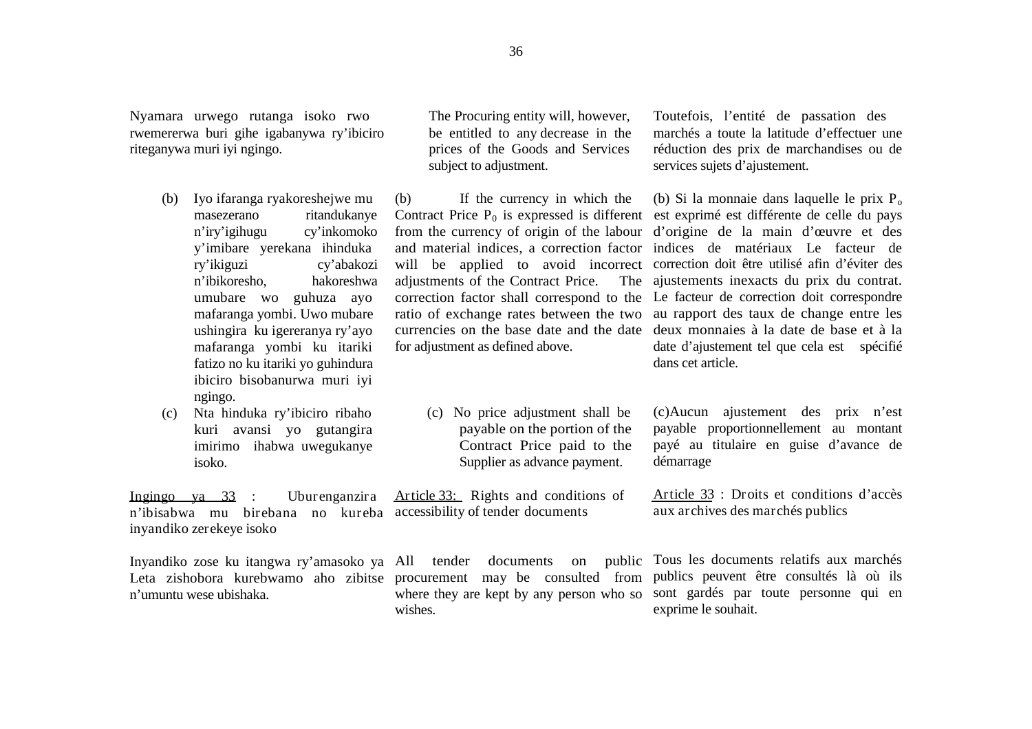Nyamara urwego rutanga isoko rwo rwemererwa buri gihe igabanywa ry'ibiciro riteganywa muri iyi ngingo.

- (b) Iyo ifaranga ryakoreshejwe mu masezerano ritandukanye n'iry'igihugu cy'inkomoko y'imibare yerekana ihinduka ry'ikiguzi cy'abakozi n'ibikoresho, hakoreshwa umubare wo guhuza ayo mafaranga yombi. Uwo mubare ushingira ku igereranya ry'ayo mafaranga yombi ku itariki fatizo no ku itariki yo guhindura ibiciro bisobanurwa muri iyi ngingo.
- (c) Nta hinduka ry'ibiciro ribaho kuri avansi yo gutangira imirimo ihabwa uwegukanye isoko.

Ingingo ya 33 : Uburenganzira n'ibisabwa mu birebana no kureba accessibility of tender documents inyandiko zerekeye isoko

n'umuntu wese ubishaka.

The Procuring entity will, however, be entitled to any decrease in the prices of the Goods and Services subject to adjustment.

(b) If the currency in which the Contract Price  $P_0$  is expressed is different est exprimé est différente de celle du pays from the currency of origin of the labour d'origine de la main d'œuvre et des and material indices, a correction factor indices de matériaux Le facteur de will be applied to avoid incorrect correction doit être utilisé afin d'éviter des adjustments of the Contract Price. The ajustements inexacts du prix du contrat. correction factor shall correspond to the Le facteur de correction doit correspondre ratio of exchange rates between the two au rapport des taux de change entre les currencies on the base date and the date deux monnaies à la date de base et à la for adjustment as defined above.

(c) No price adjustment shall be payable on the portion of the Contract Price paid to the Supplier as advance payment.

Article 33: Rights and conditions of

Leta zishobora kurebwamo aho zibitse procurement may be consulted from publics peuvent être consultés là où ils where they are kept by any person who so sont gardés par toute personne qui en wishes.

Toutefois, l'entité de passation des marchés a toute la latitude d'effectuer une réduction des prix de marchandises ou de services sujets d'ajustement.

(b) Si la monnaie dans laquelle le prix  $P_0$ date d'ajustement tel que cela est spécifié dans cet article.

(c)Aucun ajustement des prix n'est payable proportionnellement au montant payé au titulaire en guise d'avance de démarrage

Article 33 : Droits et conditions d'accès aux archives des marchés publics

Inyandiko zose ku itangwa ry'amasoko ya All tender documents on public Tous les documents relatifs aux marchés exprime le souhait.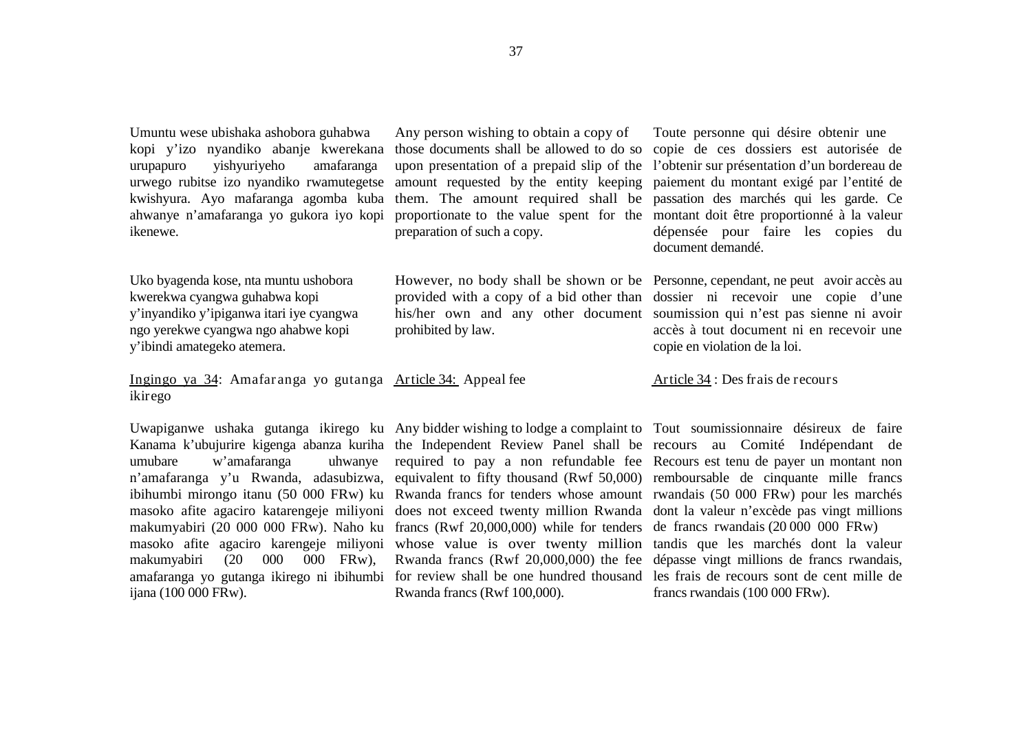Umuntu wese ubishaka ashobora guhabwa kopi y'izo nyandiko abanje kwerekana urupapuro yishyuriyeho amafaranga urwego rubitse izo nyandiko rwamutegetse amount requested by the entity keeping paiement du montant exigé par l'entité de kwishyura. Ayo mafaranga agomba kuba ahwanye n'amafaranga yo gukora iyo kopi ikenewe. Any person wishing to obtain a copy of preparation of such a copy.

Uko byagenda kose, nta muntu ushobora kwerekwa cyangwa guhabwa kopi y'inyandiko y'ipiganwa itari iye cyangwa ngo yerekwe cyangwa ngo ahabwe kopi y'ibindi amategeko atemera.

Ingingo ya 34: Amafaranga yo gutanga Article 34: Appeal fee ikirego

Kanama k'ubujurire kigenga abanza kuriha the Independent Review Panel shall be recours au Comité Indépendant de umubare w'amafaranga uhwanye n'amafaranga y'u Rwanda, adasubizwa, equivalent to fifty thousand (Rwf 50,000) remboursable de cinquante mille francs ibihumbi mirongo itanu (50 000 FRw) ku Rwanda francs for tenders whose amount rwandais (50 000 FRw) pour les marchés masoko afite agaciro katarengeje miliyoni does not exceed twenty million Rwanda dont la valeur n'excède pas vingt millions makumyabiri (20 000 000 FRw). Naho ku francs (Rwf 20,000,000) while for tenders de francs rwandais (20 000 000 FRw) masoko afite agaciro karengeje miliyoni whose value is over twenty million tandis que les marchés dont la valeur makumyabiri (20 000 000 FRw), Rwanda francs (Rwf 20,000,000) the fee dépasse vingt millions de francs rwandais, amafaranga yo gutanga ikirego ni ibihumbi for review shall be one hundred thousand les frais de recours sont de cent mille de ijana (100 000 FRw).

Uwapiganwe ushaka gutanga ikirego ku Any bidder wishing to lodge a complaint to Tout soumissionnaire désireux de faire required to pay a non refundable fee Recours est tenu de payer un montant non Rwanda francs (Rwf 100,000).

prohibited by law.

those documents shall be allowed to do so copie de ces dossiers est autorisée de upon presentation of a prepaid slip of the l'obtenir sur présentation d'un bordereau de them. The amount required shall be passation des marchés qui les garde. Ce proportionate to the value spent for the montant doit être proportionné à la valeur Toute personne qui désire obtenir une dépensée pour faire les copies du document demandé.

However, no body shall be shown or be Personne, cependant, ne peut avoir accès au provided with a copy of a bid other than dossier ni recevoir une copie d'une his/her own and any other document soumission qui n'est pas sienne ni avoir accès à tout document ni en recevoir une copie en violation de la loi.

Article 34 : Des frais de recours

francs rwandais (100 000 FRw).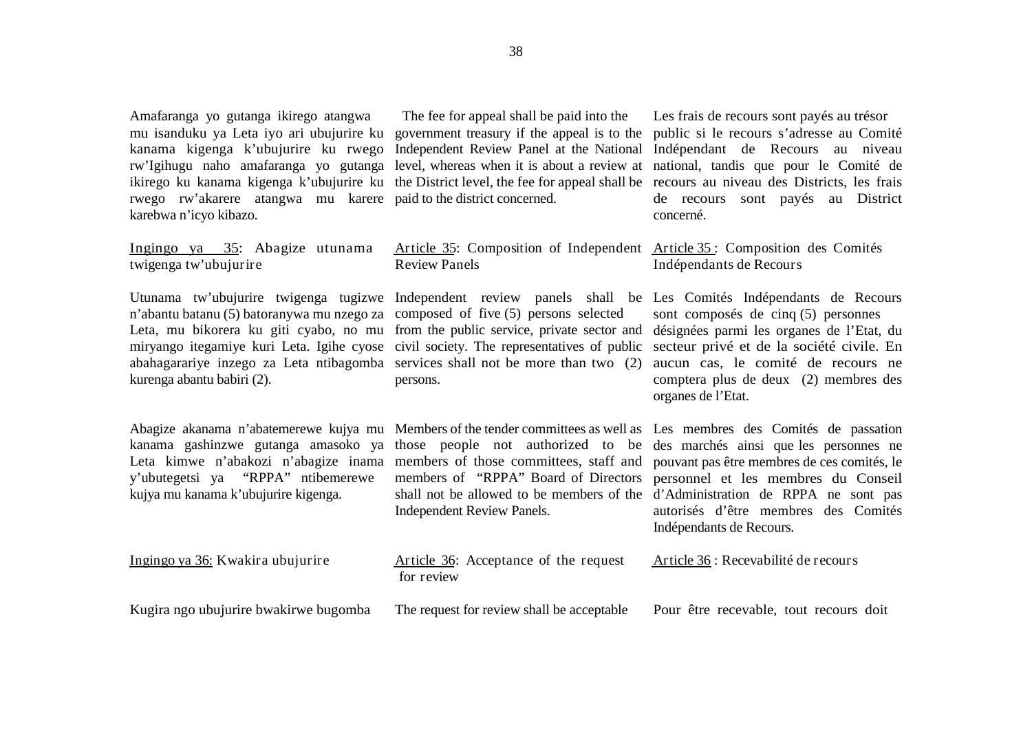| Amafaranga yo gutanga ikirego atangwa<br>mu isanduku ya Leta iyo ari ubujurire ku<br>kanama kigenga k'ubujurire ku rwego<br>rw'Igihugu naho amafaranga yo gutanga<br>ikirego ku kanama kigenga k'ubujurire ku the District level, the fee for appeal shall be<br>rwego rw'akarere atangwa mu karere paid to the district concerned.<br>karebwa n'icyo kibazo.                                                                                                                                     | The fee for appeal shall be paid into the<br>government treasury if the appeal is to the<br>Independent Review Panel at the National<br>level, whereas when it is about a review at      | Les frais de recours sont payés au trésor<br>public si le recours s'adresse au Comité<br>Indépendant de Recours au niveau<br>national, tandis que pour le Comité de<br>recours au niveau des Districts, les frais<br>de recours sont payés au District<br>concerné. |
|---------------------------------------------------------------------------------------------------------------------------------------------------------------------------------------------------------------------------------------------------------------------------------------------------------------------------------------------------------------------------------------------------------------------------------------------------------------------------------------------------|------------------------------------------------------------------------------------------------------------------------------------------------------------------------------------------|---------------------------------------------------------------------------------------------------------------------------------------------------------------------------------------------------------------------------------------------------------------------|
| Ingingo ya 35: Abagize utunama<br>twigenga tw'ubujurire                                                                                                                                                                                                                                                                                                                                                                                                                                           | Article 35: Composition of Independent Article 35: Composition des Comités<br><b>Review Panels</b>                                                                                       | Indépendants de Recours                                                                                                                                                                                                                                             |
| Utunama tw'ubujurire twigenga tugizwe Independent review panels shall be Les Comités Indépendants de Recours<br>n'abantu batanu (5) batoranywa mu nzego za composed of five (5) persons selected<br>Leta, mu bikorera ku giti cyabo, no mu from the public service, private sector and<br>miryango itegamiye kuri Leta. Igihe cyose civil society. The representatives of public<br>abahagarariye inzego za Leta ntibagomba services shall not be more than two (2)<br>kurenga abantu babiri (2). | persons.                                                                                                                                                                                 | sont composés de cinq (5) personnes<br>désignées parmi les organes de l'Etat, du<br>secteur privé et de la société civile. En<br>aucun cas, le comité de recours ne<br>comptera plus de deux (2) membres des<br>organes de l'Etat.                                  |
| Abagize akanama n'abatemerewe kujya mu Members of the tender committees as well as Les membres des Comités de passation<br>kanama gashinzwe gutanga amasoko ya<br>Leta kimwe n'abakozi n'abagize inama<br>y'ubutegetsi ya "RPPA" ntibemerewe<br>kujya mu kanama k'ubujurire kigenga.                                                                                                                                                                                                              | those people not authorized to be des marchés ainsi que les personnes ne<br>members of those committees, staff and<br>members of "RPPA" Board of Directors<br>Independent Review Panels. | pouvant pas être membres de ces comités, le<br>personnel et les membres du Conseil<br>shall not be allowed to be members of the d'Administration de RPPA ne sont pas<br>autorisés d'être membres des Comités<br>Indépendants de Recours.                            |
| Ingingo ya 36: Kwakira ubujurire                                                                                                                                                                                                                                                                                                                                                                                                                                                                  | Article 36: Acceptance of the request<br>for review                                                                                                                                      | Article 36 : Recevabilité de recours                                                                                                                                                                                                                                |
| Kugira ngo ubujurire bwakirwe bugomba                                                                                                                                                                                                                                                                                                                                                                                                                                                             | The request for review shall be acceptable                                                                                                                                               | Pour être recevable, tout recours doit                                                                                                                                                                                                                              |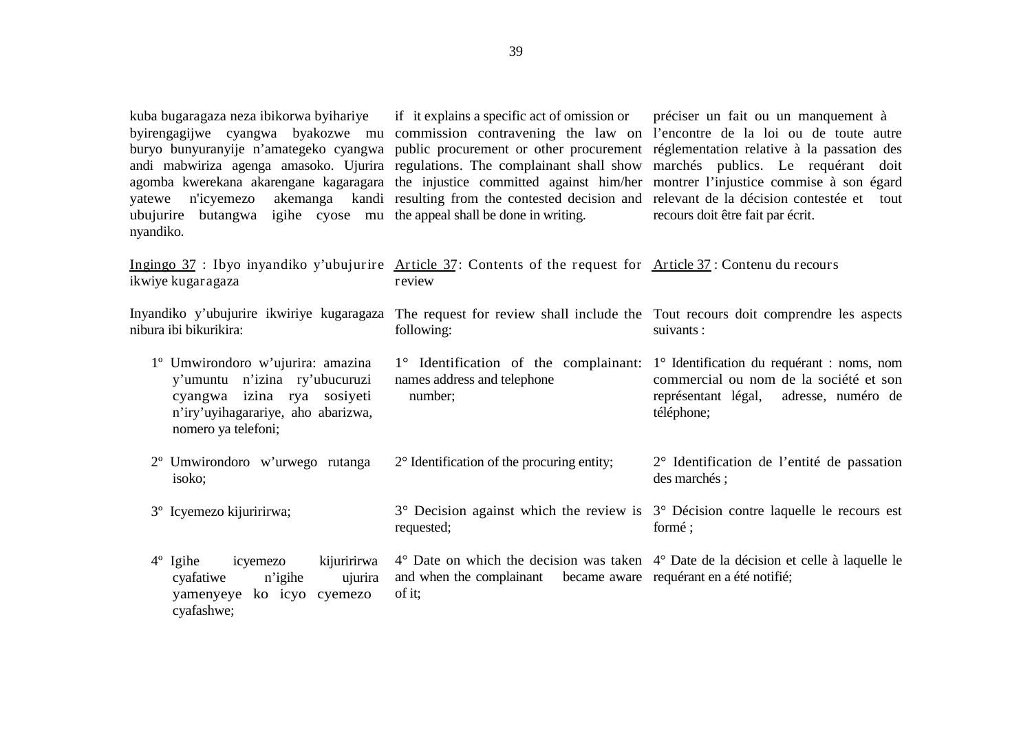| kuba bugaragaza neza ibikorwa byihariye if it explains a specific act of omission or préciser un fait ou un manquement à<br>byirengagijwe cyangwa byakozwe mu commission contravening the law on l'encontre de la loi ou de toute autre<br>buryo bunyuranyije n'amategeko cyangwa public procurement or other procurement réglementation relative à la passation des<br>andi mabwiriza agenga amasoko. Ujurira regulations. The complainant shall show marchés publics. Le requérant doit<br>agomba kwerekana akarengane kagaragara the injustice committed against him/her montrer l'injustice commise à son égard<br>n'icyemezo<br>yatewe<br>ubujurire butangwa igihe cyose mu the appeal shall be done in writing.<br>nyandiko. | akemanga kandi resulting from the contested decision and relevant de la décision contestée et tout | recours doit être fait par écrit.                                                                                                                                                  |
|------------------------------------------------------------------------------------------------------------------------------------------------------------------------------------------------------------------------------------------------------------------------------------------------------------------------------------------------------------------------------------------------------------------------------------------------------------------------------------------------------------------------------------------------------------------------------------------------------------------------------------------------------------------------------------------------------------------------------------|----------------------------------------------------------------------------------------------------|------------------------------------------------------------------------------------------------------------------------------------------------------------------------------------|
| Ingingo 37: Ibyo inyandiko y'ubujurire Article 37: Contents of the request for Article 37: Contenu du recours<br>ikwiye kugaragaza                                                                                                                                                                                                                                                                                                                                                                                                                                                                                                                                                                                                 | review                                                                                             |                                                                                                                                                                                    |
| Inyandiko y'ubujurire ikwiriye kugaragaza The request for review shall include the Tout recours doit comprendre les aspects<br>nibura ibi bikurikira:                                                                                                                                                                                                                                                                                                                                                                                                                                                                                                                                                                              | following:                                                                                         | suivants :                                                                                                                                                                         |
| 1º Umwirondoro w'ujurira: amazina<br>y'umuntu n'izina ry'ubucuruzi<br>cyangwa izina rya sosiyeti<br>n'iry'uyihagarariye, aho abarizwa,<br>nomero ya telefoni;                                                                                                                                                                                                                                                                                                                                                                                                                                                                                                                                                                      | names address and telephone<br>number;                                                             | 1° Identification of the complainant: 1° Identification du requérant : noms, nom<br>commercial ou nom de la société et son<br>représentant légal, adresse, numéro de<br>téléphone; |
| 2º Umwirondoro w'urwego rutanga<br>isoko;                                                                                                                                                                                                                                                                                                                                                                                                                                                                                                                                                                                                                                                                                          | $2^{\circ}$ Identification of the procuring entity;                                                | 2° Identification de l'entité de passation<br>des marchés;                                                                                                                         |
| 3° Icyemezo kijuririrwa;                                                                                                                                                                                                                                                                                                                                                                                                                                                                                                                                                                                                                                                                                                           | requested;                                                                                         | $3^{\circ}$ Decision against which the review is $3^{\circ}$ Décision contre laquelle le recours est<br>formé;                                                                     |
| $4^{\circ}$ Igihe<br>kijuririrwa<br>icyemezo<br>cyafatiwe<br><i>n</i> 'igihe<br>ujurira<br>yamenyeye ko icyo cyemezo<br>cyafashwe;                                                                                                                                                                                                                                                                                                                                                                                                                                                                                                                                                                                                 | and when the complainant became aware requérant en a été notifié;<br>of it;                        | $4^{\circ}$ Date on which the decision was taken $4^{\circ}$ Date de la décision et celle à laquelle le                                                                            |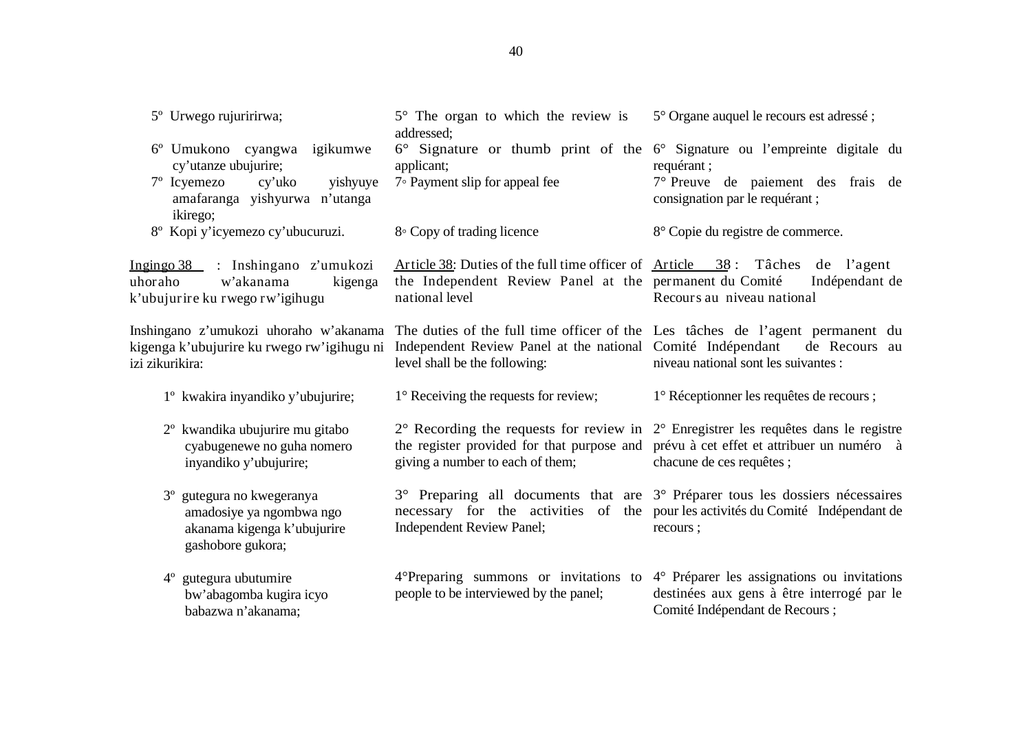| 5° Urwego rujuririrwa;                                                                                                                                                                | $5^\circ$ The organ to which the review is<br>addressed;                                                                                             | 5° Organe auquel le recours est adressé ;                                                                                                                                                                                   |
|---------------------------------------------------------------------------------------------------------------------------------------------------------------------------------------|------------------------------------------------------------------------------------------------------------------------------------------------------|-----------------------------------------------------------------------------------------------------------------------------------------------------------------------------------------------------------------------------|
| 6° Umukono cyangwa igikumwe<br>cy'utanze ubujurire;                                                                                                                                   | applicant;                                                                                                                                           | 6° Signature or thumb print of the 6° Signature ou l'empreinte digitale du<br>requérant;                                                                                                                                    |
| 7° Icyemezo<br>cy'uko<br>yishyuye<br>amafaranga yishyurwa n'utanga<br>ikirego;                                                                                                        | 7° Payment slip for appeal fee                                                                                                                       | 7° Preuve de paiement des frais de<br>consignation par le requérant;                                                                                                                                                        |
| 8° Kopi y'icyemezo cy'ubucuruzi.                                                                                                                                                      | 8° Copy of trading licence                                                                                                                           | 8° Copie du registre de commerce.                                                                                                                                                                                           |
| Ingingo 38 : Inshingano z'umukozi<br>w'akanama<br>kigenga<br>uhoraho<br>k'ubujurire ku rwego rw'igihugu                                                                               | Article $38$ : Duties of the full time officer of Article $38$ : Tâches<br>the Independent Review Panel at the permanent du Comité<br>national level | de l'agent<br>Indépendant de<br>Recours au niveau national                                                                                                                                                                  |
| Inshingano z'umukozi uhoraho w'akanama The duties of the full time officer of the Les tâches de l'agent permanent du<br>kigenga k'ubujurire ku rwego rw'igihugu ni<br>izi zikurikira: | Independent Review Panel at the national Comité Indépendant<br>level shall be the following:                                                         | de Recours au<br>niveau national sont les suivantes :                                                                                                                                                                       |
| 1 <sup>°</sup> kwakira inyandiko y'ubujurire;                                                                                                                                         | $1^\circ$ Receiving the requests for review;                                                                                                         | 1° Réceptionner les requêtes de recours ;                                                                                                                                                                                   |
| 2° kwandika ubujurire mu gitabo<br>cyabugenewe no guha nomero<br>inyandiko y'ubujurire;                                                                                               | giving a number to each of them;                                                                                                                     | $2^{\circ}$ Recording the requests for review in $2^{\circ}$ Enregistrer les requêtes dans le registre<br>the register provided for that purpose and prévu à cet effet et attribuer un numéro à<br>chacune de ces requêtes; |
| 3° gutegura no kwegeranya<br>amadosiye ya ngombwa ngo<br>akanama kigenga k'ubujurire<br>gashobore gukora;                                                                             | <b>Independent Review Panel;</b>                                                                                                                     | 3° Preparing all documents that are 3° Préparer tous les dossiers nécessaires<br>necessary for the activities of the pour les activités du Comité Indépendant de<br>recours;                                                |
| 4° gutegura ubutumire<br>bw'abagomba kugira icyo<br>babazwa n'akanama;                                                                                                                | people to be interviewed by the panel;                                                                                                               | $4^{\circ}$ Preparing summons or invitations to $4^{\circ}$ Préparer les assignations ou invitations<br>destinées aux gens à être interrogé par le<br>Comité Indépendant de Recours;                                        |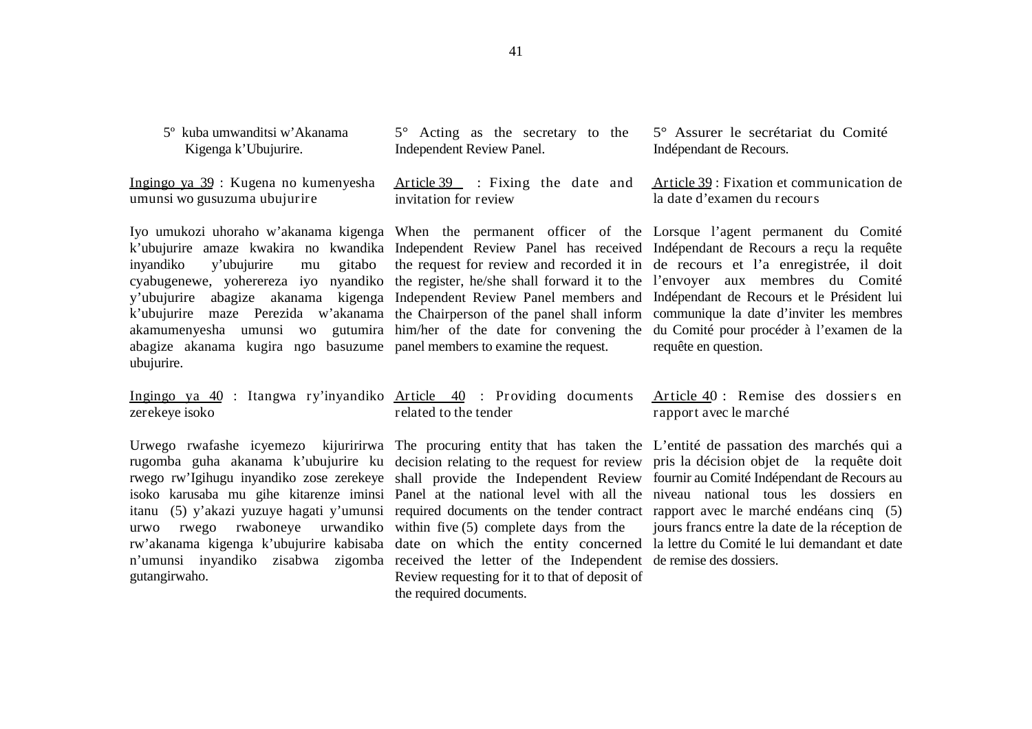5º kuba umwanditsi w'Akanama Kigenga k'Ubujurire.

Ingingo ya 39 : Kugena no kumenyesha umunsi wo gusuzuma ubujurire

inyandiko y'ubujurire mu gitabo abagize akanama kugira ngo basuzume panel members to examine the request. ubujurire.

Ingingo ya 40 : Itangwa ry'inyandiko Article 40 : Providing documents Article 40 : Remise des dossiers en zerekeye isoko related to the tender

urwo rwego rwaboneye urwandiko within five (5) complete days from the gutangirwaho.

5° Acting as the secretary to the Independent Review Panel.

invitation for review

Iyo umukozi uhoraho w'akanama kigenga When the permanent officer of the Lorsque l'agent permanent du Comité k'ubujurire amaze kwakira no kwandika Independent Review Panel has received Indépendant de Recours a reçu la requête cyabugenewe, yoherereza iyo nyandiko the register, he/she shall forward it to the l'envoyer aux membres du Comité y'ubujurire abagize akanama kigenga Independent Review Panel members and Indépendant de Recours et le Président lui k'ubujurire maze Perezida w'akanama the Chairperson of the panel shall inform communique la date d'inviter les membres akamumenyesha umunsi wo gutumira him/her of the date for convening the du Comité pour procéder à l'examen de la the request for review and recorded it in de recours et l'a enregistrée, il doit

Urwego rwafashe icyemezo kijuririrwa The procuring entity that has taken the L'entité de passation des marchés qui a rugomba guha akanama k'ubujurire ku decision relating to the request for review pris la décision objet de la requête doit rwego rw'Igihugu inyandiko zose zerekeye shall provide the Independent Review fournir au Comité Indépendant de Recours au isoko karusaba mu gihe kitarenze iminsi Panel at the national level with all the niveau national tous les dossiers en itanu (5) y'akazi yuzuye hagati y'umunsi required documents on the tender contract rapport avec le marché endéans cinq (5) rw'akanama kigenga k'ubujurire kabisaba date on which the entity concerned la lettre du Comité le lui demandant et date n'umunsi inyandiko zisabwa zigomba received the letter of the Independent de remise des dossiers. Review requesting for it to that of deposit of the required documents.

5° Assurer le secrétariat du Comité Indépendant de Recours.

Article 39 : Fixing the date and Article 39: Fixation et communication de la date d'examen du recours

requête en question.

rapport avec le marché

jours francs entre la date de la réception de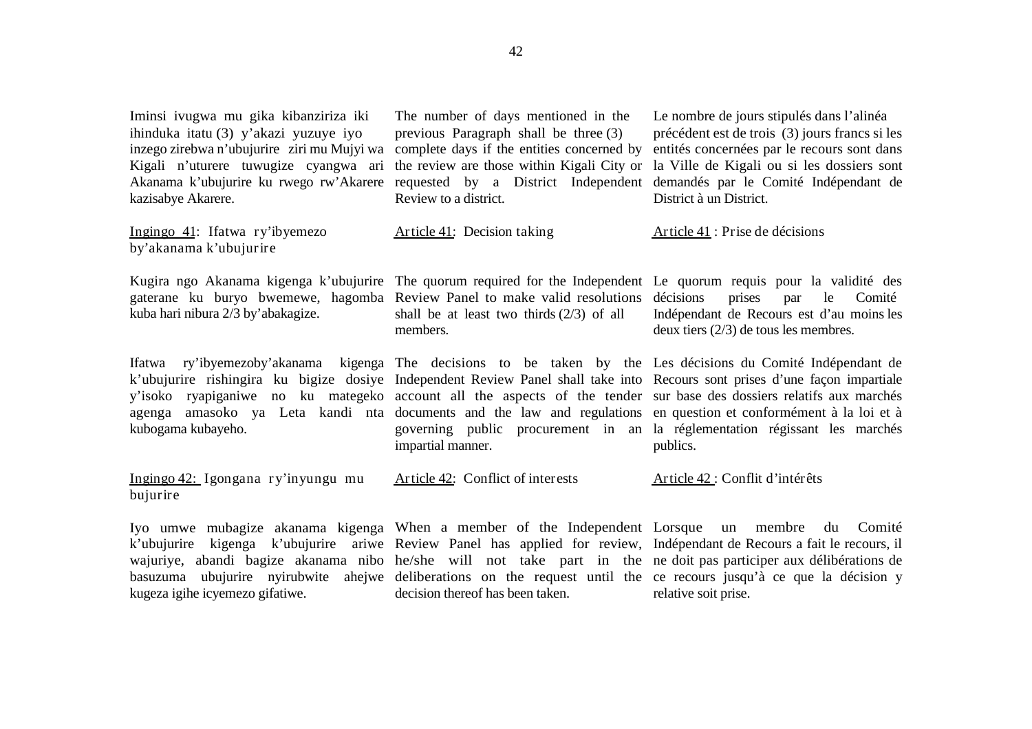| Iminsi ivugwa mu gika kibanziriza iki<br>ihinduka itatu (3) y'akazi yuzuye iyo<br>inzego zirebwa n'ubujurire ziri mu Mujyi wa<br>Kigali n'uturere tuwugize cyangwa ari<br>Akanama k'ubujurire ku rwego rw'Akarere<br>kazisabye Akarere.                                                                                                                                                                | The number of days mentioned in the<br>previous Paragraph shall be three (3)<br>complete days if the entities concerned by<br>the review are those within Kigali City or<br>requested by a District Independent<br>Review to a district. | Le nombre de jours stipulés dans l'alinéa<br>précédent est de trois (3) jours francs si les<br>entités concernées par le recours sont dans<br>la Ville de Kigali ou si les dossiers sont<br>demandés par le Comité Indépendant de<br>District à un District. |
|--------------------------------------------------------------------------------------------------------------------------------------------------------------------------------------------------------------------------------------------------------------------------------------------------------------------------------------------------------------------------------------------------------|------------------------------------------------------------------------------------------------------------------------------------------------------------------------------------------------------------------------------------------|--------------------------------------------------------------------------------------------------------------------------------------------------------------------------------------------------------------------------------------------------------------|
| Ingingo 41: Ifatwa ry'ibyemezo<br>by'akanama k'ubujurire                                                                                                                                                                                                                                                                                                                                               | Article 41: Decision taking                                                                                                                                                                                                              | Article 41: Prise de décisions                                                                                                                                                                                                                               |
| Kugira ngo Akanama kigenga k'ubujurire The quorum required for the Independent Le quorum requis pour la validité des<br>gaterane ku buryo bwemewe, hagomba Review Panel to make valid resolutions décisions<br>kuba hari nibura 2/3 by'abakagize.                                                                                                                                                      | shall be at least two thirds $(2/3)$ of all<br>members.                                                                                                                                                                                  | le<br>Comité<br>prises<br>par<br>Indépendant de Recours est d'au moins les<br>deux tiers $(2/3)$ de tous les membres.                                                                                                                                        |
| Ifatwa<br>k'ubujurire rishingira ku bigize dosiye Independent Review Panel shall take into Recours sont prises d'une façon impartiale<br>y'isoko ryapiganiwe no ku mategeko account all the aspects of the tender sur base des dossiers relatifs aux marchés<br>agenga amasoko ya Leta kandi nta documents and the law and regulations en question et conformément à la loi et à<br>kubogama kubayeho. | ry'ibyemezoby'akanama kigenga The decisions to be taken by the Les décisions du Comité Indépendant de<br>impartial manner.                                                                                                               | governing public procurement in an la réglementation régissant les marchés<br>publics.                                                                                                                                                                       |
| Ingingo 42: Igongana ry'inyungu mu<br>bujurire                                                                                                                                                                                                                                                                                                                                                         | Article 42: Conflict of interests                                                                                                                                                                                                        | Article 42 : Conflit d'intérêts                                                                                                                                                                                                                              |
| Iyo umwe mubagize akanama kigenga When a member of the Independent Lorsque un membre<br>k'ubujurire<br>wajuriye, abandi bagize akanama nibo he/she will not take part in the ne-doit pas-participer aux délibérations de<br>basuzuma ubujurire nyirubwite ahejwe deliberations on the request until the ce recours jusqu'à ce que la décision y<br>kugeza igihe icyemezo gifatiwe.                     | kigenga k'ubujurire ariwe Review Panel has applied for review, Indépendant de Recours a fait le recours, il<br>decision thereof has been taken.                                                                                          | Comité<br>du<br>relative soit prise.                                                                                                                                                                                                                         |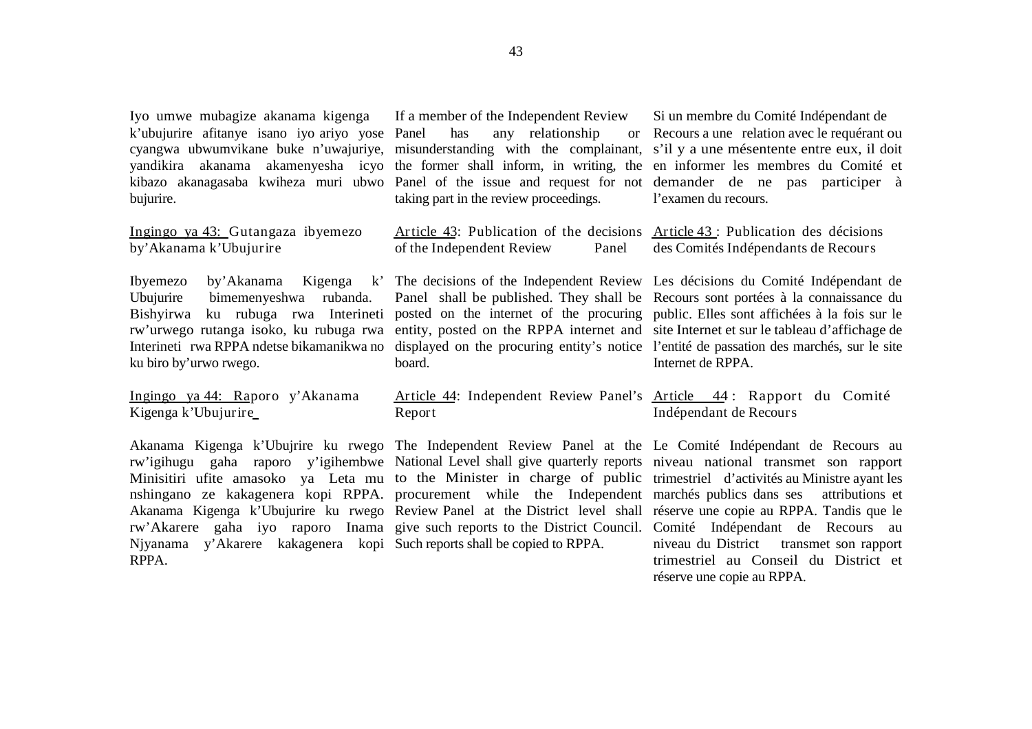k'ubujurire afitanye isano iyo ariyo yose cyangwa ubwumvikane buke n'uwajuriye, misunderstanding with the complainant, s'il y a une mésentente entre eux, il doit yandikira akanama akamenyesha icyo the former shall inform, in writing, the en informer les membres du Comité et kibazo akanagasaba kwiheza muri ubwo Panel of the issue and request for not demander de ne pas participer à Ingingo ya 43: Gutangaza ibyemezo by'Akanama k'Ubujurire has any relationship taking part in the review proceedings. Article 43: Publication of the decisions Article 43 : Publication des décisions of the Independent Review Panel

board.

Ibyemezo by'Akanama Ubujurire bimemenyeshwa rubanda. Bishyirwa ku rubuga rwa Interineti posted on the internet of the procuring public. Elles sont affichées à la fois sur le rw'urwego rutanga isoko, ku rubuga rwa entity, posted on the RPPA internet and site Internet et sur le tableau d'affichage de Interineti rwa RPPA ndetse bikamanikwa no ku biro by'urwo rwego.

Iyo umwe mubagize akanama kigenga

bujurire.

Ingingo ya 44: Raporo y'Akanama Kigenga k'Ubujurire

Njyanama y'Akarere kakagenera kopi Such reports shall be copied to RPPA. RPPA.

Article 44: Independent Review Panel's Article 44 : Rapport du Comité Report

Akanama Kigenga k'Ubujrire ku rwego The Independent Review Panel at the Le Comité Indépendant de Recours au rw'igihugu gaha raporo y'igihembwe National Level shall give quarterly reports niveau national transmet son rapport Minisitiri ufite amasoko ya Leta mu to the Minister in charge of public trimestriel d'activités au Ministre ayant les nshingano ze kakagenera kopi RPPA. procurement while the Independent marchés publics dans ses attributions et Akanama Kigenga k'Ubujurire ku rwego Review Panel at the District level shall réserve une copie au RPPA. Tandis que le rw'Akarere gaha iyo raporo Inama give such reports to the District Council. Comité Indépendant de Recours au

Si un membre du Comité Indépendant de Recours a une relation avec le requérant ou l'examen du recours.

des Comités Indépendants de Recours

The decisions of the Independent Review Les décisions du Comité Indépendant de Panel shall be published. They shall be Recours sont portées à la connaissance du displayed on the procuring entity's notice l'entité de passation des marchés, sur le site Internet de RPPA.

Indépendant de Recours

niveau du District transmet son rapport trimestriel au Conseil du District et réserve une copie au RPPA.

If a member of the Independent Review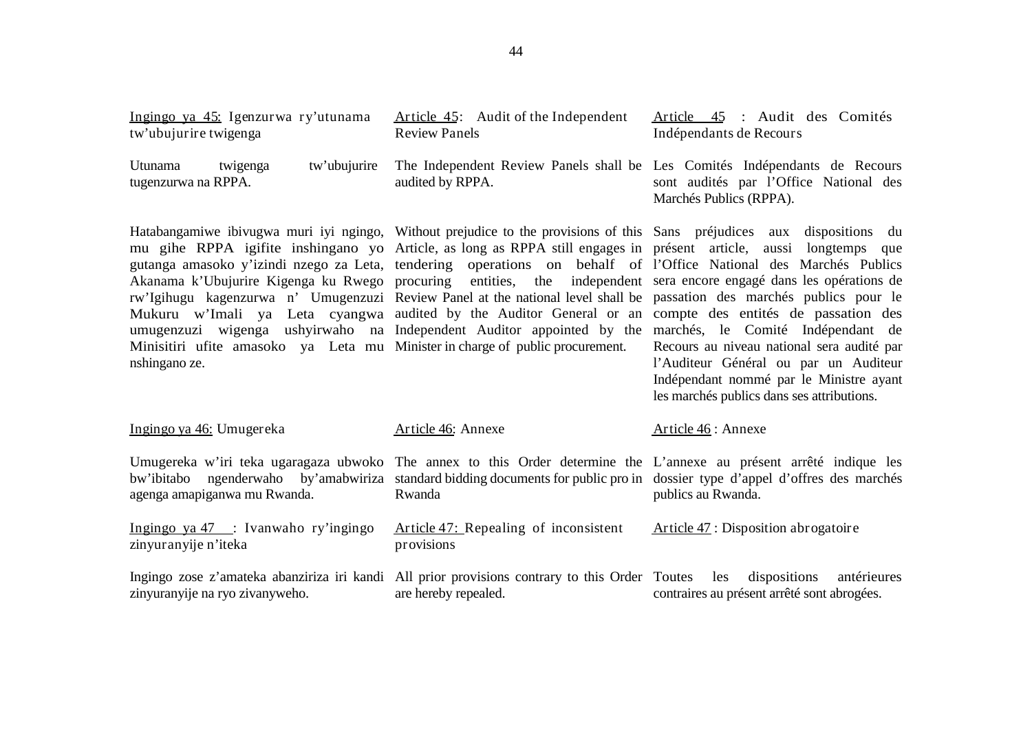| Ingingo ya 45: Igenzurwa ry'utunama<br>tw'ubujurire twigenga                                                                                                                                                                                                                                                                                                                                                                                                                                                                                                                                                                                                                                                                                                                                                                                                                                                                           | Article 45: Audit of the Independent<br><b>Review Panels</b>                                   | Article 45 : Audit des Comités<br>Indépendants de Recours                                                                                                                    |
|----------------------------------------------------------------------------------------------------------------------------------------------------------------------------------------------------------------------------------------------------------------------------------------------------------------------------------------------------------------------------------------------------------------------------------------------------------------------------------------------------------------------------------------------------------------------------------------------------------------------------------------------------------------------------------------------------------------------------------------------------------------------------------------------------------------------------------------------------------------------------------------------------------------------------------------|------------------------------------------------------------------------------------------------|------------------------------------------------------------------------------------------------------------------------------------------------------------------------------|
| tw'ubujurire<br>twigenga<br>Utunama<br>tugenzurwa na RPPA.                                                                                                                                                                                                                                                                                                                                                                                                                                                                                                                                                                                                                                                                                                                                                                                                                                                                             | The Independent Review Panels shall be Les Comités Indépendants de Recours<br>audited by RPPA. | sont audités par l'Office National des<br>Marchés Publics (RPPA).                                                                                                            |
| Hatabangamiwe ibivugwa muri iyi ngingo, Without prejudice to the provisions of this Sans préjudices aux dispositions du<br>mu gihe RPPA igifite inshingano yo Article, as long as RPPA still engages in présent article, aussi longtemps que<br>gutanga amasoko y'izindi nzego za Leta, tendering operations on behalf of l'Office National des Marchés Publics<br>Akanama k'Ubujurire Kigenga ku Rwego procuring entities, the independent sera encore engagé dans les opérations de<br>rw'Igihugu kagenzurwa n' Umugenzuzi Review Panel at the national level shall be passation des marchés publics pour le<br>Mukuru w'Imali ya Leta cyangwa audited by the Auditor General or an compte des entités de passation des<br>umugenzuzi wigenga ushyirwaho na Independent Auditor appointed by the marchés, le Comité Indépendant de<br>Minisitiri ufite amasoko ya Leta mu Minister in charge of public procurement.<br>nshingano ze. |                                                                                                | Recours au niveau national sera audité par<br>l'Auditeur Général ou par un Auditeur<br>Indépendant nommé par le Ministre ayant<br>les marchés publics dans ses attributions. |
| Ingingo ya 46: Umugereka                                                                                                                                                                                                                                                                                                                                                                                                                                                                                                                                                                                                                                                                                                                                                                                                                                                                                                               | Article 46: Annexe                                                                             | Article 46 : Annexe                                                                                                                                                          |
| Umugereka w'iri teka ugaragaza ubwoko The annex to this Order determine the L'annexe au présent arrêté indique les<br>bw'ibitabo ngenderwaho by'amabwiriza standard-bidding-documents-for-public pro-in-dossier-type d'appel d'offres des marchés<br>agenga amapiganwa mu Rwanda.                                                                                                                                                                                                                                                                                                                                                                                                                                                                                                                                                                                                                                                      | Rwanda                                                                                         | publics au Rwanda.                                                                                                                                                           |
| Ingingo ya $47$ : Ivanwaho ry'ingingo<br>zinyuranyije n'iteka                                                                                                                                                                                                                                                                                                                                                                                                                                                                                                                                                                                                                                                                                                                                                                                                                                                                          | Article 47: Repealing of inconsistent<br>provisions                                            | Article 47 : Disposition abrogatoire                                                                                                                                         |
| Ingingo zose z'amateka abanziriza iri kandi All prior provisions contrary to this Order Toutes<br>zinyuranyije na ryo zivanyweho.                                                                                                                                                                                                                                                                                                                                                                                                                                                                                                                                                                                                                                                                                                                                                                                                      | are hereby repealed.                                                                           | antérieures<br>dispositions<br>les<br>contraires au présent arrêté sont abrogées.                                                                                            |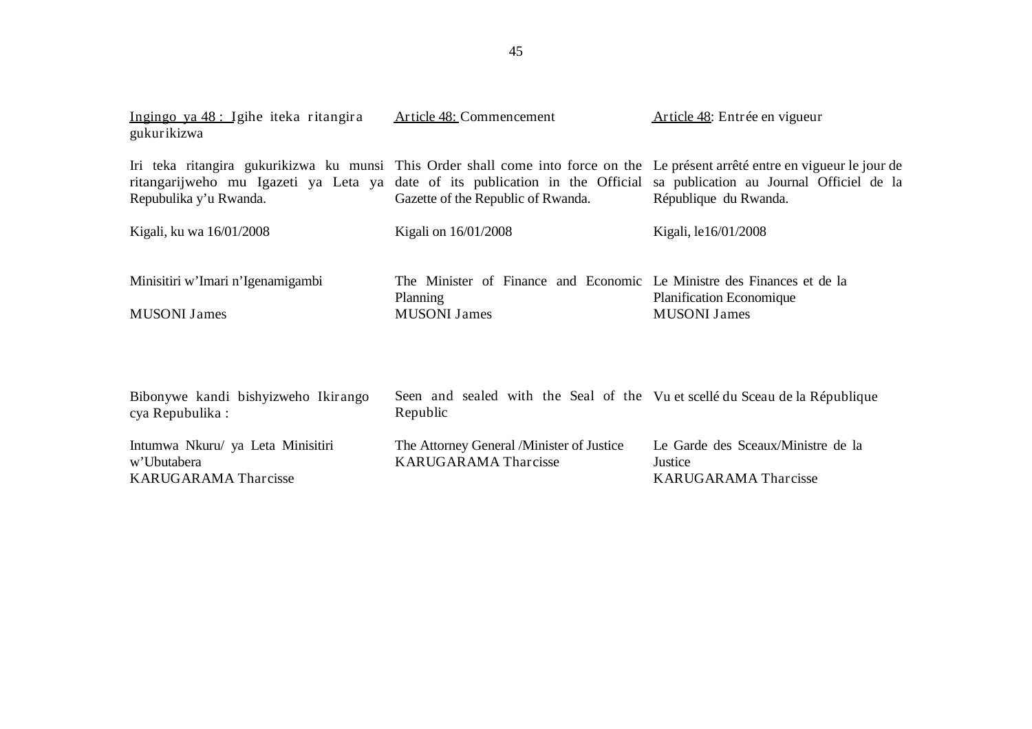| Ingingo ya 48 : Igihe iteka ritangira<br>gukurikizwa                                                                                                                                                                                                                             | Article 48: Commencement                                                                                  | Article 48: Entrée en vigueur                                                |
|----------------------------------------------------------------------------------------------------------------------------------------------------------------------------------------------------------------------------------------------------------------------------------|-----------------------------------------------------------------------------------------------------------|------------------------------------------------------------------------------|
| Iri teka ritangira gukurikizwa ku munsi This Order shall come into force on the Le présent arrêté entre en vigueur le jour de<br>ritangarijweho mu Igazeti ya Leta ya date of its publication in the Official sa publication au Journal Officiel de la<br>Repubulika y'u Rwanda. | Gazette of the Republic of Rwanda.                                                                        | République du Rwanda.                                                        |
| Kigali, ku wa 16/01/2008                                                                                                                                                                                                                                                         | Kigali on 16/01/2008                                                                                      | Kigali, le16/01/2008                                                         |
| Minisitiri w'Imari n'Igenamigambi<br><b>MUSONI</b> James                                                                                                                                                                                                                         | The Minister of Finance and Economic Le Ministre des Finances et de la<br>Planning<br><b>MUSONI James</b> | Planification Economique<br><b>MUSONI James</b>                              |
| Bibonywe kandi bishyizweho Ikirango<br>cya Repubulika:                                                                                                                                                                                                                           | Seen and sealed with the Seal of the Vu et scelle du Sceau de la Republique<br>Republic                   |                                                                              |
| Intumwa Nkuru/ ya Leta Minisitiri<br>w'Ubutabera<br><b>KARUGARAMA Tharcisse</b>                                                                                                                                                                                                  | The Attorney General /Minister of Justice<br><b>KARUGARAMA Tharcisse</b>                                  | Le Garde des Sceaux/Ministre de la<br>Justice<br><b>KARUGARAMA Tharcisse</b> |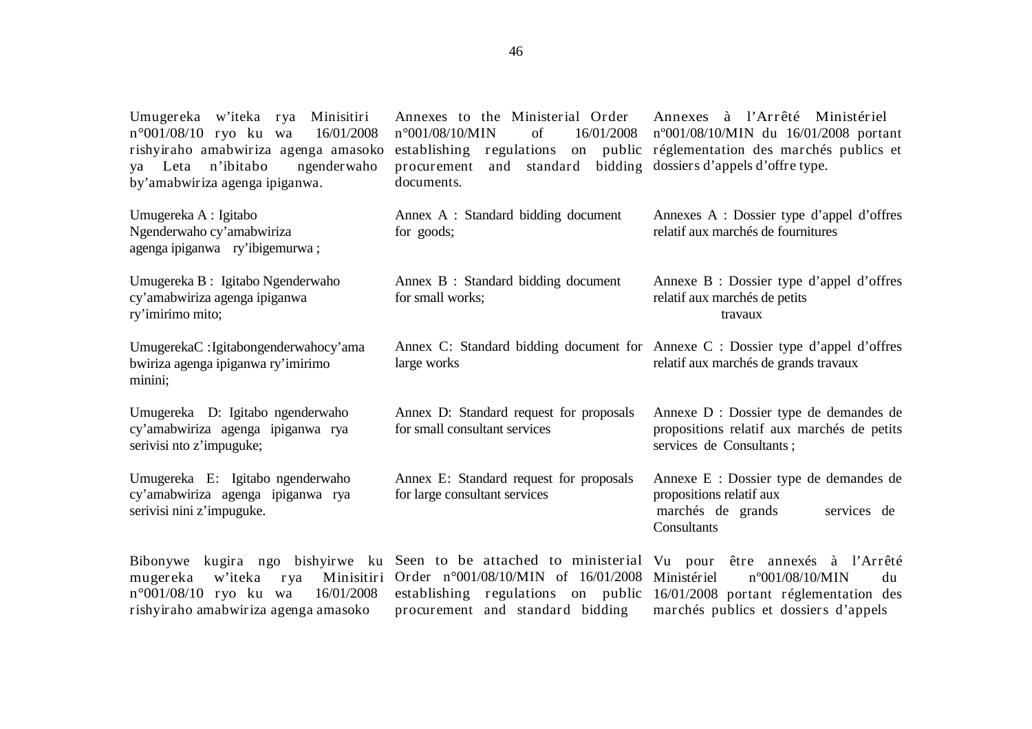Umugereka w'iteka rya Minisitiri n°001/08/10 ryo ku wa 16/01/2008 rishyiraho amabwiriza agenga amasoko establishing regulations on public réglementation des marchés publics et ya Leta n'ibitabo ngenderwaho by'amabwiriza agenga ipiganwa. Umugereka A : Igitabo Ngenderwaho cy'amabwiriza agenga ipiganwa ry'ibigemurwa ; Umugereka B : Igitabo Ngenderwaho cy'amabwiriza agenga ipiganwa ry'imirimo mito; UmugerekaC :Igitabongenderwahocy'ama bwiriza agenga ipiganwa ry'imirimo minini; Umugereka D: Igitabo ngenderwaho cy'amabwiriza agenga ipiganwa rya serivisi nto z'impuguke; Umugereka E: Igitabo ngenderwaho cy'amabwiriza agenga ipiganwa rya serivisi nini z'impuguke. Bibonywe kugira ngo bishyirwe ku Seen to be attached to ministerial Vu pour être annexés à l'Arrêté mugereka w'iteka rya Minisitiri Order n°001/08/10/MIN of 16/01/2008 n°001/08/10 ryo ku wa 16/01/2008 Annexes to the Ministerial Order n<sup>o</sup>001/08/10/MIN of procurement and standard bidding dossiers d'appels d'offre type. documents. Annex A : Standard bidding document for goods; Annex B : Standard bidding document for small works; Annex C: Standard bidding document for Annexe C : Dossier type d'appel d'offres large works Annex D: Standard request for proposals for small consultant services Annex E: Standard request for proposals for large consultant services establishing regulations on public 16/01/2008 portant réglementation des Annexes à l'Arrêté Ministériel nº001/08/10/MIN du 16/01/2008 portant Annexes A : Dossier type d'appel d'offres relatif aux marchés de fournitures Annexe B : Dossier type d'appel d'offres relatif aux marchés de petits travaux relatif aux marchés de grands travaux Annexe D : Dossier type de demandes de propositions relatif aux marchés de petits services de Consultants ; Annexe E : Dossier type de demandes de propositions relatif aux marchés de grands services de **Consultants** n<sup>o</sup>001/08/10/MIN du

procurement and standard bidding

marchés publics et dossiers d'appels

rishyiraho amabwiriza agenga amasoko